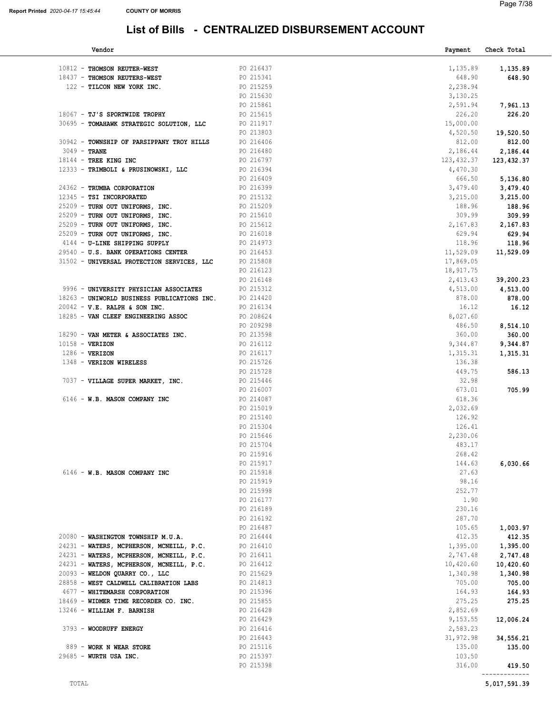#### List of Bills - CENTRALIZED DISBURSEMENT ACCOUNT

| Vendor                                                      |                        | Payment                | Check Total           |
|-------------------------------------------------------------|------------------------|------------------------|-----------------------|
|                                                             |                        |                        |                       |
| 10812 - THOMSON REUTER-WEST                                 | PO 216437              | 1,135.89               | 1,135.89              |
| 18437 - THOMSON REUTERS-WEST                                | PO 215341              | 648.90                 | 648.90                |
| 122 - TILCON NEW YORK INC.                                  | PO 215259              | 2,238.94               |                       |
|                                                             | PO 215630              | 3,130.25               |                       |
|                                                             | PO 215861              | 2,591.94               | 7,961.13              |
| 18067 - TJ'S SPORTWIDE TROPHY                               | PO 215615              | 226.20                 | 226.20                |
| 30695 - TOMAHAWK STRATEGIC SOLUTION, LLC                    | PO 211917              | 15,000.00              |                       |
|                                                             | PO 213803              | 4,520.50               | 19,520.50             |
| 30942 - TOWNSHIP OF PARSIPPANY TROY HILLS                   | PO 216406<br>PO 216480 | 812.00<br>2,186.44     | 812.00                |
| $3049$ - TRANE                                              | PO 216797              |                        | 2,186.44              |
| 18144 - TREE KING INC                                       | PO 216394              | 123,432.37             | 123,432.37            |
| 12333 - TRIMBOLI & PRUSINOWSKI, LLC                         |                        | 4,470.30               |                       |
|                                                             | PO 216409              | 666.50                 | 5,136.80              |
| 24362 - TRUMBA CORPORATION                                  | PO 216399              | 3,479.40               | 3,479.40              |
| 12345 - TSI INCORPORATED<br>25209 - TURN OUT UNIFORMS, INC. | PO 215132              | 3,215.00               | 3,215.00              |
|                                                             | PO 215209              | 188.96                 | 188.96                |
| 25209 - TURN OUT UNIFORMS, INC.                             | PO 215610              | 309.99                 | 309.99                |
| 25209 - TURN OUT UNIFORMS, INC.                             | PO 215612<br>PO 216018 | 2,167.83<br>629.94     | 2,167.83              |
| 25209 - TURN OUT UNIFORMS, INC.                             | PO 214973              | 118.96                 | 629.94                |
| 4144 - U-LINE SHIPPING SUPPLY                               |                        | 11,529.09              | 118.96<br>11,529.09   |
| 29540 - U.S. BANK OPERATIONS CENTER                         | PO 216453<br>PO 215808 |                        |                       |
| 31502 - UNIVERSAL PROTECTION SERVICES, LLC                  | PO 216123              | 17,869.05<br>18,917.75 |                       |
|                                                             | PO 216148              | 2,413.43               |                       |
| 9996 - UNIVERSITY PHYSICIAN ASSOCIATES                      | PO 215312              | 4,513.00               | 39,200.23<br>4,513.00 |
| 18263 - UNIWORLD BUSINESS PUBLICATIONS INC. PO 214420       |                        | 878.00                 | 878.00                |
| $20042 - V.E. RALPH & SON INC.$                             | PO 216134              | 16.12                  | 16.12                 |
| 18285 - VAN CLEEF ENGINEERING ASSOC                         | PO 208624              | 8,027.60               |                       |
|                                                             | PO 209298              | 486.50                 | 8,514.10              |
| 18290 - VAN METER & ASSOCIATES INC.                         | PO 213598              | 360.00                 | 360.00                |
| $10158 - VERIZON$                                           | PO 216112              | 9,344.87               | 9,344.87              |
| $1286 - VERIZON$                                            | PO 216117              | 1,315.31               | 1,315.31              |
| 1348 - VERIZON WIRELESS                                     | PO 215726              | 136.38                 |                       |
|                                                             | PO 215728              | 449.75                 | 586.13                |
| 7037 - VILLAGE SUPER MARKET, INC.                           | PO 215446              | 32.98                  |                       |
|                                                             | PO 216007              | 673.01                 | 705.99                |
| 6146 - W.B. MASON COMPANY INC                               | PO 214087              | 618.36                 |                       |
|                                                             | PO 215019              | 2,032.69               |                       |
|                                                             | PO 215140              | 126.92                 |                       |
|                                                             | PO 215304              | 126.41                 |                       |
|                                                             | PO 215646              | 2,230.06               |                       |
|                                                             | PO 215704              | 483.17                 |                       |
|                                                             | PO 215916              | 268.42                 |                       |
|                                                             | PO 215917              | 144.63                 | 6,030.66              |
| 6146 - W.B. MASON COMPANY INC                               | PO 215918              | 27.63                  |                       |
|                                                             | PO 215919              | 98.16                  |                       |
|                                                             | PO 215998              | 252.77                 |                       |
|                                                             | PO 216177              | 1.90                   |                       |
|                                                             | PO 216189              | 230.16                 |                       |
|                                                             | PO 216192              | 287.70                 |                       |
|                                                             | PO 216487              | 105.65                 | 1,003.97              |
| 20080 - WASHINGTON TOWNSHIP M.U.A.                          | PO 216444              | 412.35                 | 412.35                |
| 24231 - WATERS, MCPHERSON, MCNEILL, P.C.                    | PO 216410              | 1,395.00               | 1,395.00              |
| 24231 - WATERS, MCPHERSON, MCNEILL, P.C.                    | PO 216411              | 2,747.48               | 2,747.48              |
| 24231 - WATERS, MCPHERSON, MCNEILL, P.C.                    | PO 216412              | 10,420.60              | 10,420.60             |
| 20093 - WELDON QUARRY CO., LLC                              | PO 215629              | 1,340.98               | 1,340.98              |
| 28858 - WEST CALDWELL CALIBRATION LABS                      | PO 214813              | 705.00                 | 705.00                |
| 4677 - WHITEMARSH CORPORATION                               | PO 215396              | 164.93                 | 164.93                |
| 18469 - WIDMER TIME RECORDER CO. INC.                       | PO 215855<br>PO 216428 | 275.25<br>2,852.69     | 275.25                |
| 13246 - WILLIAM F. BARNISH                                  | PO 216429              | 9,153.55               |                       |
| 3793 - WOODRUFF ENERGY                                      | PO 216416              | 2,583.23               | 12,006.24             |
|                                                             | PO 216443              | 31,972.98              | 34,556.21             |
| 889 - WORK N WEAR STORE                                     | PO 215116              | 135.00                 | 135.00                |
| 29685 - WURTH USA INC.                                      | PO 215397              | 103.50                 |                       |
|                                                             | PO 215398              | 316.00                 | 419.50                |
|                                                             |                        |                        | -------------         |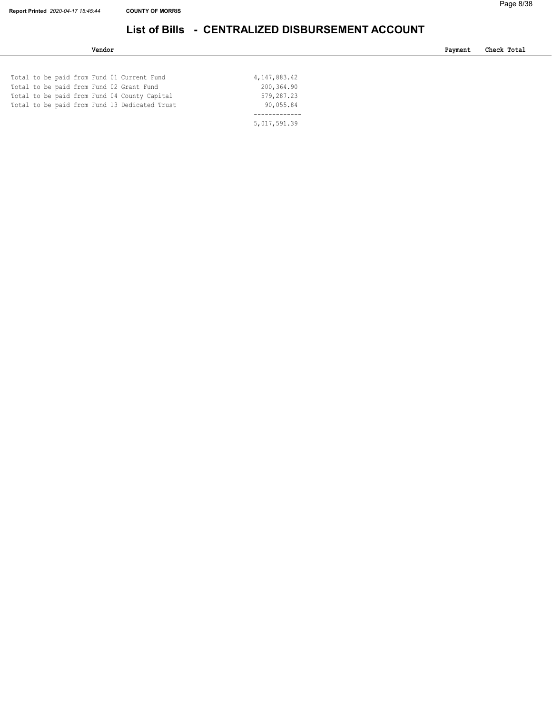#### List of Bills - CENTRALIZED DISBURSEMENT ACCOUNT

| Vendor                                        |                 | Payment | Check Total |
|-----------------------------------------------|-----------------|---------|-------------|
|                                               |                 |         |             |
| Total to be paid from Fund 01 Current Fund    | 4, 147, 883, 42 |         |             |
| Total to be paid from Fund 02 Grant Fund      | 200,364.90      |         |             |
| Total to be paid from Fund 04 County Capital  | 579,287.23      |         |             |
| Total to be paid from Fund 13 Dedicated Trust | 90,055.84       |         |             |
|                                               |                 |         |             |

5,017,591.39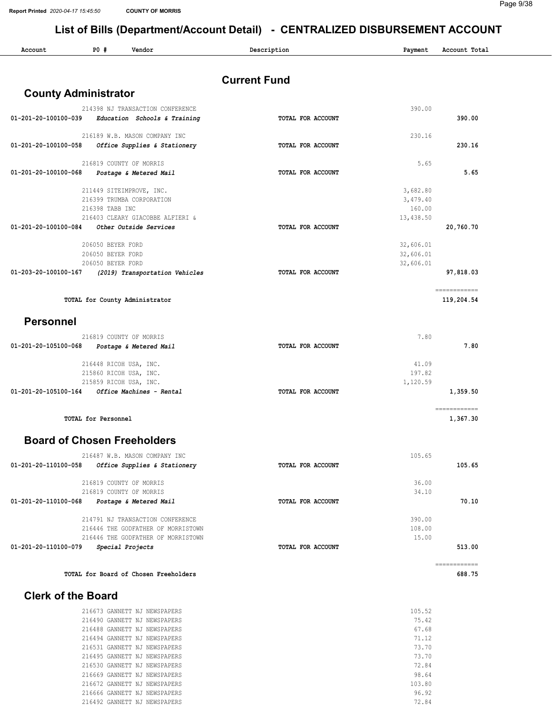| Account                     | $P0$ #<br>Vendor                                  | Description              | Payment   | Account Total              |
|-----------------------------|---------------------------------------------------|--------------------------|-----------|----------------------------|
|                             |                                                   | <b>Current Fund</b>      |           |                            |
| <b>County Administrator</b> |                                                   |                          |           |                            |
|                             | 214398 NJ TRANSACTION CONFERENCE                  |                          | 390.00    |                            |
| 01-201-20-100100-039        | Education Schools & Training                      | TOTAL FOR ACCOUNT        |           | 390.00                     |
|                             | 216189 W.B. MASON COMPANY INC                     |                          | 230.16    |                            |
| 01-201-20-100100-058        | Office Supplies & Stationery                      | TOTAL FOR ACCOUNT        |           | 230.16                     |
|                             | 216819 COUNTY OF MORRIS                           |                          | 5.65      |                            |
| 01-201-20-100100-068        | Postage & Metered Mail                            | TOTAL FOR ACCOUNT        |           | 5.65                       |
|                             | 211449 SITEIMPROVE, INC.                          |                          | 3,682.80  |                            |
|                             | 216399 TRUMBA CORPORATION                         |                          | 3,479.40  |                            |
|                             | 216398 TABB INC                                   |                          | 160.00    |                            |
|                             | 216403 CLEARY GIACOBBE ALFIERI &                  |                          | 13,438.50 |                            |
| 01-201-20-100100-084        | Other Outside Services                            | TOTAL FOR ACCOUNT        |           | 20,760.70                  |
|                             | 206050 BEYER FORD                                 |                          | 32,606.01 |                            |
|                             | 206050 BEYER FORD                                 |                          | 32,606.01 |                            |
|                             | 206050 BEYER FORD                                 |                          | 32,606.01 |                            |
| 01-203-20-100100-167        | (2019) Transportation Vehicles                    | TOTAL FOR ACCOUNT        |           | 97,818.03                  |
|                             | TOTAL for County Administrator                    |                          |           | ------------<br>119,204.54 |
| <b>Personnel</b>            |                                                   |                          |           |                            |
|                             | 216819 COUNTY OF MORRIS                           |                          | 7.80      |                            |
| 01-201-20-105100-068        | Postage & Metered Mail                            | TOTAL FOR ACCOUNT        |           | 7.80                       |
|                             | 216448 RICOH USA, INC.                            |                          | 41.09     |                            |
|                             | 215860 RICOH USA, INC.                            |                          | 197.82    |                            |
|                             | 215859 RICOH USA, INC.                            |                          | 1,120.59  |                            |
| 01-201-20-105100-164        | Office Machines - Rental                          | TOTAL FOR ACCOUNT        |           | 1,359.50                   |
|                             | TOTAL for Personnel                               |                          |           | ============<br>1,367.30   |
|                             | <b>Board of Chosen Freeholders</b>                |                          |           |                            |
|                             | 216487 W.B. MASON COMPANY INC                     |                          | 105.65    |                            |
| 01-201-20-110100-058        | Office Supplies & Stationery                      | TOTAL FOR ACCOUNT        |           | 105.65                     |
|                             | 216819 COUNTY OF MORRIS                           |                          | 36.00     |                            |
| 01-201-20-110100-068        | 216819 COUNTY OF MORRIS<br>Postage & Metered Mail | TOTAL FOR ACCOUNT        | 34.10     | 70.10                      |
|                             |                                                   |                          |           |                            |
|                             | 214791 NJ TRANSACTION CONFERENCE                  |                          | 390.00    |                            |
|                             | 216446 THE GODFATHER OF MORRISTOWN                |                          | 108.00    |                            |
|                             | 216446 THE GODFATHER OF MORRISTOWN                |                          | 15.00     |                            |
| 01-201-20-110100-079        | Special Projects                                  | <b>TOTAL FOR ACCOUNT</b> |           | 513.00                     |
|                             |                                                   |                          |           | ------------               |

| 216673 GANNETT NJ NEWSPAPERS | 105.52 |
|------------------------------|--------|
| 216490 GANNETT NJ NEWSPAPERS | 75.42  |
| 216488 GANNETT NJ NEWSPAPERS | 67.68  |
| 216494 GANNETT NJ NEWSPAPERS | 71.12  |
| 216531 GANNETT NJ NEWSPAPERS | 73.70  |
| 216495 GANNETT NJ NEWSPAPERS | 73.70  |
| 216530 GANNETT NJ NEWSPAPERS | 72.84  |
| 216669 GANNETT NJ NEWSPAPERS | 98.64  |
| 216672 GANNETT NJ NEWSPAPERS | 103.80 |
| 216666 GANNETT NJ NEWSPAPERS | 96.92  |
| 216492 GANNETT NJ NEWSPAPERS | 72.84  |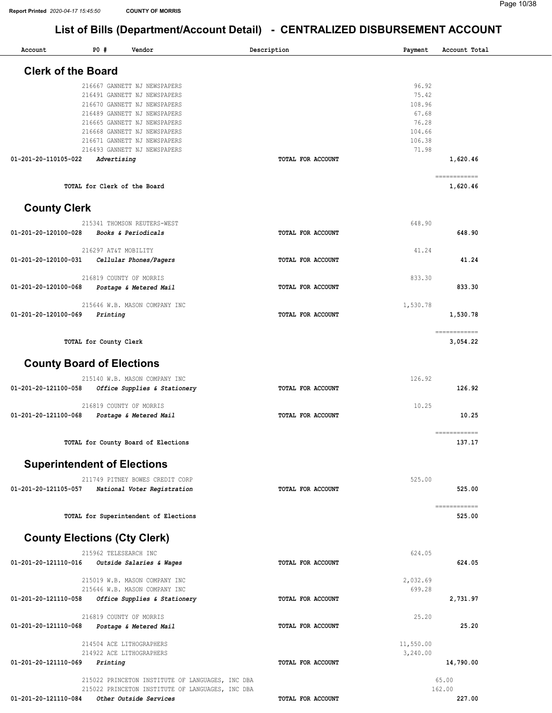| Account                             | P0 #                                 | Vendor                                                       | Description       | Payment          | Account Total            |
|-------------------------------------|--------------------------------------|--------------------------------------------------------------|-------------------|------------------|--------------------------|
| <b>Clerk of the Board</b>           |                                      |                                                              |                   |                  |                          |
|                                     |                                      | 216667 GANNETT NJ NEWSPAPERS                                 |                   | 96.92            |                          |
|                                     |                                      | 216491 GANNETT NJ NEWSPAPERS                                 |                   | 75.42            |                          |
|                                     |                                      | 216670 GANNETT NJ NEWSPAPERS                                 |                   | 108.96           |                          |
|                                     |                                      | 216489 GANNETT NJ NEWSPAPERS                                 |                   | 67.68            |                          |
|                                     |                                      | 216665 GANNETT NJ NEWSPAPERS                                 |                   | 76.28            |                          |
|                                     |                                      | 216668 GANNETT NJ NEWSPAPERS<br>216671 GANNETT NJ NEWSPAPERS |                   | 104.66<br>106.38 |                          |
|                                     |                                      | 216493 GANNETT NJ NEWSPAPERS                                 |                   | 71.98            |                          |
| 01-201-20-110105-022                | Advertising                          |                                                              | TOTAL FOR ACCOUNT |                  | 1,620.46                 |
|                                     | TOTAL for Clerk of the Board         |                                                              |                   |                  | 1,620.46                 |
| <b>County Clerk</b>                 |                                      |                                                              |                   |                  |                          |
|                                     |                                      |                                                              |                   |                  |                          |
|                                     |                                      | 215341 THOMSON REUTERS-WEST                                  |                   | 648.90           |                          |
| 01-201-20-120100-028                |                                      | Books & Periodicals                                          | TOTAL FOR ACCOUNT |                  | 648.90                   |
|                                     | 216297 AT&T MOBILITY                 |                                                              |                   | 41.24            |                          |
| 01-201-20-120100-031                |                                      | Cellular Phones/Pagers                                       | TOTAL FOR ACCOUNT |                  | 41.24                    |
|                                     |                                      |                                                              |                   |                  |                          |
|                                     | 216819 COUNTY OF MORRIS              |                                                              |                   | 833.30           |                          |
| 01-201-20-120100-068                |                                      | Postage & Metered Mail                                       | TOTAL FOR ACCOUNT |                  | 833.30                   |
|                                     |                                      |                                                              |                   |                  |                          |
|                                     |                                      | 215646 W.B. MASON COMPANY INC                                |                   | 1,530.78         |                          |
| 01-201-20-120100-069                | Printing                             |                                                              | TOTAL FOR ACCOUNT |                  | 1,530.78                 |
|                                     | TOTAL for County Clerk               |                                                              |                   |                  | ------------<br>3,054.22 |
| <b>County Board of Elections</b>    |                                      |                                                              |                   |                  |                          |
|                                     |                                      | 215140 W.B. MASON COMPANY INC                                |                   | 126.92           |                          |
| 01-201-20-121100-058                |                                      | Office Supplies & Stationery                                 | TOTAL FOR ACCOUNT |                  | 126.92                   |
|                                     |                                      |                                                              |                   |                  |                          |
|                                     | 216819 COUNTY OF MORRIS              |                                                              |                   | 10.25            |                          |
| 01-201-20-121100-068                |                                      | Postage & Metered Mail                                       | TOTAL FOR ACCOUNT |                  | 10.25                    |
|                                     |                                      |                                                              |                   |                  |                          |
|                                     |                                      | TOTAL for County Board of Elections                          |                   |                  | -------------<br>137.17  |
| <b>Superintendent of Elections</b>  |                                      |                                                              |                   |                  |                          |
|                                     |                                      |                                                              |                   |                  |                          |
|                                     |                                      | 211749 PITNEY BOWES CREDIT CORP                              |                   | 525.00           |                          |
| 01-201-20-121105-057                |                                      | National Voter Registration                                  | TOTAL FOR ACCOUNT |                  | 525.00                   |
|                                     |                                      | TOTAL for Superintendent of Elections                        |                   |                  | ============<br>525.00   |
| <b>County Elections (Cty Clerk)</b> |                                      |                                                              |                   |                  |                          |
|                                     | 215962 TELESEARCH INC                |                                                              |                   | 624.05           |                          |
| 01-201-20-121110-016                |                                      | Outside Salaries & Wages                                     | TOTAL FOR ACCOUNT |                  | 624.05                   |
|                                     |                                      | 215019 W.B. MASON COMPANY INC                                |                   | 2,032.69         |                          |
|                                     |                                      | 215646 W.B. MASON COMPANY INC                                |                   | 699.28           |                          |
|                                     |                                      | Office Supplies & Stationery                                 | TOTAL FOR ACCOUNT |                  | 2,731.97                 |
| 01-201-20-121110-058                |                                      |                                                              |                   |                  |                          |
|                                     |                                      |                                                              |                   | 25.20            |                          |
|                                     | 216819 COUNTY OF MORRIS              |                                                              | TOTAL FOR ACCOUNT |                  | 25.20                    |
| 01-201-20-121110-068                |                                      | Postage & Metered Mail                                       |                   |                  |                          |
|                                     |                                      |                                                              |                   |                  |                          |
|                                     | 214504 ACE LITHOGRAPHERS             |                                                              |                   | 11,550.00        |                          |
|                                     | 214922 ACE LITHOGRAPHERS<br>Printing |                                                              | TOTAL FOR ACCOUNT | 3,240.00         | 14,790.00                |
|                                     |                                      |                                                              |                   |                  |                          |
| 01-201-20-121110-069                |                                      | 215022 PRINCETON INSTITUTE OF LANGUAGES, INC DBA             |                   |                  | 65.00                    |
|                                     |                                      | 215022 PRINCETON INSTITUTE OF LANGUAGES, INC DBA             |                   |                  | 162.00<br>227.00         |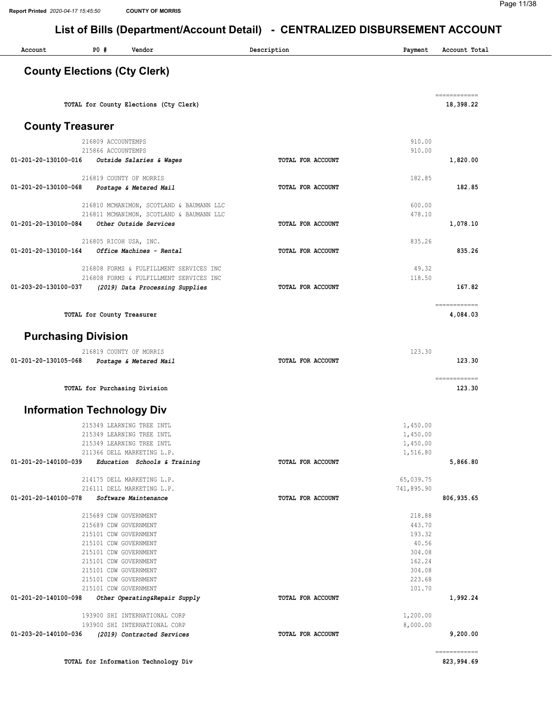| Account                                     | <b>PO #</b> | Vendor                                                                             | Description       | Payment          | Account Total          |
|---------------------------------------------|-------------|------------------------------------------------------------------------------------|-------------------|------------------|------------------------|
| <b>County Elections (Cty Clerk)</b>         |             |                                                                                    |                   |                  |                        |
|                                             |             |                                                                                    |                   |                  | ------------           |
|                                             |             | TOTAL for County Elections (Cty Clerk)                                             |                   |                  | 18,398.22              |
| <b>County Treasurer</b>                     |             |                                                                                    |                   |                  |                        |
|                                             |             | 216809 ACCOUNTEMPS<br>215866 ACCOUNTEMPS                                           |                   | 910.00<br>910.00 |                        |
| 01-201-20-130100-016                        |             | Outside Salaries & Wages                                                           | TOTAL FOR ACCOUNT |                  | 1,820.00               |
|                                             |             | 216819 COUNTY OF MORRIS                                                            |                   | 182.85           |                        |
| 01-201-20-130100-068 Postage & Metered Mail |             |                                                                                    | TOTAL FOR ACCOUNT |                  | 182.85                 |
|                                             |             | 216810 MCMANIMON, SCOTLAND & BAUMANN LLC                                           |                   | 600.00           |                        |
|                                             |             | 216811 MCMANIMON, SCOTLAND & BAUMANN LLC                                           |                   | 478.10           |                        |
| 01-201-20-130100-084                        |             | Other Outside Services                                                             | TOTAL FOR ACCOUNT |                  | 1,078.10               |
|                                             |             |                                                                                    |                   |                  |                        |
| 01-201-20-130100-164                        |             | 216805 RICOH USA, INC.<br>Office Machines - Rental                                 | TOTAL FOR ACCOUNT | 835.26           | 835.26                 |
|                                             |             |                                                                                    |                   |                  |                        |
|                                             |             | 216808 FORMS & FULFILLMENT SERVICES INC<br>216808 FORMS & FULFILLMENT SERVICES INC |                   | 49.32<br>118.50  |                        |
| 01-203-20-130100-037                        |             | (2019) Data Processing Supplies                                                    | TOTAL FOR ACCOUNT |                  | 167.82                 |
|                                             |             |                                                                                    |                   |                  | ============           |
|                                             |             | TOTAL for County Treasurer                                                         |                   |                  | 4,084.03               |
| <b>Purchasing Division</b>                  |             |                                                                                    |                   |                  |                        |
|                                             |             | 216819 COUNTY OF MORRIS                                                            |                   | 123.30           |                        |
| 01-201-20-130105-068                        |             | Postage & Metered Mail                                                             | TOTAL FOR ACCOUNT |                  | 123.30                 |
|                                             |             | TOTAL for Purchasing Division                                                      |                   |                  | ============<br>123.30 |
| <b>Information Technology Div</b>           |             |                                                                                    |                   |                  |                        |
|                                             |             | 215349 LEARNING TREE INTL                                                          |                   | 1,450.00         |                        |
|                                             |             | 215349 LEARNING TREE INTL                                                          |                   | 1,450.00         |                        |
|                                             |             | 215349 LEARNING TREE INTL                                                          |                   | 1,450.00         |                        |
| 01-201-20-140100-039                        |             | 211366 DELL MARKETING L.P.<br>Education Schools & Training                         | TOTAL FOR ACCOUNT | 1,516.80         | 5,866.80               |
|                                             |             |                                                                                    |                   |                  |                        |
|                                             |             | 214175 DELL MARKETING L.P.<br>216111 DELL MARKETING L.P.                           |                   | 65,039.75        |                        |
| 01-201-20-140100-078                        |             | Software Maintenance                                                               | TOTAL FOR ACCOUNT | 741,895.90       | 806, 935.65            |
|                                             |             |                                                                                    |                   |                  |                        |
|                                             |             | 215689 CDW GOVERNMENT                                                              |                   | 218.88           |                        |
|                                             |             | 215689 CDW GOVERNMENT<br>215101 CDW GOVERNMENT                                     |                   | 443.70<br>193.32 |                        |
|                                             |             | 215101 CDW GOVERNMENT                                                              |                   | 40.56            |                        |
|                                             |             | 215101 CDW GOVERNMENT                                                              |                   | 304.08           |                        |
|                                             |             | 215101 CDW GOVERNMENT                                                              |                   | 162.24           |                        |
|                                             |             | 215101 CDW GOVERNMENT                                                              |                   | 304.08           |                        |
|                                             |             | 215101 CDW GOVERNMENT                                                              |                   | 223.68           |                        |
| 01-201-20-140100-098                        |             | 215101 CDW GOVERNMENT<br>Other Operating&Repair Supply                             | TOTAL FOR ACCOUNT | 101.70           | 1,992.24               |
|                                             |             | 193900 SHI INTERNATIONAL CORP                                                      |                   | 1,200.00         |                        |
|                                             |             | 193900 SHI INTERNATIONAL CORP                                                      |                   | 8,000.00         |                        |
|                                             |             |                                                                                    |                   |                  |                        |
| 01-203-20-140100-036                        |             | (2019) Contracted Services                                                         | TOTAL FOR ACCOUNT |                  | 9,200.00               |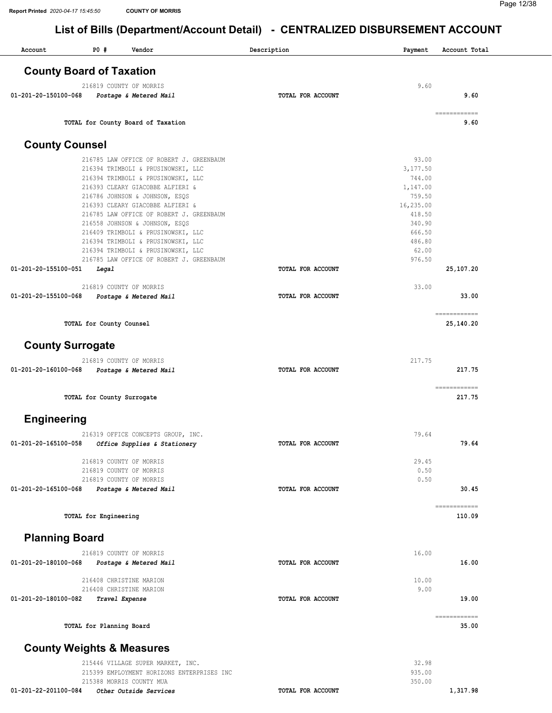| Account                              | <b>PO #</b>                | Vendor                                                                   | Description       | Payment            | Account Total |  |
|--------------------------------------|----------------------------|--------------------------------------------------------------------------|-------------------|--------------------|---------------|--|
| <b>County Board of Taxation</b>      |                            |                                                                          |                   |                    |               |  |
|                                      |                            |                                                                          |                   |                    |               |  |
| 01-201-20-150100-068                 |                            | 216819 COUNTY OF MORRIS                                                  |                   | 9.60               | 9.60          |  |
|                                      |                            | Postage & Metered Mail                                                   | TOTAL FOR ACCOUNT |                    |               |  |
|                                      |                            |                                                                          |                   |                    | ------------  |  |
|                                      |                            | TOTAL for County Board of Taxation                                       |                   |                    | 9.60          |  |
| <b>County Counsel</b>                |                            |                                                                          |                   |                    |               |  |
|                                      |                            |                                                                          |                   |                    |               |  |
|                                      |                            | 216785 LAW OFFICE OF ROBERT J. GREENBAUM                                 |                   | 93.00              |               |  |
|                                      |                            | 216394 TRIMBOLI & PRUSINOWSKI, LLC<br>216394 TRIMBOLI & PRUSINOWSKI, LLC |                   | 3,177.50<br>744.00 |               |  |
|                                      |                            | 216393 CLEARY GIACOBBE ALFIERI &                                         |                   | 1,147.00           |               |  |
|                                      |                            | 216786 JOHNSON & JOHNSON, ESQS                                           |                   | 759.50             |               |  |
|                                      |                            | 216393 CLEARY GIACOBBE ALFIERI &                                         |                   | 16,235.00          |               |  |
|                                      |                            | 216785 LAW OFFICE OF ROBERT J. GREENBAUM                                 |                   | 418.50             |               |  |
|                                      |                            | 216558 JOHNSON & JOHNSON, ESQS<br>216409 TRIMBOLI & PRUSINOWSKI, LLC     |                   | 340.90<br>666.50   |               |  |
|                                      |                            | 216394 TRIMBOLI & PRUSINOWSKI, LLC                                       |                   | 486.80             |               |  |
|                                      |                            | 216394 TRIMBOLI & PRUSINOWSKI, LLC                                       |                   | 62.00              |               |  |
|                                      |                            | 216785 LAW OFFICE OF ROBERT J. GREENBAUM                                 |                   | 976.50             |               |  |
| 01-201-20-155100-051                 | Legal                      |                                                                          | TOTAL FOR ACCOUNT |                    | 25,107.20     |  |
|                                      |                            | 216819 COUNTY OF MORRIS                                                  |                   | 33.00              |               |  |
| 01-201-20-155100-068                 |                            | Postage & Metered Mail                                                   | TOTAL FOR ACCOUNT |                    | 33.00         |  |
|                                      |                            |                                                                          |                   |                    |               |  |
|                                      |                            |                                                                          |                   |                    | ------------  |  |
|                                      | TOTAL for County Counsel   |                                                                          |                   |                    | 25,140.20     |  |
| <b>County Surrogate</b>              |                            |                                                                          |                   |                    |               |  |
|                                      |                            | 216819 COUNTY OF MORRIS                                                  |                   | 217.75             |               |  |
| 01-201-20-160100-068                 |                            | Postage & Metered Mail                                                   | TOTAL FOR ACCOUNT |                    | 217.75        |  |
|                                      |                            |                                                                          |                   |                    |               |  |
|                                      |                            |                                                                          |                   |                    | ============  |  |
|                                      | TOTAL for County Surrogate |                                                                          |                   |                    | 217.75        |  |
| <b>Engineering</b>                   |                            |                                                                          |                   |                    |               |  |
|                                      |                            | 216319 OFFICE CONCEPTS GROUP, INC.                                       |                   | 79.64              |               |  |
| 01-201-20-165100-058                 |                            | Office Supplies & Stationery                                             | TOTAL FOR ACCOUNT |                    | 79.64         |  |
|                                      |                            |                                                                          |                   |                    |               |  |
|                                      |                            | 216819 COUNTY OF MORRIS                                                  |                   | 29.45              |               |  |
|                                      |                            | 216819 COUNTY OF MORRIS                                                  |                   | 0.50               |               |  |
| 01-201-20-165100-068                 |                            | 216819 COUNTY OF MORRIS                                                  | TOTAL FOR ACCOUNT | 0.50               | 30.45         |  |
|                                      |                            | Postage & Metered Mail                                                   |                   |                    |               |  |
|                                      |                            |                                                                          |                   |                    | ============  |  |
|                                      | TOTAL for Engineering      |                                                                          |                   |                    | 110.09        |  |
| <b>Planning Board</b>                |                            |                                                                          |                   |                    |               |  |
|                                      |                            |                                                                          |                   |                    |               |  |
| 01-201-20-180100-068                 |                            | 216819 COUNTY OF MORRIS<br>Postage & Metered Mail                        | TOTAL FOR ACCOUNT | 16.00              | 16.00         |  |
|                                      |                            |                                                                          |                   |                    |               |  |
|                                      |                            | 216408 CHRISTINE MARION                                                  |                   | 10.00              |               |  |
|                                      |                            | 216408 CHRISTINE MARION                                                  |                   | 9.00               |               |  |
| 01-201-20-180100-082                 |                            | Travel Expense                                                           | TOTAL FOR ACCOUNT |                    | 19.00         |  |
|                                      |                            |                                                                          |                   |                    | ------------  |  |
|                                      | TOTAL for Planning Board   |                                                                          |                   |                    | 35.00         |  |
| <b>County Weights &amp; Measures</b> |                            |                                                                          |                   |                    |               |  |
|                                      |                            | 215446 VILLAGE SUPER MARKET, INC.                                        |                   | 32.98              |               |  |
|                                      |                            | 215399 EMPLOYMENT HORIZONS ENTERPRISES INC                               |                   | 935.00             |               |  |
|                                      |                            | 215388 MORRIS COUNTY MUA                                                 |                   | 350.00             |               |  |
| 01-201-22-201100-084                 |                            | Other Outside Services                                                   | TOTAL FOR ACCOUNT |                    | 1,317.98      |  |
|                                      |                            |                                                                          |                   |                    |               |  |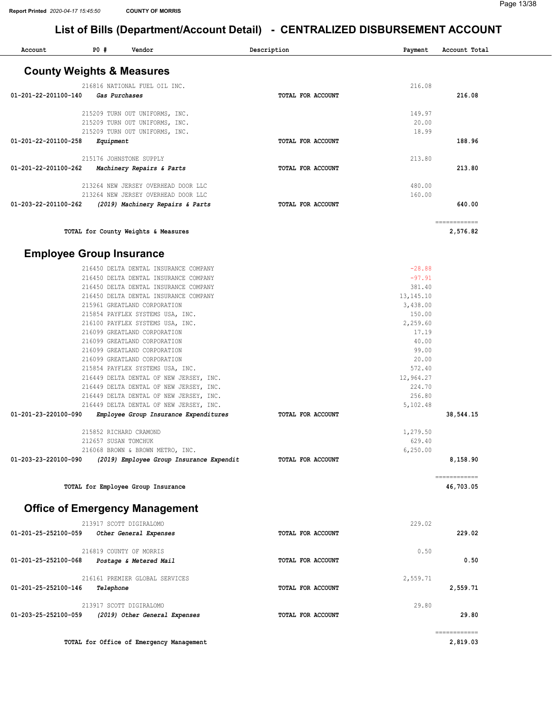| Account              | <b>PO #</b><br>Vendor                                                          | Description       | Payment            | Account Total             |
|----------------------|--------------------------------------------------------------------------------|-------------------|--------------------|---------------------------|
|                      | <b>County Weights &amp; Measures</b>                                           |                   |                    |                           |
|                      | 216816 NATIONAL FUEL OIL INC.                                                  |                   | 216.08             |                           |
| 01-201-22-201100-140 | Gas Purchases                                                                  | TOTAL FOR ACCOUNT |                    | 216.08                    |
|                      |                                                                                |                   |                    |                           |
|                      | 215209 TURN OUT UNIFORMS, INC.                                                 |                   | 149.97<br>20.00    |                           |
|                      | 215209 TURN OUT UNIFORMS, INC.<br>215209 TURN OUT UNIFORMS, INC.               |                   | 18.99              |                           |
| 01-201-22-201100-258 | Equipment                                                                      | TOTAL FOR ACCOUNT |                    | 188.96                    |
|                      |                                                                                |                   |                    |                           |
|                      | 215176 JOHNSTONE SUPPLY                                                        |                   | 213.80             |                           |
| 01-201-22-201100-262 | Machinery Repairs & Parts                                                      | TOTAL FOR ACCOUNT |                    | 213.80                    |
|                      | 213264 NEW JERSEY OVERHEAD DOOR LLC                                            |                   | 480.00             |                           |
|                      | 213264 NEW JERSEY OVERHEAD DOOR LLC                                            |                   | 160.00             |                           |
| 01-203-22-201100-262 | (2019) Machinery Repairs & Parts                                               | TOTAL FOR ACCOUNT |                    | 640.00                    |
|                      |                                                                                |                   |                    |                           |
|                      | TOTAL for County Weights & Measures                                            |                   |                    | -------------<br>2,576.82 |
|                      | <b>Employee Group Insurance</b>                                                |                   |                    |                           |
|                      |                                                                                |                   |                    |                           |
|                      | 216450 DELTA DENTAL INSURANCE COMPANY                                          |                   | $-28.88$           |                           |
|                      | 216450 DELTA DENTAL INSURANCE COMPANY<br>216450 DELTA DENTAL INSURANCE COMPANY |                   | $-97.91$<br>381.40 |                           |
|                      | 216450 DELTA DENTAL INSURANCE COMPANY                                          |                   | 13, 145. 10        |                           |
|                      | 215961 GREATLAND CORPORATION                                                   |                   | 3,438.00           |                           |
|                      | 215854 PAYFLEX SYSTEMS USA, INC.                                               |                   | 150.00             |                           |
|                      | 216100 PAYFLEX SYSTEMS USA, INC.                                               |                   | 2,259.60           |                           |
|                      | 216099 GREATLAND CORPORATION                                                   |                   | 17.19              |                           |
|                      | 216099 GREATLAND CORPORATION                                                   |                   | 40.00              |                           |
|                      | 216099 GREATLAND CORPORATION                                                   |                   | 99.00<br>20.00     |                           |
|                      | 216099 GREATLAND CORPORATION<br>215854 PAYFLEX SYSTEMS USA, INC.               |                   | 572.40             |                           |
|                      | 216449 DELTA DENTAL OF NEW JERSEY, INC.                                        |                   | 12,964.27          |                           |
|                      | 216449 DELTA DENTAL OF NEW JERSEY, INC.                                        |                   | 224.70             |                           |
|                      | 216449 DELTA DENTAL OF NEW JERSEY, INC.                                        |                   | 256.80             |                           |
|                      | 216449 DELTA DENTAL OF NEW JERSEY, INC.                                        |                   | 5,102.48           |                           |
| 01-201-23-220100-090 | Employee Group Insurance Expenditures                                          | TOTAL FOR ACCOUNT |                    | 38,544.15                 |
|                      | 215852 RICHARD CRAMOND                                                         |                   | 1,279.50           |                           |
|                      | 212657 SUSAN TOMCHUK                                                           |                   | 629.40             |                           |
|                      | 216068 BROWN & BROWN METRO, INC.                                               |                   | 6, 250.00          |                           |
| 01-203-23-220100-090 | (2019) Employee Group Insurance Expendit                                       | TOTAL FOR ACCOUNT |                    | 8,158.90                  |
|                      | TOTAL for Employee Group Insurance                                             |                   |                    | ============<br>46,703.05 |
|                      | <b>Office of Emergency Management</b>                                          |                   |                    |                           |
|                      |                                                                                |                   | 229.02             |                           |
| 01-201-25-252100-059 | 213917 SCOTT DIGIRALOMO<br>Other General Expenses                              | TOTAL FOR ACCOUNT |                    | 229.02                    |
|                      |                                                                                |                   |                    |                           |
|                      | 216819 COUNTY OF MORRIS                                                        |                   | 0.50               |                           |
| 01-201-25-252100-068 | <i>Postage &amp; Metered Mail</i>                                              | TOTAL FOR ACCOUNT |                    | 0.50                      |
|                      |                                                                                |                   |                    |                           |
| 01-201-25-252100-146 | 216161 PREMIER GLOBAL SERVICES<br>Telephone                                    | TOTAL FOR ACCOUNT | 2,559.71           | 2,559.71                  |
|                      |                                                                                |                   |                    |                           |
|                      | 213917 SCOTT DIGIRALOMO                                                        |                   | 29.80              |                           |
| 01-203-25-252100-059 | (2019) Other General Expenses                                                  | TOTAL FOR ACCOUNT |                    | 29.80                     |
|                      |                                                                                |                   |                    | ============              |
|                      | TOTAL for Office of Emergency Management                                       |                   |                    | 2,819.03                  |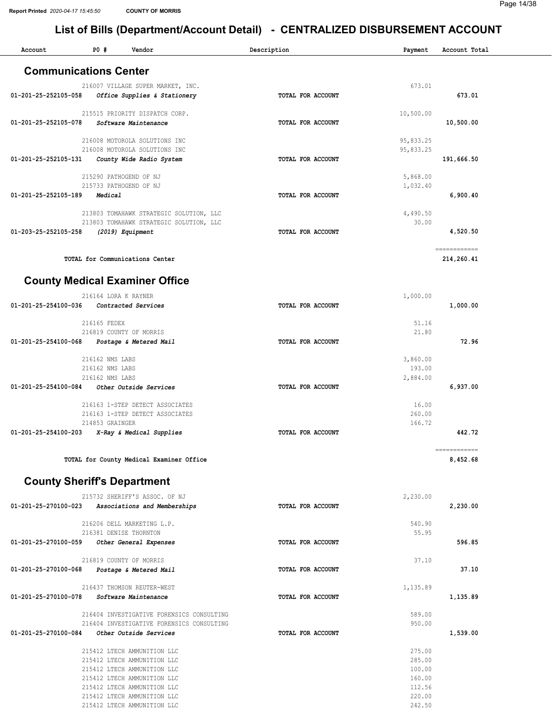| Account              | P0#<br>Vendor                                                       | Description       | Payment            | Account Total              |
|----------------------|---------------------------------------------------------------------|-------------------|--------------------|----------------------------|
|                      | <b>Communications Center</b>                                        |                   |                    |                            |
|                      | 216007 VILLAGE SUPER MARKET, INC.                                   |                   | 673.01             |                            |
| 01-201-25-252105-058 | Office Supplies & Stationery                                        | TOTAL FOR ACCOUNT |                    | 673.01                     |
|                      | 215515 PRIORITY DISPATCH CORP.                                      |                   | 10,500.00          |                            |
| 01-201-25-252105-078 | Software Maintenance                                                | TOTAL FOR ACCOUNT |                    | 10,500.00                  |
|                      | 216008 MOTOROLA SOLUTIONS INC                                       |                   | 95,833.25          |                            |
| 01-201-25-252105-131 | 216008 MOTOROLA SOLUTIONS INC<br>County Wide Radio System           | TOTAL FOR ACCOUNT | 95,833.25          | 191,666.50                 |
|                      | 215290 PATHOGEND OF NJ                                              |                   | 5,868.00           |                            |
|                      | 215733 PATHOGEND OF NJ                                              |                   | 1,032.40           |                            |
| 01-201-25-252105-189 | Medical                                                             | TOTAL FOR ACCOUNT |                    | 6,900.40                   |
|                      | 213803 TOMAHAWK STRATEGIC SOLUTION, LLC                             |                   | 4,490.50           |                            |
|                      | 213803 TOMAHAWK STRATEGIC SOLUTION, LLC                             |                   | 30.00              |                            |
| 01-203-25-252105-258 | (2019) Equipment                                                    | TOTAL FOR ACCOUNT |                    | 4,520.50                   |
|                      | TOTAL for Communications Center                                     |                   |                    | ------------<br>214,260.41 |
|                      |                                                                     |                   |                    |                            |
|                      | <b>County Medical Examiner Office</b>                               |                   |                    |                            |
|                      | 216164 LORA K RAYNER                                                |                   | 1,000.00           |                            |
| 01-201-25-254100-036 | Contracted Services                                                 | TOTAL FOR ACCOUNT |                    | 1,000.00                   |
|                      | 216165 FEDEX                                                        |                   | 51.16              |                            |
| 01-201-25-254100-068 | 216819 COUNTY OF MORRIS                                             | TOTAL FOR ACCOUNT | 21.80              | 72.96                      |
|                      | Postage & Metered Mail                                              |                   |                    |                            |
|                      | 216162 NMS LABS                                                     |                   | 3,860.00           |                            |
|                      | 216162 NMS LABS<br>216162 NMS LABS                                  |                   | 193.00<br>2,884.00 |                            |
| 01-201-25-254100-084 | Other Outside Services                                              | TOTAL FOR ACCOUNT |                    | 6,937.00                   |
|                      |                                                                     |                   |                    |                            |
|                      | 216163 1-STEP DETECT ASSOCIATES<br>216163 1-STEP DETECT ASSOCIATES  |                   | 16.00<br>260.00    |                            |
|                      | 214853 GRAINGER                                                     |                   | 166.72             |                            |
| 01-201-25-254100-203 | X-Ray & Medical Supplies                                            | TOTAL FOR ACCOUNT |                    | 442.72                     |
|                      | TOTAL for County Medical Examiner Office                            |                   |                    | ============<br>8,452.68   |
|                      | <b>County Sheriff's Department</b>                                  |                   |                    |                            |
|                      |                                                                     |                   |                    |                            |
| 01-201-25-270100-023 | 215732 SHERIFF'S ASSOC. OF NJ<br>Associations and Memberships       | TOTAL FOR ACCOUNT | 2,230.00           | 2,230.00                   |
|                      |                                                                     |                   |                    |                            |
|                      | 216206 DELL MARKETING L.P.<br>216381 DENISE THORNTON                |                   | 540.90<br>55.95    |                            |
| 01-201-25-270100-059 | Other General Expenses                                              | TOTAL FOR ACCOUNT |                    | 596.85                     |
|                      |                                                                     |                   |                    |                            |
| 01-201-25-270100-068 | 216819 COUNTY OF MORRIS<br>Postage & Metered Mail                   | TOTAL FOR ACCOUNT | 37.10              | 37.10                      |
|                      |                                                                     |                   |                    |                            |
| 01-201-25-270100-078 | 216437 THOMSON REUTER-WEST<br>Software Maintenance                  | TOTAL FOR ACCOUNT | 1,135.89           | 1,135.89                   |
|                      |                                                                     |                   |                    |                            |
|                      | 216404 INVESTIGATIVE FORENSICS CONSULTING                           |                   | 589.00             |                            |
| 01-201-25-270100-084 | 216404 INVESTIGATIVE FORENSICS CONSULTING<br>Other Outside Services | TOTAL FOR ACCOUNT | 950.00             | 1,539.00                   |
|                      |                                                                     |                   |                    |                            |
|                      | 215412 LTECH AMMUNITION LLC                                         |                   | 275.00<br>285.00   |                            |
|                      | 215412 LTECH AMMUNITION LLC<br>215412 LTECH AMMUNITION LLC          |                   | 100.00             |                            |
|                      | 215412 LTECH AMMUNITION LLC                                         |                   | 160.00             |                            |
|                      | 215412 LTECH AMMUNITION LLC                                         |                   | 112.56             |                            |
|                      | 215412 LTECH AMMUNITION LLC                                         |                   | 220.00             |                            |
|                      | 215412 LTECH AMMUNITION LLC                                         |                   | 242.50             |                            |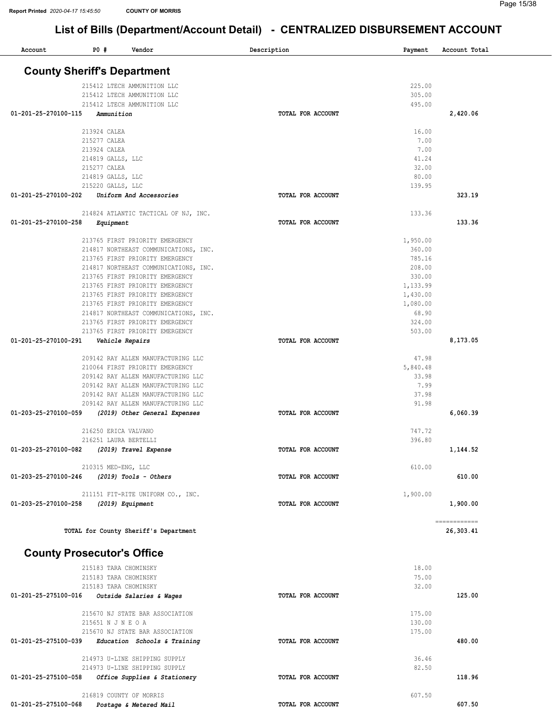| P0#<br>Vendor<br>Account                                           | Description       | Payment          | Account Total |
|--------------------------------------------------------------------|-------------------|------------------|---------------|
|                                                                    |                   |                  |               |
| <b>County Sheriff's Department</b>                                 |                   |                  |               |
| 215412 LTECH AMMUNITION LLC                                        |                   | 225.00           |               |
| 215412 LTECH AMMUNITION LLC                                        |                   | 305.00           |               |
| 215412 LTECH AMMUNITION LLC                                        |                   | 495.00           |               |
| 01-201-25-270100-115<br>Ammunition                                 | TOTAL FOR ACCOUNT |                  | 2,420.06      |
|                                                                    |                   |                  |               |
| 213924 CALEA                                                       |                   | 16.00            |               |
| 215277 CALEA                                                       |                   | 7.00             |               |
| 213924 CALEA                                                       |                   | 7.00             |               |
| 214819 GALLS, LLC                                                  |                   | 41.24            |               |
| 215277 CALEA                                                       |                   | 32.00<br>80.00   |               |
| 214819 GALLS, LLC<br>215220 GALLS, LLC                             |                   | 139.95           |               |
| 01-201-25-270100-202<br>Uniform And Accessories                    | TOTAL FOR ACCOUNT |                  | 323.19        |
|                                                                    |                   |                  |               |
| 214824 ATLANTIC TACTICAL OF NJ, INC.                               |                   | 133.36           |               |
| 01-201-25-270100-258<br>Equipment                                  | TOTAL FOR ACCOUNT |                  | 133.36        |
|                                                                    |                   |                  |               |
| 213765 FIRST PRIORITY EMERGENCY                                    |                   | 1,950.00         |               |
| 214817 NORTHEAST COMMUNICATIONS, INC.                              |                   | 360.00           |               |
| 213765 FIRST PRIORITY EMERGENCY                                    |                   | 785.16           |               |
| 214817 NORTHEAST COMMUNICATIONS, INC.                              |                   | 208.00           |               |
| 213765 FIRST PRIORITY EMERGENCY                                    |                   | 330.00           |               |
| 213765 FIRST PRIORITY EMERGENCY                                    |                   | 1,133.99         |               |
| 213765 FIRST PRIORITY EMERGENCY                                    |                   | 1,430.00         |               |
| 213765 FIRST PRIORITY EMERGENCY                                    |                   | 1,080.00         |               |
| 214817 NORTHEAST COMMUNICATIONS, INC.                              |                   | 68.90<br>324.00  |               |
| 213765 FIRST PRIORITY EMERGENCY<br>213765 FIRST PRIORITY EMERGENCY |                   | 503.00           |               |
| 01-201-25-270100-291<br>Vehicle Repairs                            | TOTAL FOR ACCOUNT |                  | 8,173.05      |
|                                                                    |                   |                  |               |
| 209142 RAY ALLEN MANUFACTURING LLC                                 |                   | 47.98            |               |
| 210064 FIRST PRIORITY EMERGENCY                                    |                   | 5,840.48         |               |
| 209142 RAY ALLEN MANUFACTURING LLC                                 |                   | 33.98            |               |
| 209142 RAY ALLEN MANUFACTURING LLC                                 |                   | 7.99             |               |
| 209142 RAY ALLEN MANUFACTURING LLC                                 |                   | 37.98            |               |
| 209142 RAY ALLEN MANUFACTURING LLC                                 |                   | 91.98            |               |
| 01-203-25-270100-059<br>(2019) Other General Expenses              | TOTAL FOR ACCOUNT |                  | 6,060.39      |
|                                                                    |                   |                  |               |
| 216250 ERICA VALVANO                                               |                   | 747.72           |               |
| 216251 LAURA BERTELLI                                              |                   | 396.80           |               |
| 01-203-25-270100-082 (2019) Travel Expense                         | TOTAL FOR ACCOUNT |                  | 1,144.52      |
| 210315 MED-ENG, LLC                                                |                   | 610.00           |               |
| 01-203-25-270100-246<br>$(2019)$ Tools - Others                    | TOTAL FOR ACCOUNT |                  | 610.00        |
|                                                                    |                   |                  |               |
| 211151 FIT-RITE UNIFORM CO., INC.                                  |                   | 1,900.00         |               |
| 01-203-25-270100-258<br>(2019) Equipment                           | TOTAL FOR ACCOUNT |                  | 1,900.00      |
|                                                                    |                   |                  |               |
|                                                                    |                   |                  | ============  |
| TOTAL for County Sheriff's Department                              |                   |                  | 26,303.41     |
|                                                                    |                   |                  |               |
| <b>County Prosecutor's Office</b>                                  |                   |                  |               |
|                                                                    |                   |                  |               |
| 215183 TARA CHOMINSKY                                              |                   | 18.00            |               |
| 215183 TARA CHOMINSKY                                              |                   | 75.00            |               |
| 215183 TARA CHOMINSKY                                              |                   | 32.00            |               |
| 01-201-25-275100-016 Outside Salaries & Wages                      | TOTAL FOR ACCOUNT |                  | 125.00        |
|                                                                    |                   |                  |               |
| 215670 NJ STATE BAR ASSOCIATION                                    |                   | 175.00<br>130.00 |               |
| 215651 N J N E O A<br>215670 NJ STATE BAR ASSOCIATION              |                   | 175.00           |               |
| Education Schools & Training<br>01-201-25-275100-039               | TOTAL FOR ACCOUNT |                  | 480.00        |
|                                                                    |                   |                  |               |
| 214973 U-LINE SHIPPING SUPPLY                                      |                   | 36.46            |               |
| 214973 U-LINE SHIPPING SUPPLY                                      |                   | 82.50            |               |
| 01-201-25-275100-058<br>Office Supplies & Stationery               | TOTAL FOR ACCOUNT |                  | 118.96        |
|                                                                    |                   |                  |               |
| 216819 COUNTY OF MORRIS                                            |                   | 607.50           |               |
| 01-201-25-275100-068<br>Postage & Metered Mail                     | TOTAL FOR ACCOUNT |                  | 607.50        |
|                                                                    |                   |                  |               |
|                                                                    |                   |                  |               |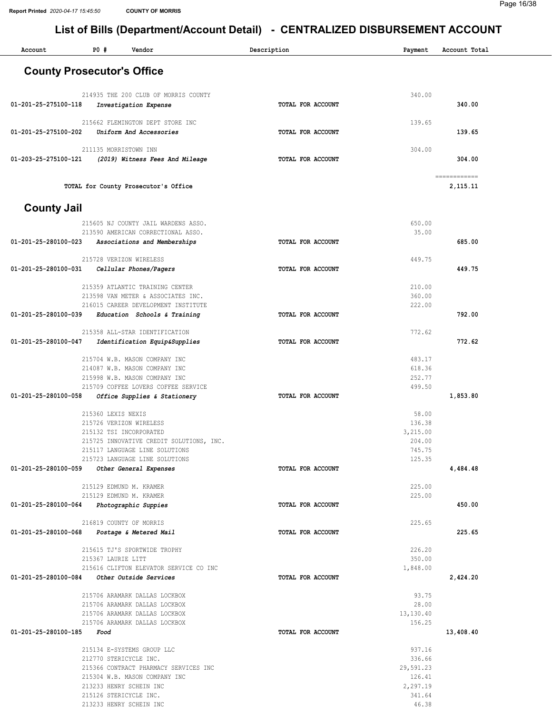| Account                           | PO#                     | Vendor                                                              | Description       | Payment             | Account Total            |
|-----------------------------------|-------------------------|---------------------------------------------------------------------|-------------------|---------------------|--------------------------|
| <b>County Prosecutor's Office</b> |                         |                                                                     |                   |                     |                          |
|                                   |                         | 214935 THE 200 CLUB OF MORRIS COUNTY                                |                   | 340.00              |                          |
| 01-201-25-275100-118              |                         | Investigation Expense                                               | TOTAL FOR ACCOUNT |                     | 340.00                   |
|                                   |                         |                                                                     |                   | 139.65              |                          |
| 01-201-25-275100-202              |                         | 215662 FLEMINGTON DEPT STORE INC<br>Uniform And Accessories         | TOTAL FOR ACCOUNT |                     | 139.65                   |
|                                   |                         |                                                                     |                   |                     |                          |
| 01-203-25-275100-121              | 211135 MORRISTOWN INN   | (2019) Witness Fees And Mileage                                     | TOTAL FOR ACCOUNT | 304.00              | 304.00                   |
|                                   |                         |                                                                     |                   |                     |                          |
|                                   |                         | TOTAL for County Prosecutor's Office                                |                   |                     | ============<br>2,115.11 |
| <b>County Jail</b>                |                         |                                                                     |                   |                     |                          |
|                                   |                         | 215605 NJ COUNTY JAIL WARDENS ASSO.                                 |                   | 650.00              |                          |
|                                   |                         | 213590 AMERICAN CORRECTIONAL ASSO.                                  |                   | 35.00               |                          |
| 01-201-25-280100-023              |                         | Associations and Memberships                                        | TOTAL FOR ACCOUNT |                     | 685.00                   |
|                                   |                         | 215728 VERIZON WIRELESS                                             |                   | 449.75              |                          |
| 01-201-25-280100-031              |                         | Cellular Phones/Pagers                                              | TOTAL FOR ACCOUNT |                     | 449.75                   |
|                                   |                         | 215359 ATLANTIC TRAINING CENTER                                     |                   | 210.00              |                          |
|                                   |                         | 213598 VAN METER & ASSOCIATES INC.                                  |                   | 360.00              |                          |
| 01-201-25-280100-039              |                         | 216015 CAREER DEVELOPMENT INSTITUTE<br>Education Schools & Training | TOTAL FOR ACCOUNT | 222.00              | 792.00                   |
|                                   |                         |                                                                     |                   |                     |                          |
| 01-201-25-280100-047              |                         | 215358 ALL-STAR IDENTIFICATION<br>Identification Equip&Supplies     | TOTAL FOR ACCOUNT | 772.62              | 772.62                   |
|                                   |                         |                                                                     |                   |                     |                          |
|                                   |                         | 215704 W.B. MASON COMPANY INC<br>214087 W.B. MASON COMPANY INC      |                   | 483.17<br>618.36    |                          |
|                                   |                         | 215998 W.B. MASON COMPANY INC                                       |                   | 252.77              |                          |
|                                   |                         | 215709 COFFEE LOVERS COFFEE SERVICE                                 |                   | 499.50              |                          |
| 01-201-25-280100-058              |                         | Office Supplies & Stationery                                        | TOTAL FOR ACCOUNT |                     | 1,853.80                 |
|                                   | 215360 LEXIS NEXIS      |                                                                     |                   | 58.00               |                          |
|                                   | 215726 VERIZON WIRELESS | 215132 TSI INCORPORATED                                             |                   | 136.38<br>3,215.00  |                          |
|                                   |                         | 215725 INNOVATIVE CREDIT SOLUTIONS, INC.                            |                   | 204.00              |                          |
|                                   |                         | 215117 LANGUAGE LINE SOLUTIONS                                      |                   | 745.75              |                          |
| 01-201-25-280100-059              |                         | 215723 LANGUAGE LINE SOLUTIONS<br>Other General Expenses            | TOTAL FOR ACCOUNT | 125.35              | 4,484.48                 |
|                                   |                         |                                                                     |                   |                     |                          |
|                                   |                         | 215129 EDMUND M. KRAMER<br>215129 EDMUND M. KRAMER                  |                   | 225.00<br>225.00    |                          |
| 01-201-25-280100-064              |                         | Photographic Suppies                                                | TOTAL FOR ACCOUNT |                     | 450.00                   |
|                                   |                         | 216819 COUNTY OF MORRIS                                             |                   | 225.65              |                          |
| 01-201-25-280100-068              |                         | Postage & Metered Mail                                              | TOTAL FOR ACCOUNT |                     | 225.65                   |
|                                   |                         |                                                                     |                   |                     |                          |
|                                   | 215367 LAURIE LITT      | 215615 TJ'S SPORTWIDE TROPHY                                        |                   | 226.20<br>350.00    |                          |
|                                   |                         | 215616 CLIFTON ELEVATOR SERVICE CO INC                              |                   | 1,848.00            |                          |
| 01-201-25-280100-084              |                         | Other Outside Services                                              | TOTAL FOR ACCOUNT |                     | 2,424.20                 |
|                                   |                         | 215706 ARAMARK DALLAS LOCKBOX                                       |                   | 93.75               |                          |
|                                   |                         | 215706 ARAMARK DALLAS LOCKBOX                                       |                   | 28.00               |                          |
|                                   |                         | 215706 ARAMARK DALLAS LOCKBOX<br>215706 ARAMARK DALLAS LOCKBOX      |                   | 13,130.40<br>156.25 |                          |
| 01-201-25-280100-185              | Food                    |                                                                     | TOTAL FOR ACCOUNT |                     | 13,408.40                |
|                                   |                         | 215134 E-SYSTEMS GROUP LLC                                          |                   | 937.16              |                          |
|                                   | 212770 STERICYCLE INC.  |                                                                     |                   | 336.66              |                          |
|                                   |                         | 215366 CONTRACT PHARMACY SERVICES INC                               |                   | 29,591.23           |                          |
|                                   |                         | 215304 W.B. MASON COMPANY INC                                       |                   | 126.41              |                          |
|                                   | 215126 STERICYCLE INC.  | 213233 HENRY SCHEIN INC                                             |                   | 2,297.19<br>341.64  |                          |
|                                   |                         | 213233 HENRY SCHEIN INC                                             |                   | 46.38               |                          |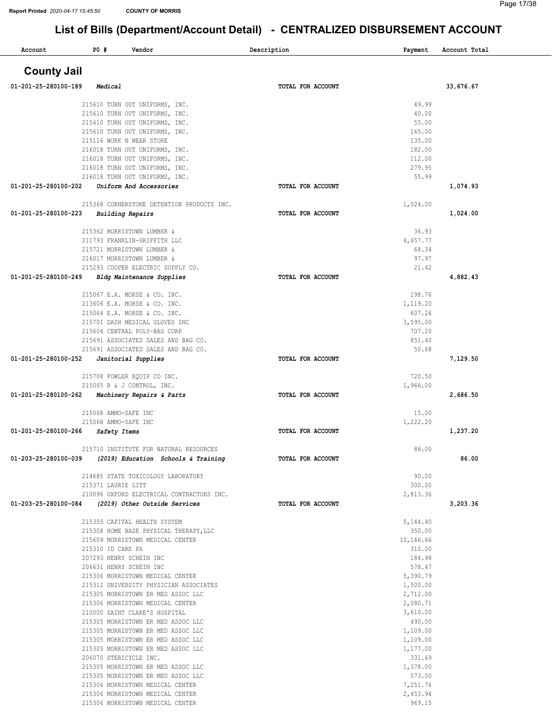| Account              | P0#                | Vendor                                                                     | Description       | Payment            | Account Total |
|----------------------|--------------------|----------------------------------------------------------------------------|-------------------|--------------------|---------------|
| <b>County Jail</b>   |                    |                                                                            |                   |                    |               |
| 01-201-25-280100-189 | Medical            |                                                                            | TOTAL FOR ACCOUNT |                    | 33,676.67     |
|                      |                    | 215610 TURN OUT UNIFORMS, INC.                                             |                   | 49.99              |               |
|                      |                    | 215610 TURN OUT UNIFORMS, INC.                                             |                   | 40.00              |               |
|                      |                    | 215610 TURN OUT UNIFORMS, INC.                                             |                   | 55.00              |               |
|                      |                    | 215610 TURN OUT UNIFORMS, INC.                                             |                   | 165.00             |               |
|                      |                    | 215116 WORK N WEAR STORE                                                   |                   | 135.00             |               |
|                      |                    | 216018 TURN OUT UNIFORMS, INC.                                             |                   | 182.00             |               |
|                      |                    | 216018 TURN OUT UNIFORMS, INC.                                             |                   | 112.00<br>279.95   |               |
|                      |                    | 216018 TURN OUT UNIFORMS, INC.<br>216018 TURN OUT UNIFORMS, INC.           |                   | 55.99              |               |
| 01-201-25-280100-202 |                    | Uniform And Accessories                                                    | TOTAL FOR ACCOUNT |                    | 1,074.93      |
|                      |                    | 215368 CORNERSTONE DETENTION PRODUCTS INC.                                 |                   | 1,024.00           |               |
| 01-201-25-280100-223 |                    | <b>Building Repairs</b>                                                    | TOTAL FOR ACCOUNT |                    | 1,024.00      |
|                      |                    | 215362 MORRISTOWN LUMBER &                                                 |                   | 36.93              |               |
|                      |                    | 211793 FRANKLIN-GRIFFITH LLC                                               |                   | 4,657.77           |               |
|                      |                    | 215721 MORRISTOWN LUMBER &                                                 |                   | 68.34              |               |
|                      |                    | 216017 MORRISTOWN LUMBER &                                                 |                   | 97.97              |               |
| 01-201-25-280100-249 |                    | 215293 COOPER ELECTRIC SUPPLY CO.<br>Bldg Maintenance Supplies             | TOTAL FOR ACCOUNT | 21.42              |               |
|                      |                    |                                                                            |                   |                    | 4,882.43      |
|                      |                    | 215067 E.A. MORSE & CO. INC.                                               |                   | 198.76             |               |
|                      |                    | 213606 E.A. MORSE & CO. INC.                                               |                   | 1,119.20           |               |
|                      |                    | 215064 E.A. MORSE & CO. INC.                                               |                   | 607.26             |               |
|                      |                    | 215701 DASH MEDICAL GLOVES INC                                             |                   | 3,595.00           |               |
|                      |                    | 215604 CENTRAL POLY-BAG CORP                                               |                   | 707.20<br>851.40   |               |
|                      |                    | 215691 ASSOCIATED SALES AND BAG CO.<br>215691 ASSOCIATED SALES AND BAG CO. |                   | 50.68              |               |
| 01-201-25-280100-252 |                    | Janitorial Supplies                                                        | TOTAL FOR ACCOUNT |                    | 7,129.50      |
|                      |                    |                                                                            |                   |                    |               |
|                      |                    | 215708 FOWLER EQUIP CO INC.                                                |                   | 720.50             |               |
| 01-201-25-280100-262 |                    | 215065 R & J CONTROL, INC.                                                 | TOTAL FOR ACCOUNT | 1,966.00           | 2,686.50      |
|                      |                    | Machinery Repairs & Parts                                                  |                   |                    |               |
|                      |                    | 215068 AMMO-SAFE INC                                                       |                   | 15.00              |               |
|                      |                    | 215068 AMMO-SAFE INC                                                       |                   | 1,222.20           |               |
| 01-201-25-280100-266 | Safety Items       |                                                                            | TOTAL FOR ACCOUNT |                    | 1,237.20      |
|                      |                    | 215710 INSTITUTE FOR NATURAL RESOURCES                                     |                   | 86.00              |               |
| 01-203-25-280100-039 |                    | (2019) Education Schools & Training                                        | TOTAL FOR ACCOUNT |                    | 86.00         |
|                      |                    |                                                                            |                   |                    |               |
|                      | 215371 LAURIE LITT | 214685 STATE TOXICOLOGY LABORATORY                                         |                   | 90.00<br>300.00    |               |
|                      |                    | 210096 OXFORD ELECTRICAL CONTRACTORS INC.                                  |                   | 2,813.36           |               |
| 01-203-25-280100-084 |                    | (2019) Other Outside Services                                              | TOTAL FOR ACCOUNT |                    | 3,203.36      |
|                      |                    |                                                                            |                   |                    |               |
|                      |                    | 215355 CAPITAL HEALTH SYSTEM                                               |                   | 5,144.40           |               |
|                      |                    | 215308 HOME BASE PHYSICAL THERAPY, LLC                                     |                   | 350.00             |               |
|                      |                    | 215609 MORRISTOWN MEDICAL CENTER                                           |                   | 10,146.66          |               |
|                      | 215310 ID CARE PA  | 207293 HENRY SCHEIN INC                                                    |                   | 310.00<br>184.98   |               |
|                      |                    | 206631 HENRY SCHEIN INC                                                    |                   | 578.47             |               |
|                      |                    | 215306 MORRISTOWN MEDICAL CENTER                                           |                   | 5,390.79           |               |
|                      |                    | 215312 UNIVERSITY PHYSICIAN ASSOCIATES                                     |                   | 1,500.00           |               |
|                      |                    | 215305 MORRISTOWN ER MED ASSOC LLC                                         |                   | 2,712.00           |               |
|                      |                    | 215306 MORRISTOWN MEDICAL CENTER                                           |                   | 2,080.71           |               |
|                      |                    | 210000 SAINT CLARE'S HOSPITAL                                              |                   | 3,610.00           |               |
|                      |                    | 215305 MORRISTOWN ER MED ASSOC LLC<br>215305 MORRISTOWN ER MED ASSOC LLC   |                   | 490.00<br>1,109.00 |               |
|                      |                    | 215305 MORRISTOWN ER MED ASSOC LLC                                         |                   | 1,109.00           |               |
|                      |                    | 215305 MORRISTOWN ER MED ASSOC LLC                                         |                   | 1,177.00           |               |
|                      |                    | 206070 STERICYCLE INC.                                                     |                   | 331.69             |               |
|                      |                    | 215305 MORRISTOWN ER MED ASSOC LLC                                         |                   | 1,378.00           |               |
|                      |                    | 215305 MORRISTOWN ER MED ASSOC LLC                                         |                   | 573.00             |               |
|                      |                    | 215306 MORRISTOWN MEDICAL CENTER                                           |                   | 7,251.76           |               |
|                      |                    | 215306 MORRISTOWN MEDICAL CENTER                                           |                   | 2,453.94           |               |
|                      |                    | 215306 MORRISTOWN MEDICAL CENTER                                           |                   | 969.15             |               |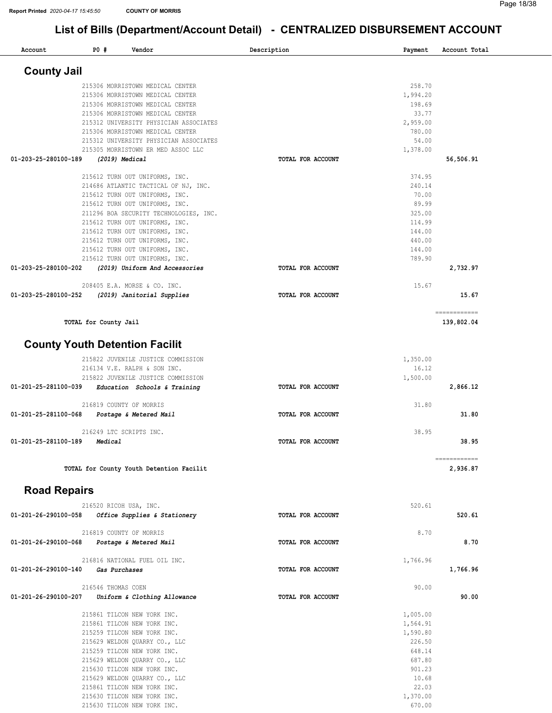| Account                                        | P0#                   | Vendor                                                                   | Description       | Payment            | Account Total              |
|------------------------------------------------|-----------------------|--------------------------------------------------------------------------|-------------------|--------------------|----------------------------|
| <b>County Jail</b>                             |                       |                                                                          |                   |                    |                            |
|                                                |                       | 215306 MORRISTOWN MEDICAL CENTER                                         |                   | 258.70             |                            |
|                                                |                       | 215306 MORRISTOWN MEDICAL CENTER                                         |                   | 1,994.20           |                            |
|                                                |                       | 215306 MORRISTOWN MEDICAL CENTER                                         |                   | 198.69             |                            |
|                                                |                       | 215306 MORRISTOWN MEDICAL CENTER                                         |                   | 33.77              |                            |
|                                                |                       | 215312 UNIVERSITY PHYSICIAN ASSOCIATES                                   |                   | 2,959.00           |                            |
|                                                |                       | 215306 MORRISTOWN MEDICAL CENTER                                         |                   | 780.00             |                            |
|                                                |                       | 215312 UNIVERSITY PHYSICIAN ASSOCIATES                                   |                   | 54.00              |                            |
|                                                |                       | 215305 MORRISTOWN ER MED ASSOC LLC                                       |                   | 1,378.00           |                            |
| 01-203-25-280100-189                           |                       | $(2019)$ Medical                                                         | TOTAL FOR ACCOUNT |                    | 56,506.91                  |
|                                                |                       | 215612 TURN OUT UNIFORMS, INC.                                           |                   | 374.95             |                            |
|                                                |                       | 214686 ATLANTIC TACTICAL OF NJ, INC.                                     |                   | 240.14             |                            |
|                                                |                       | 215612 TURN OUT UNIFORMS, INC.                                           |                   | 70.00              |                            |
|                                                |                       | 215612 TURN OUT UNIFORMS, INC.                                           |                   | 89.99              |                            |
|                                                |                       | 211296 BOA SECURITY TECHNOLOGIES, INC.<br>215612 TURN OUT UNIFORMS, INC. |                   | 325.00<br>114.99   |                            |
|                                                |                       | 215612 TURN OUT UNIFORMS, INC.                                           |                   | 144.00             |                            |
|                                                |                       | 215612 TURN OUT UNIFORMS, INC.                                           |                   | 440.00             |                            |
|                                                |                       | 215612 TURN OUT UNIFORMS, INC.                                           |                   | 144.00             |                            |
|                                                |                       | 215612 TURN OUT UNIFORMS, INC.                                           |                   | 789.90             |                            |
| 01-203-25-280100-202                           |                       | (2019) Uniform And Accessories                                           | TOTAL FOR ACCOUNT |                    | 2,732.97                   |
|                                                |                       |                                                                          |                   |                    |                            |
|                                                |                       | 208405 E.A. MORSE & CO. INC.                                             |                   | 15.67              |                            |
| 01-203-25-280100-252                           |                       | (2019) Janitorial Supplies                                               | TOTAL FOR ACCOUNT |                    | 15.67                      |
|                                                |                       |                                                                          |                   |                    |                            |
|                                                | TOTAL for County Jail |                                                                          |                   |                    | ============<br>139,802.04 |
|                                                |                       |                                                                          |                   |                    |                            |
|                                                |                       | <b>County Youth Detention Facilit</b>                                    |                   |                    |                            |
|                                                |                       | 215822 JUVENILE JUSTICE COMMISSION                                       |                   | 1,350.00           |                            |
|                                                |                       | 216134 V.E. RALPH & SON INC.                                             |                   | 16.12              |                            |
|                                                |                       | 215822 JUVENILE JUSTICE COMMISSION                                       |                   | 1,500.00           |                            |
| 01-201-25-281100-039                           |                       | Education Schools & Training                                             | TOTAL FOR ACCOUNT |                    | 2,866.12                   |
|                                                |                       | 216819 COUNTY OF MORRIS                                                  |                   | 31.80              |                            |
| 01-201-25-281100-068                           |                       | Postage & Metered Mail                                                   | TOTAL FOR ACCOUNT |                    | 31.80                      |
|                                                |                       |                                                                          |                   |                    |                            |
|                                                |                       | 216249 LTC SCRIPTS INC.                                                  |                   | 38.95              |                            |
| 01-201-25-281100-189                           | Medical               |                                                                          | TOTAL FOR ACCOUNT |                    | 38.95                      |
|                                                |                       |                                                                          |                   |                    | ============               |
|                                                |                       | TOTAL for County Youth Detention Facilit                                 |                   |                    | 2,936.87                   |
| <b>Road Repairs</b>                            |                       |                                                                          |                   |                    |                            |
|                                                |                       | 216520 RICOH USA, INC.                                                   |                   | 520.61             |                            |
| 01-201-26-290100-058                           |                       | Office Supplies & Stationery                                             | TOTAL FOR ACCOUNT |                    | 520.61                     |
|                                                |                       |                                                                          |                   |                    |                            |
|                                                |                       | 216819 COUNTY OF MORRIS                                                  |                   | 8.70               |                            |
| 01-201-26-290100-068    Postage & Metered Mail |                       |                                                                          | TOTAL FOR ACCOUNT |                    | 8.70                       |
|                                                |                       |                                                                          |                   |                    |                            |
|                                                |                       | 216816 NATIONAL FUEL OIL INC.                                            |                   | 1,766.96           |                            |
| 01-201-26-290100-140 Gas Purchases             |                       |                                                                          | TOTAL FOR ACCOUNT |                    | 1,766.96                   |
|                                                | 216546 THOMAS COEN    |                                                                          |                   | 90.00              |                            |
| 01-201-26-290100-207                           |                       | Uniform & Clothing Allowance                                             | TOTAL FOR ACCOUNT |                    | 90.00                      |
|                                                |                       |                                                                          |                   |                    |                            |
|                                                |                       | 215861 TILCON NEW YORK INC.                                              |                   | 1,005.00           |                            |
|                                                |                       | 215861 TILCON NEW YORK INC.                                              |                   | 1,564.91           |                            |
|                                                |                       | 215259 TILCON NEW YORK INC.                                              |                   | 1,590.80           |                            |
|                                                |                       | 215629 WELDON QUARRY CO., LLC                                            |                   | 226.50             |                            |
|                                                |                       | 215259 TILCON NEW YORK INC.                                              |                   | 648.14             |                            |
|                                                |                       | 215629 WELDON QUARRY CO., LLC                                            |                   | 687.80             |                            |
|                                                |                       | 215630 TILCON NEW YORK INC.                                              |                   | 901.23             |                            |
|                                                |                       | 215629 WELDON QUARRY CO., LLC                                            |                   | 10.68              |                            |
|                                                |                       | 215861 TILCON NEW YORK INC.                                              |                   | 22.03              |                            |
|                                                |                       | 215630 TILCON NEW YORK INC.<br>215630 TILCON NEW YORK INC.               |                   | 1,370.00<br>670.00 |                            |
|                                                |                       |                                                                          |                   |                    |                            |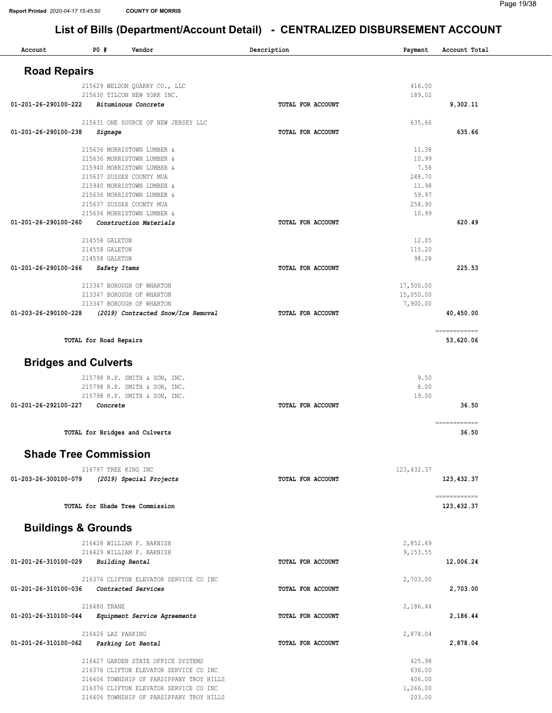| Account                        | P0#                    | Vendor                                                                             | Description<br>Payment   | Account Total             |
|--------------------------------|------------------------|------------------------------------------------------------------------------------|--------------------------|---------------------------|
| <b>Road Repairs</b>            |                        |                                                                                    |                          |                           |
|                                |                        | 215629 WELDON QUARRY CO., LLC                                                      |                          | 416.00                    |
|                                |                        | 215630 TILCON NEW YORK INC.                                                        |                          | 189.02                    |
| 01-201-26-290100-222           |                        | Bituminous Concrete                                                                | <b>TOTAL FOR ACCOUNT</b> | 9,302.11                  |
|                                |                        | 215631 ONE SOURCE OF NEW JERSEY LLC                                                |                          | 635.66                    |
| 01-201-26-290100-238           | Signage                |                                                                                    | TOTAL FOR ACCOUNT        | 635.66                    |
|                                |                        | 215636 MORRISTOWN LUMBER &                                                         |                          | 11.38                     |
|                                |                        | 215636 MORRISTOWN LUMBER &                                                         |                          | 10.99                     |
|                                |                        | 215940 MORRISTOWN LUMBER &                                                         |                          | 7.58                      |
|                                |                        | 215637 SUSSEX COUNTY MUA                                                           |                          | 248.70                    |
|                                |                        | 215940 MORRISTOWN LUMBER &                                                         |                          | 11.98                     |
|                                |                        | 215636 MORRISTOWN LUMBER &                                                         |                          | 59.97                     |
|                                |                        | 215637 SUSSEX COUNTY MUA                                                           |                          | 258.90                    |
|                                |                        | 215636 MORRISTOWN LUMBER &                                                         |                          | 10.99                     |
| 01-201-26-290100-260           |                        | Construction Materials                                                             | TOTAL FOR ACCOUNT        | 620.49                    |
|                                | 214558 GALETON         |                                                                                    |                          | 12.05                     |
|                                | 214558 GALETON         |                                                                                    |                          | 115.20                    |
|                                | 214558 GALETON         |                                                                                    |                          | 98.28                     |
| 01-201-26-290100-266           | Safety Items           |                                                                                    | TOTAL FOR ACCOUNT        | 225.53                    |
|                                |                        | 213347 BOROUGH OF WHARTON                                                          | 17,500.00                |                           |
|                                |                        | 213347 BOROUGH OF WHARTON                                                          | 15,050.00                |                           |
|                                |                        | 213347 BOROUGH OF WHARTON                                                          |                          | 7,900.00                  |
| 01-203-26-290100-228           |                        | (2019) Contracted Snow/Ice Removal                                                 | TOTAL FOR ACCOUNT        | 40,450.00                 |
|                                |                        |                                                                                    |                          | ------------<br>53,620.06 |
|                                | TOTAL for Road Repairs |                                                                                    |                          |                           |
| <b>Bridges and Culverts</b>    |                        |                                                                                    |                          |                           |
|                                |                        | 215798 R.P. SMITH & SON, INC.                                                      |                          | 9.50                      |
|                                |                        | 215798 R.P. SMITH & SON, INC.                                                      |                          | 8.00                      |
|                                |                        | 215798 R.P. SMITH & SON, INC.                                                      |                          | 19.00                     |
| 01-201-26-292100-227           | Concrete               |                                                                                    | TOTAL FOR ACCOUNT        | 36.50                     |
|                                |                        |                                                                                    |                          | -------------             |
|                                |                        | TOTAL for Bridges and Culverts                                                     |                          | 36.50                     |
| <b>Shade Tree Commission</b>   |                        |                                                                                    |                          |                           |
|                                | 216797 TREE KING INC   |                                                                                    | 123, 432.37              |                           |
| 01-203-26-300100-079           |                        | (2019) Special Projects                                                            | TOTAL FOR ACCOUNT        | 123,432.37                |
|                                |                        | TOTAL for Shade Tree Commission                                                    |                          | ------------              |
|                                |                        |                                                                                    |                          | 123,432.37                |
| <b>Buildings &amp; Grounds</b> |                        |                                                                                    |                          |                           |
|                                |                        | 216428 WILLIAM F. BARNISH                                                          |                          | 2,852.69                  |
|                                |                        | 216429 WILLIAM F. BARNISH                                                          |                          | 9,153.55                  |
| 01-201-26-310100-029           |                        | Building Rental                                                                    | TOTAL FOR ACCOUNT        | 12,006.24                 |
|                                |                        | 216376 CLIFTON ELEVATOR SERVICE CO INC                                             |                          | 2,703.00                  |
| 01-201-26-310100-036           |                        | Contracted Services                                                                | TOTAL FOR ACCOUNT        | 2,703.00                  |
|                                |                        |                                                                                    |                          |                           |
|                                | 216480 TRANE           |                                                                                    |                          | 2,186.44                  |
| 01-201-26-310100-044           |                        | Equipment Service Agreements                                                       | TOTAL FOR ACCOUNT        | 2,186.44                  |
|                                | 216426 LAZ PARKING     |                                                                                    |                          | 2,878.04                  |
|                                |                        | Parking Lot Rental                                                                 | TOTAL FOR ACCOUNT        | 2,878.04                  |
|                                |                        | 216427 GARDEN STATE OFFICE SYSTEMS                                                 |                          | 425.98                    |
| 01-201-26-310100-062           |                        |                                                                                    |                          |                           |
|                                |                        |                                                                                    |                          |                           |
|                                |                        | 216376 CLIFTON ELEVATOR SERVICE CO INC                                             |                          | 636.00                    |
|                                |                        | 216406 TOWNSHIP OF PARSIPPANY TROY HILLS<br>216376 CLIFTON ELEVATOR SERVICE CO INC |                          | 406.00<br>1,266.00        |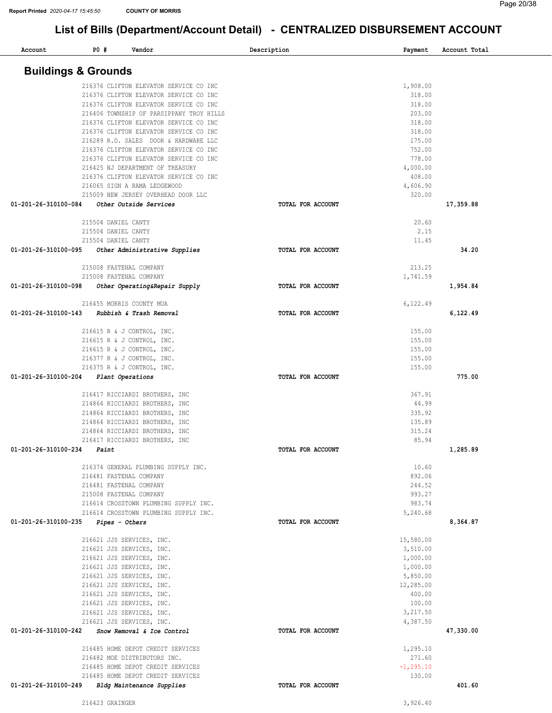| Account                        | $P0$ # |                     | Vendor                                                                             | Description |                   | Payment                | Account Total |
|--------------------------------|--------|---------------------|------------------------------------------------------------------------------------|-------------|-------------------|------------------------|---------------|
| <b>Buildings &amp; Grounds</b> |        |                     |                                                                                    |             |                   |                        |               |
|                                |        |                     |                                                                                    |             |                   |                        |               |
|                                |        |                     | 216376 CLIFTON ELEVATOR SERVICE CO INC                                             |             |                   | 1,908.00               |               |
|                                |        |                     | 216376 CLIFTON ELEVATOR SERVICE CO INC                                             |             |                   | 318.00                 |               |
|                                |        |                     | 216376 CLIFTON ELEVATOR SERVICE CO INC                                             |             |                   | 318.00<br>203.00       |               |
|                                |        |                     | 216406 TOWNSHIP OF PARSIPPANY TROY HILLS<br>216376 CLIFTON ELEVATOR SERVICE CO INC |             |                   | 318.00                 |               |
|                                |        |                     | 216376 CLIFTON ELEVATOR SERVICE CO INC                                             |             |                   | 318.00                 |               |
|                                |        |                     | 216289 R.D. SALES DOOR & HARDWARE LLC                                              |             |                   | 175.00                 |               |
|                                |        |                     | 216376 CLIFTON ELEVATOR SERVICE CO INC                                             |             |                   | 752.00                 |               |
|                                |        |                     | 216376 CLIFTON ELEVATOR SERVICE CO INC                                             |             |                   | 778.00                 |               |
|                                |        |                     | 216425 NJ DEPARTMENT OF TREASURY                                                   |             |                   | 4,000.00               |               |
|                                |        |                     | 216376 CLIFTON ELEVATOR SERVICE CO INC                                             |             |                   | 408.00                 |               |
|                                |        |                     | 216065 SIGN A RAMA LEDGEWOOD                                                       |             |                   | 4,606.90               |               |
|                                |        |                     | 215009 NEW JERSEY OVERHEAD DOOR LLC                                                |             |                   | 320.00                 |               |
| 01-201-26-310100-084           |        |                     | Other Outside Services                                                             |             | TOTAL FOR ACCOUNT |                        | 17,359.88     |
|                                |        | 215504 DANIEL CANTY |                                                                                    |             |                   | 20.60                  |               |
|                                |        | 215504 DANIEL CANTY |                                                                                    |             |                   | 2.15                   |               |
|                                |        | 215504 DANIEL CANTY |                                                                                    |             |                   | 11.45                  |               |
| 01-201-26-310100-095           |        |                     | Other Administrative Supplies                                                      |             | TOTAL FOR ACCOUNT |                        | 34.20         |
|                                |        |                     |                                                                                    |             |                   |                        |               |
|                                |        |                     | 215008 FASTENAL COMPANY                                                            |             |                   | 213.25                 |               |
|                                |        |                     | 215008 FASTENAL COMPANY                                                            |             |                   | 1,741.59               |               |
| 01-201-26-310100-098           |        |                     | Other Operating&Repair Supply                                                      |             | TOTAL FOR ACCOUNT |                        | 1,954.84      |
|                                |        |                     | 216455 MORRIS COUNTY MUA                                                           |             |                   | 6,122.49               |               |
| 01-201-26-310100-143           |        |                     | Rubbish & Trash Removal                                                            |             | TOTAL FOR ACCOUNT |                        | 6,122.49      |
|                                |        |                     |                                                                                    |             |                   |                        |               |
|                                |        |                     | 216615 R & J CONTROL, INC.                                                         |             |                   | 155.00                 |               |
|                                |        |                     | 216615 R & J CONTROL, INC.                                                         |             |                   | 155.00                 |               |
|                                |        |                     | 216615 R & J CONTROL, INC.                                                         |             |                   | 155.00                 |               |
|                                |        |                     | 216377 R & J CONTROL, INC.                                                         |             |                   | 155.00                 |               |
| 01-201-26-310100-204           |        | Plant Operations    | 216375 R & J CONTROL, INC.                                                         |             | TOTAL FOR ACCOUNT | 155.00                 | 775.00        |
|                                |        |                     |                                                                                    |             |                   |                        |               |
|                                |        |                     | 216417 RICCIARDI BROTHERS, INC                                                     |             |                   | 367.91                 |               |
|                                |        |                     | 214864 RICCIARDI BROTHERS, INC                                                     |             |                   | 44.99                  |               |
|                                |        |                     | 214864 RICCIARDI BROTHERS, INC                                                     |             |                   | 335.92                 |               |
|                                |        |                     | 214864 RICCIARDI BROTHERS, INC                                                     |             |                   | 135.89                 |               |
|                                |        |                     | 214864 RICCIARDI BROTHERS, INC                                                     |             |                   | 315.24                 |               |
|                                |        |                     | 216417 RICCIARDI BROTHERS, INC                                                     |             |                   | 85.94                  |               |
| 01-201-26-310100-234           |        | Paint               |                                                                                    |             | TOTAL FOR ACCOUNT |                        | 1,285.89      |
|                                |        |                     | 216374 GENERAL PLUMBING SUPPLY INC.                                                |             |                   | 10.60                  |               |
|                                |        |                     | 216481 FASTENAL COMPANY                                                            |             |                   | 892.06                 |               |
|                                |        |                     | 216481 FASTENAL COMPANY                                                            |             |                   | 244.52                 |               |
|                                |        |                     | 215008 FASTENAL COMPANY                                                            |             |                   | 993.27                 |               |
|                                |        |                     | 216614 CROSSTOWN PLUMBING SUPPLY INC.                                              |             |                   | 983.74                 |               |
|                                |        |                     | 216614 CROSSTOWN PLUMBING SUPPLY INC.                                              |             |                   | 5,240.68               |               |
| 01-201-26-310100-235           |        | Pipes - Others      |                                                                                    |             | TOTAL FOR ACCOUNT |                        | 8,364.87      |
|                                |        |                     | 216621 JJS SERVICES, INC.                                                          |             |                   | 15,580.00              |               |
|                                |        |                     | 216621 JJS SERVICES, INC.                                                          |             |                   | 3,510.00               |               |
|                                |        |                     | 216621 JJS SERVICES, INC.                                                          |             |                   | 1,000.00               |               |
|                                |        |                     | 216621 JJS SERVICES, INC.                                                          |             |                   | 1,000.00               |               |
|                                |        |                     | 216621 JJS SERVICES, INC.                                                          |             |                   | 5,850.00               |               |
|                                |        |                     | 216621 JJS SERVICES, INC.                                                          |             |                   | 12,285.00              |               |
|                                |        |                     | 216621 JJS SERVICES, INC.                                                          |             |                   | 400.00                 |               |
|                                |        |                     | 216621 JJS SERVICES, INC.                                                          |             |                   | 100.00                 |               |
|                                |        |                     | 216621 JJS SERVICES, INC.                                                          |             |                   | 3,217.50<br>4,387.50   |               |
| 01-201-26-310100-242           |        |                     | 216621 JJS SERVICES, INC.<br>Snow Removal & Ice Control                            |             | TOTAL FOR ACCOUNT |                        | 47,330.00     |
|                                |        |                     |                                                                                    |             |                   |                        |               |
|                                |        |                     | 216485 HOME DEPOT CREDIT SERVICES                                                  |             |                   | 1,295.10               |               |
|                                |        |                     | 216482 MOE DISTRIBUTORS INC.                                                       |             |                   | 271.60                 |               |
|                                |        |                     | 216485 HOME DEPOT CREDIT SERVICES<br>216485 HOME DEPOT CREDIT SERVICES             |             |                   | $-1, 295.10$<br>130.00 |               |
| 01-201-26-310100-249           |        |                     | Bldg Maintenance Supplies                                                          |             | TOTAL FOR ACCOUNT |                        | 401.60        |
|                                |        |                     |                                                                                    |             |                   |                        |               |
|                                |        | 216423 GRAINGER     |                                                                                    |             |                   | 3,926.40               |               |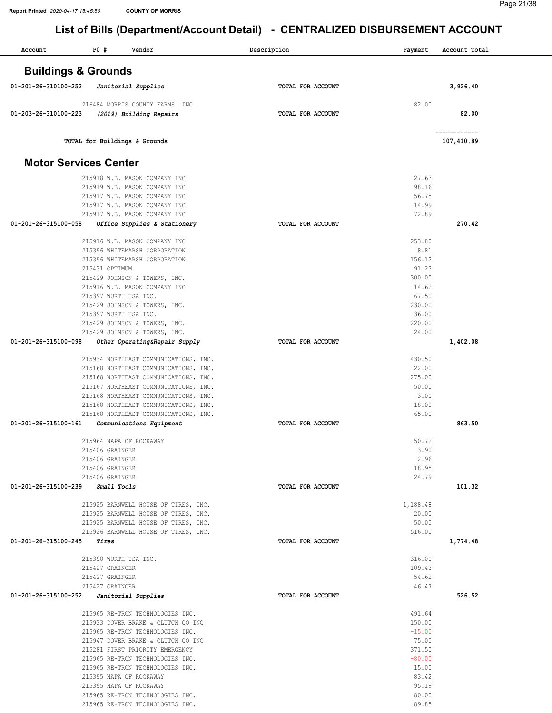| Account                        | PO#                                   | Vendor                                                                 | Description       | Payment            | Account Total              |
|--------------------------------|---------------------------------------|------------------------------------------------------------------------|-------------------|--------------------|----------------------------|
| <b>Buildings &amp; Grounds</b> |                                       |                                                                        |                   |                    |                            |
| 01-201-26-310100-252           |                                       | Janitorial Supplies                                                    | TOTAL FOR ACCOUNT |                    | 3,926.40                   |
|                                |                                       | 216484 MORRIS COUNTY FARMS INC                                         |                   | 82.00              |                            |
| 01-203-26-310100-223           |                                       | (2019) Building Repairs                                                | TOTAL FOR ACCOUNT |                    | 82.00                      |
|                                |                                       | TOTAL for Buildings & Grounds                                          |                   |                    | ============<br>107,410.89 |
| <b>Motor Services Center</b>   |                                       |                                                                        |                   |                    |                            |
|                                |                                       | 215918 W.B. MASON COMPANY INC                                          |                   | 27.63              |                            |
|                                |                                       | 215919 W.B. MASON COMPANY INC                                          |                   | 98.16              |                            |
|                                |                                       | 215917 W.B. MASON COMPANY INC                                          |                   | 56.75              |                            |
|                                |                                       | 215917 W.B. MASON COMPANY INC                                          |                   | 14.99              |                            |
|                                |                                       | 215917 W.B. MASON COMPANY INC                                          |                   | 72.89              |                            |
| 01-201-26-315100-058           |                                       | Office Supplies & Stationery                                           | TOTAL FOR ACCOUNT |                    | 270.42                     |
|                                |                                       | 215916 W.B. MASON COMPANY INC                                          |                   | 253.80             |                            |
|                                |                                       | 215396 WHITEMARSH CORPORATION                                          |                   | 8.81               |                            |
|                                |                                       | 215396 WHITEMARSH CORPORATION                                          |                   | 156.12             |                            |
|                                | 215431 OPTIMUM                        |                                                                        |                   | 91.23              |                            |
|                                |                                       | 215429 JOHNSON & TOWERS, INC.                                          |                   | 300.00             |                            |
|                                |                                       | 215916 W.B. MASON COMPANY INC                                          |                   | 14.62<br>67.50     |                            |
|                                |                                       | 215397 WURTH USA INC.<br>215429 JOHNSON & TOWERS, INC.                 |                   | 230.00             |                            |
|                                |                                       | 215397 WURTH USA INC.                                                  |                   | 36.00              |                            |
|                                |                                       | 215429 JOHNSON & TOWERS, INC.                                          |                   | 220.00             |                            |
|                                |                                       | 215429 JOHNSON & TOWERS, INC.                                          |                   | 24.00              |                            |
| 01-201-26-315100-098           |                                       | Other Operating&Repair Supply                                          | TOTAL FOR ACCOUNT |                    | 1,402.08                   |
|                                |                                       | 215934 NORTHEAST COMMUNICATIONS, INC.                                  |                   | 430.50             |                            |
|                                |                                       | 215168 NORTHEAST COMMUNICATIONS, INC.                                  |                   | 22.00              |                            |
|                                |                                       | 215168 NORTHEAST COMMUNICATIONS, INC.                                  |                   | 275.00             |                            |
|                                |                                       | 215167 NORTHEAST COMMUNICATIONS, INC.                                  |                   | 50.00              |                            |
|                                |                                       | 215168 NORTHEAST COMMUNICATIONS, INC.                                  |                   | 3.00               |                            |
|                                |                                       | 215168 NORTHEAST COMMUNICATIONS, INC.                                  |                   | 18.00              |                            |
|                                |                                       | 215168 NORTHEAST COMMUNICATIONS, INC.                                  |                   | 65.00              |                            |
| 01-201-26-315100-161           |                                       | Communications Equipment                                               | TOTAL FOR ACCOUNT |                    | 863.50                     |
|                                |                                       | 215964 NAPA OF ROCKAWAY                                                |                   | 50.72              |                            |
|                                | 215406 GRAINGER                       |                                                                        |                   | 3.90               |                            |
|                                | 215406 GRAINGER                       |                                                                        |                   | 2.96               |                            |
|                                | 215406 GRAINGER                       |                                                                        |                   | 18.95              |                            |
| 01-201-26-315100-239           | 215406 GRAINGER<br><i>Small Tools</i> |                                                                        | TOTAL FOR ACCOUNT | 24.79              | 101.32                     |
|                                |                                       |                                                                        |                   |                    |                            |
|                                |                                       | 215925 BARNWELL HOUSE OF TIRES, INC.                                   |                   | 1,188.48           |                            |
|                                |                                       | 215925 BARNWELL HOUSE OF TIRES, INC.                                   |                   | 20.00              |                            |
|                                |                                       | 215925 BARNWELL HOUSE OF TIRES, INC.                                   |                   | 50.00              |                            |
| 01-201-26-315100-245           | Tires                                 | 215926 BARNWELL HOUSE OF TIRES, INC.                                   | TOTAL FOR ACCOUNT | 516.00             | 1,774.48                   |
|                                |                                       |                                                                        |                   |                    |                            |
|                                |                                       | 215398 WURTH USA INC.                                                  |                   | 316.00             |                            |
|                                | 215427 GRAINGER                       |                                                                        |                   | 109.43             |                            |
|                                | 215427 GRAINGER                       |                                                                        |                   | 54.62              |                            |
| 01-201-26-315100-252           | 215427 GRAINGER                       | Janitorial Supplies                                                    | TOTAL FOR ACCOUNT | 46.47              | 526.52                     |
|                                |                                       |                                                                        |                   |                    |                            |
|                                |                                       | 215965 RE-TRON TECHNOLOGIES INC.                                       |                   | 491.64             |                            |
|                                |                                       | 215933 DOVER BRAKE & CLUTCH CO INC                                     |                   | 150.00<br>$-15.00$ |                            |
|                                |                                       | 215965 RE-TRON TECHNOLOGIES INC.<br>215947 DOVER BRAKE & CLUTCH CO INC |                   | 75.00              |                            |
|                                |                                       | 215281 FIRST PRIORITY EMERGENCY                                        |                   | 371.50             |                            |
|                                |                                       | 215965 RE-TRON TECHNOLOGIES INC.                                       |                   | $-80.00$           |                            |
|                                |                                       | 215965 RE-TRON TECHNOLOGIES INC.                                       |                   | 15.00              |                            |
|                                |                                       | 215395 NAPA OF ROCKAWAY                                                |                   | 83.42              |                            |
|                                |                                       | 215395 NAPA OF ROCKAWAY                                                |                   | 95.19              |                            |
|                                |                                       | 215965 RE-TRON TECHNOLOGIES INC.                                       |                   | 80.00              |                            |
|                                |                                       | 215965 RE-TRON TECHNOLOGIES INC.                                       |                   | 89.85              |                            |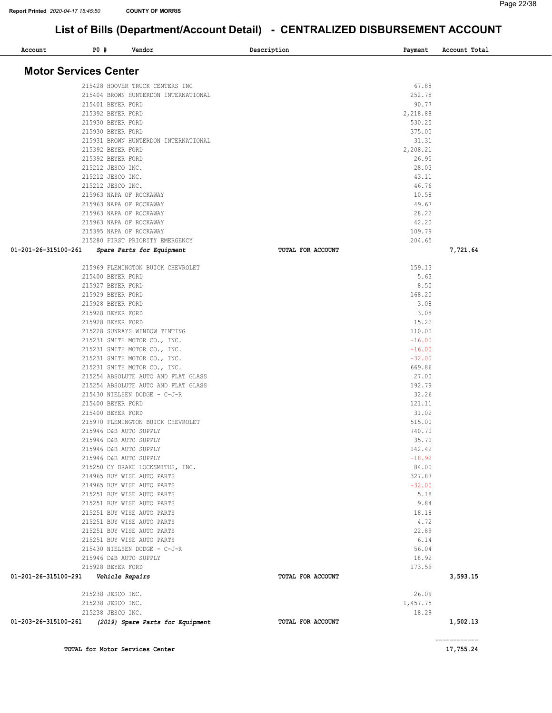| Account                                 | P0#                          | Vendor                                                | Description       | Payment         | Account Total |
|-----------------------------------------|------------------------------|-------------------------------------------------------|-------------------|-----------------|---------------|
|                                         | <b>Motor Services Center</b> |                                                       |                   |                 |               |
|                                         |                              | 215428 HOOVER TRUCK CENTERS INC                       |                   | 67.88           |               |
|                                         |                              | 215404 BROWN HUNTERDON INTERNATIONAL                  |                   | 252.78          |               |
|                                         | 215401 BEYER FORD            |                                                       |                   | 90.77           |               |
|                                         | 215392 BEYER FORD            |                                                       |                   | 2,218.88        |               |
|                                         | 215930 BEYER FORD            |                                                       |                   | 530.25          |               |
|                                         | 215930 BEYER FORD            |                                                       |                   | 375.00          |               |
|                                         |                              | 215931 BROWN HUNTERDON INTERNATIONAL                  |                   | 31.31           |               |
|                                         | 215392 BEYER FORD            |                                                       |                   | 2,208.21        |               |
|                                         | 215392 BEYER FORD            |                                                       |                   | 26.95           |               |
|                                         | 215212 JESCO INC.            |                                                       |                   | 28.03           |               |
|                                         | 215212 JESCO INC.            |                                                       |                   | 43.11           |               |
|                                         | 215212 JESCO INC.            |                                                       |                   | 46.76           |               |
|                                         |                              | 215963 NAPA OF ROCKAWAY                               |                   | 10.58           |               |
|                                         |                              | 215963 NAPA OF ROCKAWAY                               |                   | 49.67           |               |
|                                         |                              | 215963 NAPA OF ROCKAWAY                               |                   | 28.22           |               |
|                                         |                              | 215963 NAPA OF ROCKAWAY                               |                   | 42.20           |               |
|                                         |                              | 215395 NAPA OF ROCKAWAY                               |                   | 109.79          |               |
|                                         |                              | 215280 FIRST PRIORITY EMERGENCY                       | TOTAL FOR ACCOUNT | 204.65          |               |
| 01-201-26-315100-261                    |                              | Spare Parts for Equipment                             |                   |                 | 7,721.64      |
|                                         |                              | 215969 FLEMINGTON BUICK CHEVROLET                     |                   | 159.13          |               |
|                                         | 215400 BEYER FORD            |                                                       |                   | 5.63            |               |
|                                         | 215927 BEYER FORD            |                                                       |                   | 8.50            |               |
|                                         | 215929 BEYER FORD            |                                                       |                   | 168.20          |               |
|                                         | 215928 BEYER FORD            |                                                       |                   | 3.08            |               |
|                                         | 215928 BEYER FORD            |                                                       |                   | 3.08            |               |
|                                         | 215928 BEYER FORD            |                                                       |                   | 15.22           |               |
|                                         |                              | 215228 SUNRAYS WINDOW TINTING                         |                   | 110.00          |               |
|                                         |                              | 215231 SMITH MOTOR CO., INC.                          |                   | $-16.00$        |               |
|                                         |                              | 215231 SMITH MOTOR CO., INC.                          |                   | $-16.00$        |               |
|                                         |                              | 215231 SMITH MOTOR CO., INC.                          |                   | $-32.00$        |               |
|                                         |                              | 215231 SMITH MOTOR CO., INC.                          |                   | 669.86          |               |
|                                         |                              | 215254 ABSOLUTE AUTO AND FLAT GLASS                   |                   | 27.00<br>192.79 |               |
|                                         |                              | 215254 ABSOLUTE AUTO AND FLAT GLASS                   |                   | 32.26           |               |
|                                         | 215400 BEYER FORD            | 215430 NIELSEN DODGE - C-J-R                          |                   | 121.11          |               |
|                                         | 215400 BEYER FORD            |                                                       |                   | 31.02           |               |
|                                         |                              | 215970 FLEMINGTON BUICK CHEVROLET                     |                   | 515.00          |               |
|                                         |                              | 215946 D&B AUTO SUPPLY                                |                   | 740.70          |               |
|                                         |                              | 215946 D&B AUTO SUPPLY                                |                   | 35.70           |               |
|                                         |                              | 215946 D&B AUTO SUPPLY                                |                   | 142.42          |               |
|                                         |                              | 215946 D&B AUTO SUPPLY                                |                   | $-18.92$        |               |
|                                         |                              | 215250 CY DRAKE LOCKSMITHS, INC.                      |                   | 84.00           |               |
|                                         |                              | 214965 BUY WISE AUTO PARTS                            |                   | 327.87          |               |
|                                         |                              | 214965 BUY WISE AUTO PARTS                            |                   | $-32.00$        |               |
|                                         |                              | 215251 BUY WISE AUTO PARTS                            |                   | 5.18            |               |
|                                         |                              | 215251 BUY WISE AUTO PARTS                            |                   | 9.84            |               |
|                                         |                              | 215251 BUY WISE AUTO PARTS                            |                   | 18.18           |               |
|                                         |                              | 215251 BUY WISE AUTO PARTS                            |                   | 4.72            |               |
|                                         |                              | 215251 BUY WISE AUTO PARTS                            |                   | 22.89           |               |
|                                         |                              | 215251 BUY WISE AUTO PARTS                            |                   | 6.14            |               |
|                                         |                              | 215430 NIELSEN DODGE - C-J-R                          |                   | 56.04           |               |
|                                         |                              | 215946 D&B AUTO SUPPLY                                |                   | 18.92           |               |
| 01-201-26-315100-291    Vehicle Repairs | 215928 BEYER FORD            |                                                       | TOTAL FOR ACCOUNT | 173.59          | 3,593.15      |
|                                         |                              |                                                       |                   |                 |               |
|                                         | 215238 JESCO INC.            |                                                       |                   | 26.09           |               |
|                                         | 215238 JESCO INC.            |                                                       |                   | 1,457.75        |               |
|                                         | 215238 JESCO INC.            |                                                       |                   | 18.29           |               |
|                                         |                              | 01-203-26-315100-261 (2019) Spare Parts for Equipment | TOTAL FOR ACCOUNT |                 | 1,502.13      |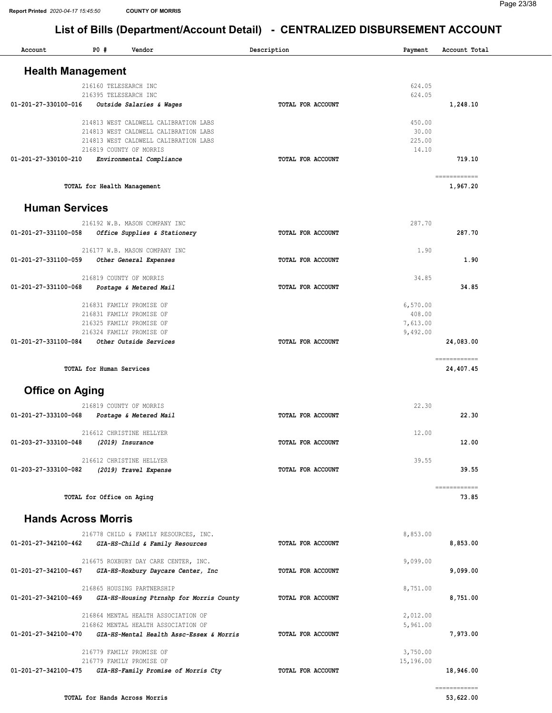| Account                    | P0#                       | Vendor                                                                     | Description              | Payment              | Account Total            |
|----------------------------|---------------------------|----------------------------------------------------------------------------|--------------------------|----------------------|--------------------------|
| <b>Health Management</b>   |                           |                                                                            |                          |                      |                          |
|                            | 216160 TELESEARCH INC     |                                                                            |                          | 624.05               |                          |
|                            | 216395 TELESEARCH INC     |                                                                            |                          | 624.05               |                          |
| 01-201-27-330100-016       |                           | Outside Salaries & Wages                                                   | TOTAL FOR ACCOUNT        |                      | 1,248.10                 |
|                            |                           | 214813 WEST CALDWELL CALIBRATION LABS                                      |                          | 450.00               |                          |
|                            |                           | 214813 WEST CALDWELL CALIBRATION LABS                                      |                          | 30.00                |                          |
|                            |                           | 214813 WEST CALDWELL CALIBRATION LABS                                      |                          | 225.00               |                          |
|                            |                           | 216819 COUNTY OF MORRIS                                                    |                          | 14.10                |                          |
| 01-201-27-330100-210       |                           | Environmental Compliance                                                   | TOTAL FOR ACCOUNT        |                      | 719.10                   |
|                            |                           | TOTAL for Health Management                                                |                          |                      | ------------<br>1,967.20 |
| <b>Human Services</b>      |                           |                                                                            |                          |                      |                          |
|                            |                           | 216192 W.B. MASON COMPANY INC                                              |                          | 287.70               |                          |
| 01-201-27-331100-058       |                           | Office Supplies & Stationery                                               | TOTAL FOR ACCOUNT        |                      | 287.70                   |
|                            |                           | 216177 W.B. MASON COMPANY INC                                              |                          | 1.90                 |                          |
| 01-201-27-331100-059       |                           | Other General Expenses                                                     | TOTAL FOR ACCOUNT        |                      | 1.90                     |
|                            |                           | 216819 COUNTY OF MORRIS                                                    |                          | 34.85                |                          |
| 01-201-27-331100-068       |                           | Postage & Metered Mail                                                     | TOTAL FOR ACCOUNT        |                      | 34.85                    |
|                            |                           |                                                                            |                          |                      |                          |
|                            |                           | 216831 FAMILY PROMISE OF                                                   |                          | 6,570.00             |                          |
|                            |                           | 216831 FAMILY PROMISE OF<br>216325 FAMILY PROMISE OF                       |                          | 408.00<br>7,613.00   |                          |
|                            |                           | 216324 FAMILY PROMISE OF                                                   |                          | 9,492.00             |                          |
| 01-201-27-331100-084       |                           | Other Outside Services                                                     | TOTAL FOR ACCOUNT        |                      | 24,083.00                |
|                            |                           |                                                                            |                          |                      | ------------             |
|                            | TOTAL for Human Services  |                                                                            |                          |                      | 24,407.45                |
| <b>Office on Aging</b>     |                           |                                                                            |                          |                      |                          |
|                            |                           | 216819 COUNTY OF MORRIS                                                    |                          | 22.30                |                          |
| 01-201-27-333100-068       |                           | Postage & Metered Mail                                                     | <b>TOTAL FOR ACCOUNT</b> |                      | 22.30                    |
|                            |                           |                                                                            |                          |                      |                          |
|                            |                           | 216612 CHRISTINE HELLYER                                                   |                          | 12.00                |                          |
| 01-203-27-333100-048       |                           | (2019) Insurance                                                           | TOTAL FOR ACCOUNT        |                      | 12.00                    |
|                            |                           | 216612 CHRISTINE HELLYER                                                   |                          | 39.55                |                          |
| 01-203-27-333100-082       |                           | (2019) Travel Expense                                                      | TOTAL FOR ACCOUNT        |                      | 39.55                    |
|                            | TOTAL for Office on Aging |                                                                            |                          |                      | ============<br>73.85    |
| <b>Hands Across Morris</b> |                           |                                                                            |                          |                      |                          |
|                            |                           |                                                                            |                          |                      |                          |
|                            |                           | 216778 CHILD & FAMILY RESOURCES, INC.                                      |                          | 8,853.00             |                          |
| 01-201-27-342100-462       |                           | GIA-HS-Child & Family Resources                                            | TOTAL FOR ACCOUNT        |                      | 8,853.00                 |
|                            |                           | 216675 ROXBURY DAY CARE CENTER, INC.                                       |                          | 9,099.00             |                          |
| 01-201-27-342100-467       |                           | GIA-HS-Roxbury Daycare Center, Inc                                         | TOTAL FOR ACCOUNT        |                      | 9,099.00                 |
|                            |                           | 216865 HOUSING PARTNERSHIP                                                 |                          | 8,751.00             |                          |
| 01-201-27-342100-469       |                           | GIA-HS-Housing Ptrnshp for Morris County                                   | TOTAL FOR ACCOUNT        |                      | 8,751.00                 |
|                            |                           |                                                                            |                          |                      |                          |
|                            |                           | 216864 MENTAL HEALTH ASSOCIATION OF<br>216862 MENTAL HEALTH ASSOCIATION OF |                          | 2,012.00<br>5,961.00 |                          |
| 01-201-27-342100-470       |                           | GIA-HS-Mental Health Assc-Essex & Morris                                   | TOTAL FOR ACCOUNT        |                      | 7,973.00                 |
|                            |                           |                                                                            |                          |                      |                          |
|                            |                           | 216779 FAMILY PROMISE OF                                                   |                          | 3,750.00             |                          |
|                            |                           | 216779 FAMILY PROMISE OF                                                   |                          | 15,196.00            |                          |
| 01-201-27-342100-475       |                           | GIA-HS-Family Promise of Morris Cty                                        | TOTAL FOR ACCOUNT        |                      | 18,946.00                |
|                            |                           |                                                                            |                          |                      | ============             |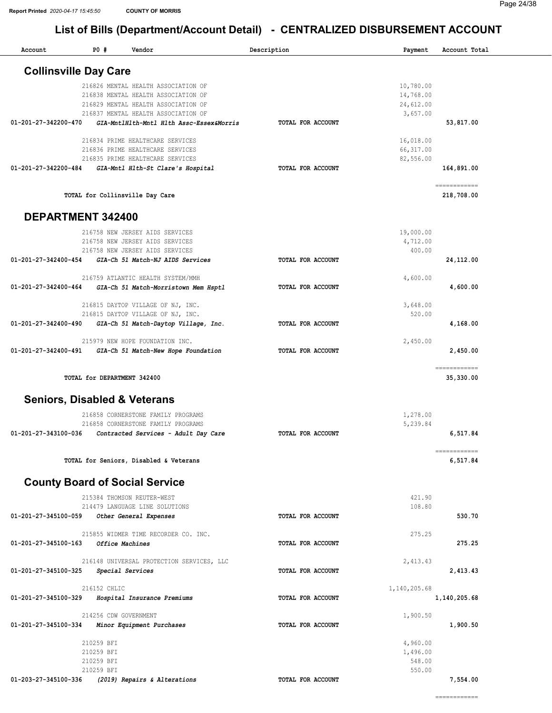| Account                        | P0#          | Vendor                                    | Description       | Payment      | Account Total              |
|--------------------------------|--------------|-------------------------------------------|-------------------|--------------|----------------------------|
| <b>Collinsville Day Care</b>   |              |                                           |                   |              |                            |
|                                |              | 216826 MENTAL HEALTH ASSOCIATION OF       |                   | 10,780.00    |                            |
|                                |              | 216838 MENTAL HEALTH ASSOCIATION OF       |                   | 14,768.00    |                            |
|                                |              | 216829 MENTAL HEALTH ASSOCIATION OF       |                   | 24,612.00    |                            |
|                                |              | 216837 MENTAL HEALTH ASSOCIATION OF       |                   | 3,657.00     |                            |
| 01-201-27-342200-470           |              | GIA-MntlHlth-Mntl Hlth Assc-Essex&Morris  | TOTAL FOR ACCOUNT |              | 53,817.00                  |
|                                |              | 216834 PRIME HEALTHCARE SERVICES          |                   | 16,018.00    |                            |
|                                |              | 216836 PRIME HEALTHCARE SERVICES          |                   | 66, 317.00   |                            |
|                                |              | 216835 PRIME HEALTHCARE SERVICES          |                   | 82,556.00    |                            |
| 01-201-27-342200-484           |              | GIA-Mntl Hlth-St Clare's Hospital         | TOTAL FOR ACCOUNT |              | 164,891.00                 |
|                                |              | TOTAL for Collinsville Day Care           |                   |              | ------------<br>218,708.00 |
|                                |              |                                           |                   |              |                            |
| DEPARTMENT 342400              |              |                                           |                   |              |                            |
|                                |              | 216758 NEW JERSEY AIDS SERVICES           |                   | 19,000.00    |                            |
|                                |              | 216758 NEW JERSEY AIDS SERVICES           |                   | 4,712.00     |                            |
|                                |              | 216758 NEW JERSEY AIDS SERVICES           |                   | 400.00       |                            |
| $01 - 201 - 27 - 342400 - 454$ |              | GIA-Ch 51 Match-NJ AIDS Services          | TOTAL FOR ACCOUNT |              | 24, 112.00                 |
|                                |              | 216759 ATLANTIC HEALTH SYSTEM/MMH         |                   | 4,600.00     |                            |
| $01 - 201 - 27 - 342400 - 464$ |              | GIA-Ch 51 Match-Morristown Mem Hsptl      | TOTAL FOR ACCOUNT |              | 4,600.00                   |
|                                |              | 216815 DAYTOP VILLAGE OF NJ, INC.         |                   | 3,648.00     |                            |
|                                |              | 216815 DAYTOP VILLAGE OF NJ, INC.         |                   | 520.00       |                            |
| 01-201-27-342400-490           |              | GIA-Ch 51 Match-Daytop Village, Inc.      | TOTAL FOR ACCOUNT |              | 4,168.00                   |
|                                |              | 215979 NEW HOPE FOUNDATION INC.           |                   | 2,450.00     |                            |
| 01-201-27-342400-491           |              | GIA-Ch 51 Match-New Hope Foundation       | TOTAL FOR ACCOUNT |              | 2,450.00                   |
|                                |              |                                           |                   |              | ------------               |
|                                |              | TOTAL for DEPARTMENT 342400               |                   |              | 35,330.00                  |
|                                |              | <b>Seniors, Disabled &amp; Veterans</b>   |                   |              |                            |
|                                |              | 216858 CORNERSTONE FAMILY PROGRAMS        |                   | 1,278.00     |                            |
|                                |              | 216858 CORNERSTONE FAMILY PROGRAMS        |                   | 5,239.84     |                            |
| 01-201-27-343100-036           |              | Contracted Services - Adult Day Care      | TOTAL FOR ACCOUNT |              | 6,517.84                   |
|                                |              |                                           |                   |              | ------------               |
|                                |              | TOTAL for Seniors, Disabled & Veterans    |                   |              | 6,517.84                   |
|                                |              | <b>County Board of Social Service</b>     |                   |              |                            |
|                                |              | 215384 THOMSON REUTER-WEST                |                   | 421.90       |                            |
|                                |              | 214479 LANGUAGE LINE SOLUTIONS            |                   | 108.80       |                            |
| 01-201-27-345100-059           |              | Other General Expenses                    | TOTAL FOR ACCOUNT |              | 530.70                     |
|                                |              |                                           |                   |              |                            |
|                                |              | 215855 WIDMER TIME RECORDER CO. INC.      |                   | 275.25       |                            |
| 01-201-27-345100-163           |              | Office Machines                           | TOTAL FOR ACCOUNT |              | 275.25                     |
|                                |              | 216148 UNIVERSAL PROTECTION SERVICES, LLC |                   | 2,413.43     |                            |
| 01-201-27-345100-325           |              | Special Services                          | TOTAL FOR ACCOUNT |              | 2,413.43                   |
|                                |              |                                           |                   |              |                            |
|                                | 216152 CHLIC |                                           |                   | 1,140,205.68 |                            |
| 01-201-27-345100-329           |              | Hospital Insurance Premiums               | TOTAL FOR ACCOUNT |              | 1,140,205.68               |
|                                |              | 214256 CDW GOVERNMENT                     |                   | 1,900.50     |                            |
| 01-201-27-345100-334           |              | Minor Equipment Purchases                 | TOTAL FOR ACCOUNT |              | 1,900.50                   |
|                                | 210259 BFI   |                                           |                   | 4,960.00     |                            |
|                                | 210259 BFI   |                                           |                   | 1,496.00     |                            |
|                                | 210259 BFI   |                                           |                   | 548.00       |                            |
|                                | 210259 BFI   |                                           |                   | 550.00       |                            |
| 01-203-27-345100-336           |              | (2019) Repairs & Alterations              | TOTAL FOR ACCOUNT |              | 7,554.00                   |
|                                |              |                                           |                   |              |                            |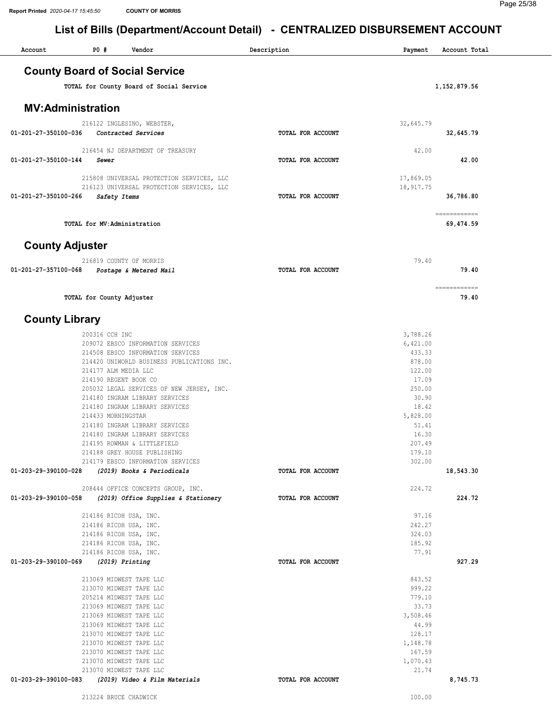| P0#<br>Account                                     | Vendor                                     | Description       | Payment            | Account Total             |
|----------------------------------------------------|--------------------------------------------|-------------------|--------------------|---------------------------|
|                                                    |                                            |                   |                    |                           |
| <b>County Board of Social Service</b>              |                                            |                   |                    |                           |
|                                                    | TOTAL for County Board of Social Service   |                   |                    | 1,152,879.56              |
| <b>MV:Administration</b>                           |                                            |                   |                    |                           |
|                                                    | 216122 INGLESINO, WEBSTER,                 |                   | 32,645.79          |                           |
| 01-201-27-350100-036                               | Contracted Services                        | TOTAL FOR ACCOUNT |                    | 32,645.79                 |
|                                                    |                                            |                   |                    |                           |
|                                                    | 216454 NJ DEPARTMENT OF TREASURY           |                   | 42.00              |                           |
| 01-201-27-350100-144<br>Sewer                      |                                            | TOTAL FOR ACCOUNT |                    | 42.00                     |
|                                                    | 215808 UNIVERSAL PROTECTION SERVICES, LLC  |                   | 17,869.05          |                           |
|                                                    | 216123 UNIVERSAL PROTECTION SERVICES, LLC  |                   | 18,917.75          |                           |
| 01-201-27-350100-266<br>Safety Items               |                                            | TOTAL FOR ACCOUNT |                    | 36,786.80                 |
| TOTAL for MV: Administration                       |                                            |                   |                    | ============<br>69,474.59 |
| <b>County Adjuster</b>                             |                                            |                   |                    |                           |
| 216819 COUNTY OF MORRIS                            |                                            |                   | 79.40              |                           |
| 01-201-27-357100-068                               | Postage & Metered Mail                     | TOTAL FOR ACCOUNT |                    | 79.40                     |
|                                                    |                                            |                   |                    | ============              |
| TOTAL for County Adjuster                          |                                            |                   |                    | 79.40                     |
| <b>County Library</b>                              |                                            |                   |                    |                           |
| 200316 CCH INC                                     |                                            |                   | 3,788.26           |                           |
|                                                    | 209072 EBSCO INFORMATION SERVICES          |                   | 6,421.00           |                           |
|                                                    | 214508 EBSCO INFORMATION SERVICES          |                   | 433.33             |                           |
|                                                    | 214420 UNIWORLD BUSINESS PUBLICATIONS INC. |                   | 878.00             |                           |
| 214177 ALM MEDIA LLC                               |                                            |                   | 122.00<br>17.09    |                           |
| 214190 REGENT BOOK CO                              | 205032 LEGAL SERVICES OF NEW JERSEY, INC.  |                   | 250.00             |                           |
|                                                    | 214180 INGRAM LIBRARY SERVICES             |                   | 30.90              |                           |
|                                                    | 214180 INGRAM LIBRARY SERVICES             |                   | 18.42              |                           |
| 214433 MORNINGSTAR                                 | 214180 INGRAM LIBRARY SERVICES             |                   | 5,828.00<br>51.41  |                           |
|                                                    | 214180 INGRAM LIBRARY SERVICES             |                   | 16.30              |                           |
|                                                    | 214195 ROWMAN & LITTLEFIELD                |                   | 207.49             |                           |
|                                                    | 214188 GREY HOUSE PUBLISHING               |                   | 179.10             |                           |
| 01-203-29-390100-028                               | 214179 EBSCO INFORMATION SERVICES          |                   | 302.00             | 18,543.30                 |
|                                                    | (2019) Books & Periodicals                 | TOTAL FOR ACCOUNT |                    |                           |
|                                                    | 208444 OFFICE CONCEPTS GROUP, INC.         |                   | 224.72             |                           |
| 01-203-29-390100-058                               | (2019) Office Supplies & Stationery        | TOTAL FOR ACCOUNT |                    | 224.72                    |
| 214186 RICOH USA, INC.                             |                                            |                   | 97.16              |                           |
| 214186 RICOH USA, INC.                             |                                            |                   | 242.27             |                           |
| 214186 RICOH USA, INC.                             |                                            |                   | 324.03<br>185.92   |                           |
| 214186 RICOH USA, INC.<br>214186 RICOH USA, INC.   |                                            |                   | 77.91              |                           |
| 01-203-29-390100-069<br>$(2019)$ Printing          |                                            | TOTAL FOR ACCOUNT |                    | 927.29                    |
| 213069 MIDWEST TAPE LLC                            |                                            |                   | 843.52             |                           |
| 213070 MIDWEST TAPE LLC                            |                                            |                   | 999.22             |                           |
| 205214 MIDWEST TAPE LLC                            |                                            |                   | 779.10             |                           |
| 213069 MIDWEST TAPE LLC<br>213069 MIDWEST TAPE LLC |                                            |                   | 33.73<br>3,508.46  |                           |
| 213069 MIDWEST TAPE LLC                            |                                            |                   | 44.99              |                           |
| 213070 MIDWEST TAPE LLC                            |                                            |                   | 128.17             |                           |
| 213070 MIDWEST TAPE LLC                            |                                            |                   | 1,148.78           |                           |
| 213070 MIDWEST TAPE LLC<br>213070 MIDWEST TAPE LLC |                                            |                   | 167.59<br>1,070.43 |                           |
| 213070 MIDWEST TAPE LLC                            |                                            |                   | 21.74              |                           |
| 01-203-29-390100-083                               | (2019) Video & Film Materials              | TOTAL FOR ACCOUNT |                    | 8,745.73                  |
| 213224 BRUCE CHADWICK                              |                                            |                   | 100.00             |                           |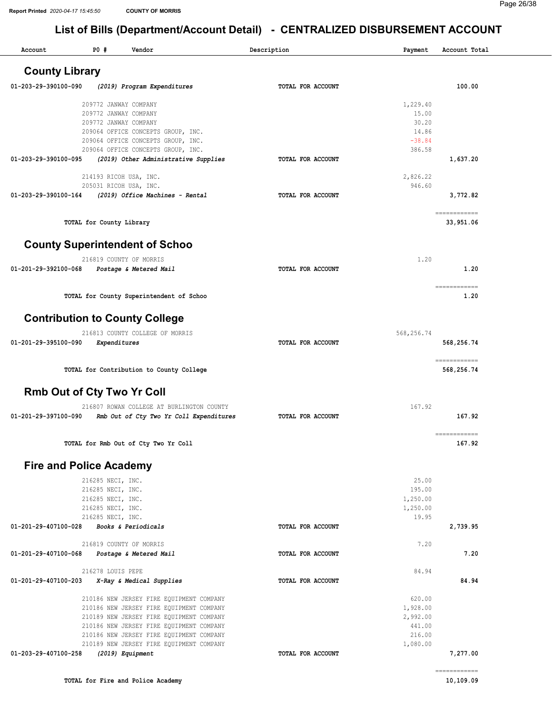| <b>County Library</b><br>01-203-29-390100-090<br>100.00<br>(2019) Program Expenditures<br>TOTAL FOR ACCOUNT<br>1,229.40<br>209772 JANWAY COMPANY<br>15.00<br>209772 JANWAY COMPANY<br>30.20<br>209772 JANWAY COMPANY<br>14.86<br>209064 OFFICE CONCEPTS GROUP, INC.<br>$-38.84$<br>209064 OFFICE CONCEPTS GROUP, INC.<br>209064 OFFICE CONCEPTS GROUP, INC.<br>386.58<br>01-203-29-390100-095<br>(2019) Other Administrative Supplies<br>1,637.20<br>TOTAL FOR ACCOUNT<br>2,826.22<br>214193 RICOH USA, INC.<br>946.60<br>205031 RICOH USA, INC.<br>01-203-29-390100-164<br>(2019) Office Machines - Rental<br>TOTAL FOR ACCOUNT<br>3,772.82<br>============<br>TOTAL for County Library<br>33,951.06<br><b>County Superintendent of Schoo</b><br>216819 COUNTY OF MORRIS<br>1.20<br>01-201-29-392100-068<br>1.20<br>Postage & Metered Mail<br>TOTAL FOR ACCOUNT<br>============<br>TOTAL for County Superintendent of Schoo<br>1.20<br><b>Contribution to County College</b><br>216813 COUNTY COLLEGE OF MORRIS<br>568,256.74<br>01-201-29-395100-090<br>Expenditures<br>568,256.74<br><b>TOTAL FOR ACCOUNT</b><br>============<br>TOTAL for Contribution to County College<br>568,256.74<br><b>Rmb Out of Cty Two Yr Coll</b><br>167.92<br>216807 ROWAN COLLEGE AT BURLINGTON COUNTY<br>167.92<br>01-201-29-397100-090<br>Rmb Out of Cty Two Yr Coll Expenditures<br>TOTAL FOR ACCOUNT<br>ecceccecece<br>167.92<br>TOTAL for Rmb Out of Cty Two Yr Coll<br><b>Fire and Police Academy</b><br>25.00<br>216285 NECI, INC.<br>195.00<br>216285 NECI, INC.<br>216285 NECI, INC.<br>1,250.00<br>216285 NECI, INC.<br>1,250.00<br>216285 NECI, INC.<br>19.95<br>Books & Periodicals<br>01-201-29-407100-028<br>TOTAL FOR ACCOUNT<br>2,739.95<br>216819 COUNTY OF MORRIS<br>7.20<br>7.20<br>01-201-29-407100-068<br>TOTAL FOR ACCOUNT<br>Postage & Metered Mail<br>216278 LOUIS PEPE<br>84.94<br>84.94<br>01-201-29-407100-203<br>X-Ray & Medical Supplies<br>TOTAL FOR ACCOUNT<br>210186 NEW JERSEY FIRE EQUIPMENT COMPANY<br>620.00<br>210186 NEW JERSEY FIRE EQUIPMENT COMPANY<br>1,928.00<br>210189 NEW JERSEY FIRE EQUIPMENT COMPANY<br>2,992.00<br>210186 NEW JERSEY FIRE EQUIPMENT COMPANY<br>441.00<br>210186 NEW JERSEY FIRE EQUIPMENT COMPANY<br>216.00<br>210189 NEW JERSEY FIRE EQUIPMENT COMPANY<br>1,080.00<br>01-203-29-407100-258<br>7,277.00<br>(2019) Equipment<br>TOTAL FOR ACCOUNT | Account | P0# | Vendor | Description | Payment | Account Total |
|---------------------------------------------------------------------------------------------------------------------------------------------------------------------------------------------------------------------------------------------------------------------------------------------------------------------------------------------------------------------------------------------------------------------------------------------------------------------------------------------------------------------------------------------------------------------------------------------------------------------------------------------------------------------------------------------------------------------------------------------------------------------------------------------------------------------------------------------------------------------------------------------------------------------------------------------------------------------------------------------------------------------------------------------------------------------------------------------------------------------------------------------------------------------------------------------------------------------------------------------------------------------------------------------------------------------------------------------------------------------------------------------------------------------------------------------------------------------------------------------------------------------------------------------------------------------------------------------------------------------------------------------------------------------------------------------------------------------------------------------------------------------------------------------------------------------------------------------------------------------------------------------------------------------------------------------------------------------------------------------------------------------------------------------------------------------------------------------------------------------------------------------------------------------------------------------------------------------------------------------------------------------------------------------------------------------------------------------------------------------------------------------------|---------|-----|--------|-------------|---------|---------------|
|                                                                                                                                                                                                                                                                                                                                                                                                                                                                                                                                                                                                                                                                                                                                                                                                                                                                                                                                                                                                                                                                                                                                                                                                                                                                                                                                                                                                                                                                                                                                                                                                                                                                                                                                                                                                                                                                                                                                                                                                                                                                                                                                                                                                                                                                                                                                                                                                   |         |     |        |             |         |               |
|                                                                                                                                                                                                                                                                                                                                                                                                                                                                                                                                                                                                                                                                                                                                                                                                                                                                                                                                                                                                                                                                                                                                                                                                                                                                                                                                                                                                                                                                                                                                                                                                                                                                                                                                                                                                                                                                                                                                                                                                                                                                                                                                                                                                                                                                                                                                                                                                   |         |     |        |             |         |               |
|                                                                                                                                                                                                                                                                                                                                                                                                                                                                                                                                                                                                                                                                                                                                                                                                                                                                                                                                                                                                                                                                                                                                                                                                                                                                                                                                                                                                                                                                                                                                                                                                                                                                                                                                                                                                                                                                                                                                                                                                                                                                                                                                                                                                                                                                                                                                                                                                   |         |     |        |             |         |               |
|                                                                                                                                                                                                                                                                                                                                                                                                                                                                                                                                                                                                                                                                                                                                                                                                                                                                                                                                                                                                                                                                                                                                                                                                                                                                                                                                                                                                                                                                                                                                                                                                                                                                                                                                                                                                                                                                                                                                                                                                                                                                                                                                                                                                                                                                                                                                                                                                   |         |     |        |             |         |               |
|                                                                                                                                                                                                                                                                                                                                                                                                                                                                                                                                                                                                                                                                                                                                                                                                                                                                                                                                                                                                                                                                                                                                                                                                                                                                                                                                                                                                                                                                                                                                                                                                                                                                                                                                                                                                                                                                                                                                                                                                                                                                                                                                                                                                                                                                                                                                                                                                   |         |     |        |             |         |               |
|                                                                                                                                                                                                                                                                                                                                                                                                                                                                                                                                                                                                                                                                                                                                                                                                                                                                                                                                                                                                                                                                                                                                                                                                                                                                                                                                                                                                                                                                                                                                                                                                                                                                                                                                                                                                                                                                                                                                                                                                                                                                                                                                                                                                                                                                                                                                                                                                   |         |     |        |             |         |               |
|                                                                                                                                                                                                                                                                                                                                                                                                                                                                                                                                                                                                                                                                                                                                                                                                                                                                                                                                                                                                                                                                                                                                                                                                                                                                                                                                                                                                                                                                                                                                                                                                                                                                                                                                                                                                                                                                                                                                                                                                                                                                                                                                                                                                                                                                                                                                                                                                   |         |     |        |             |         |               |
|                                                                                                                                                                                                                                                                                                                                                                                                                                                                                                                                                                                                                                                                                                                                                                                                                                                                                                                                                                                                                                                                                                                                                                                                                                                                                                                                                                                                                                                                                                                                                                                                                                                                                                                                                                                                                                                                                                                                                                                                                                                                                                                                                                                                                                                                                                                                                                                                   |         |     |        |             |         |               |
|                                                                                                                                                                                                                                                                                                                                                                                                                                                                                                                                                                                                                                                                                                                                                                                                                                                                                                                                                                                                                                                                                                                                                                                                                                                                                                                                                                                                                                                                                                                                                                                                                                                                                                                                                                                                                                                                                                                                                                                                                                                                                                                                                                                                                                                                                                                                                                                                   |         |     |        |             |         |               |
|                                                                                                                                                                                                                                                                                                                                                                                                                                                                                                                                                                                                                                                                                                                                                                                                                                                                                                                                                                                                                                                                                                                                                                                                                                                                                                                                                                                                                                                                                                                                                                                                                                                                                                                                                                                                                                                                                                                                                                                                                                                                                                                                                                                                                                                                                                                                                                                                   |         |     |        |             |         |               |
|                                                                                                                                                                                                                                                                                                                                                                                                                                                                                                                                                                                                                                                                                                                                                                                                                                                                                                                                                                                                                                                                                                                                                                                                                                                                                                                                                                                                                                                                                                                                                                                                                                                                                                                                                                                                                                                                                                                                                                                                                                                                                                                                                                                                                                                                                                                                                                                                   |         |     |        |             |         |               |
|                                                                                                                                                                                                                                                                                                                                                                                                                                                                                                                                                                                                                                                                                                                                                                                                                                                                                                                                                                                                                                                                                                                                                                                                                                                                                                                                                                                                                                                                                                                                                                                                                                                                                                                                                                                                                                                                                                                                                                                                                                                                                                                                                                                                                                                                                                                                                                                                   |         |     |        |             |         |               |
|                                                                                                                                                                                                                                                                                                                                                                                                                                                                                                                                                                                                                                                                                                                                                                                                                                                                                                                                                                                                                                                                                                                                                                                                                                                                                                                                                                                                                                                                                                                                                                                                                                                                                                                                                                                                                                                                                                                                                                                                                                                                                                                                                                                                                                                                                                                                                                                                   |         |     |        |             |         |               |
|                                                                                                                                                                                                                                                                                                                                                                                                                                                                                                                                                                                                                                                                                                                                                                                                                                                                                                                                                                                                                                                                                                                                                                                                                                                                                                                                                                                                                                                                                                                                                                                                                                                                                                                                                                                                                                                                                                                                                                                                                                                                                                                                                                                                                                                                                                                                                                                                   |         |     |        |             |         |               |
|                                                                                                                                                                                                                                                                                                                                                                                                                                                                                                                                                                                                                                                                                                                                                                                                                                                                                                                                                                                                                                                                                                                                                                                                                                                                                                                                                                                                                                                                                                                                                                                                                                                                                                                                                                                                                                                                                                                                                                                                                                                                                                                                                                                                                                                                                                                                                                                                   |         |     |        |             |         |               |
|                                                                                                                                                                                                                                                                                                                                                                                                                                                                                                                                                                                                                                                                                                                                                                                                                                                                                                                                                                                                                                                                                                                                                                                                                                                                                                                                                                                                                                                                                                                                                                                                                                                                                                                                                                                                                                                                                                                                                                                                                                                                                                                                                                                                                                                                                                                                                                                                   |         |     |        |             |         |               |
|                                                                                                                                                                                                                                                                                                                                                                                                                                                                                                                                                                                                                                                                                                                                                                                                                                                                                                                                                                                                                                                                                                                                                                                                                                                                                                                                                                                                                                                                                                                                                                                                                                                                                                                                                                                                                                                                                                                                                                                                                                                                                                                                                                                                                                                                                                                                                                                                   |         |     |        |             |         |               |
|                                                                                                                                                                                                                                                                                                                                                                                                                                                                                                                                                                                                                                                                                                                                                                                                                                                                                                                                                                                                                                                                                                                                                                                                                                                                                                                                                                                                                                                                                                                                                                                                                                                                                                                                                                                                                                                                                                                                                                                                                                                                                                                                                                                                                                                                                                                                                                                                   |         |     |        |             |         |               |
|                                                                                                                                                                                                                                                                                                                                                                                                                                                                                                                                                                                                                                                                                                                                                                                                                                                                                                                                                                                                                                                                                                                                                                                                                                                                                                                                                                                                                                                                                                                                                                                                                                                                                                                                                                                                                                                                                                                                                                                                                                                                                                                                                                                                                                                                                                                                                                                                   |         |     |        |             |         |               |
|                                                                                                                                                                                                                                                                                                                                                                                                                                                                                                                                                                                                                                                                                                                                                                                                                                                                                                                                                                                                                                                                                                                                                                                                                                                                                                                                                                                                                                                                                                                                                                                                                                                                                                                                                                                                                                                                                                                                                                                                                                                                                                                                                                                                                                                                                                                                                                                                   |         |     |        |             |         |               |
|                                                                                                                                                                                                                                                                                                                                                                                                                                                                                                                                                                                                                                                                                                                                                                                                                                                                                                                                                                                                                                                                                                                                                                                                                                                                                                                                                                                                                                                                                                                                                                                                                                                                                                                                                                                                                                                                                                                                                                                                                                                                                                                                                                                                                                                                                                                                                                                                   |         |     |        |             |         |               |
|                                                                                                                                                                                                                                                                                                                                                                                                                                                                                                                                                                                                                                                                                                                                                                                                                                                                                                                                                                                                                                                                                                                                                                                                                                                                                                                                                                                                                                                                                                                                                                                                                                                                                                                                                                                                                                                                                                                                                                                                                                                                                                                                                                                                                                                                                                                                                                                                   |         |     |        |             |         |               |
|                                                                                                                                                                                                                                                                                                                                                                                                                                                                                                                                                                                                                                                                                                                                                                                                                                                                                                                                                                                                                                                                                                                                                                                                                                                                                                                                                                                                                                                                                                                                                                                                                                                                                                                                                                                                                                                                                                                                                                                                                                                                                                                                                                                                                                                                                                                                                                                                   |         |     |        |             |         |               |
|                                                                                                                                                                                                                                                                                                                                                                                                                                                                                                                                                                                                                                                                                                                                                                                                                                                                                                                                                                                                                                                                                                                                                                                                                                                                                                                                                                                                                                                                                                                                                                                                                                                                                                                                                                                                                                                                                                                                                                                                                                                                                                                                                                                                                                                                                                                                                                                                   |         |     |        |             |         |               |
|                                                                                                                                                                                                                                                                                                                                                                                                                                                                                                                                                                                                                                                                                                                                                                                                                                                                                                                                                                                                                                                                                                                                                                                                                                                                                                                                                                                                                                                                                                                                                                                                                                                                                                                                                                                                                                                                                                                                                                                                                                                                                                                                                                                                                                                                                                                                                                                                   |         |     |        |             |         |               |
|                                                                                                                                                                                                                                                                                                                                                                                                                                                                                                                                                                                                                                                                                                                                                                                                                                                                                                                                                                                                                                                                                                                                                                                                                                                                                                                                                                                                                                                                                                                                                                                                                                                                                                                                                                                                                                                                                                                                                                                                                                                                                                                                                                                                                                                                                                                                                                                                   |         |     |        |             |         |               |
|                                                                                                                                                                                                                                                                                                                                                                                                                                                                                                                                                                                                                                                                                                                                                                                                                                                                                                                                                                                                                                                                                                                                                                                                                                                                                                                                                                                                                                                                                                                                                                                                                                                                                                                                                                                                                                                                                                                                                                                                                                                                                                                                                                                                                                                                                                                                                                                                   |         |     |        |             |         |               |
|                                                                                                                                                                                                                                                                                                                                                                                                                                                                                                                                                                                                                                                                                                                                                                                                                                                                                                                                                                                                                                                                                                                                                                                                                                                                                                                                                                                                                                                                                                                                                                                                                                                                                                                                                                                                                                                                                                                                                                                                                                                                                                                                                                                                                                                                                                                                                                                                   |         |     |        |             |         |               |
|                                                                                                                                                                                                                                                                                                                                                                                                                                                                                                                                                                                                                                                                                                                                                                                                                                                                                                                                                                                                                                                                                                                                                                                                                                                                                                                                                                                                                                                                                                                                                                                                                                                                                                                                                                                                                                                                                                                                                                                                                                                                                                                                                                                                                                                                                                                                                                                                   |         |     |        |             |         |               |
|                                                                                                                                                                                                                                                                                                                                                                                                                                                                                                                                                                                                                                                                                                                                                                                                                                                                                                                                                                                                                                                                                                                                                                                                                                                                                                                                                                                                                                                                                                                                                                                                                                                                                                                                                                                                                                                                                                                                                                                                                                                                                                                                                                                                                                                                                                                                                                                                   |         |     |        |             |         |               |
|                                                                                                                                                                                                                                                                                                                                                                                                                                                                                                                                                                                                                                                                                                                                                                                                                                                                                                                                                                                                                                                                                                                                                                                                                                                                                                                                                                                                                                                                                                                                                                                                                                                                                                                                                                                                                                                                                                                                                                                                                                                                                                                                                                                                                                                                                                                                                                                                   |         |     |        |             |         |               |
|                                                                                                                                                                                                                                                                                                                                                                                                                                                                                                                                                                                                                                                                                                                                                                                                                                                                                                                                                                                                                                                                                                                                                                                                                                                                                                                                                                                                                                                                                                                                                                                                                                                                                                                                                                                                                                                                                                                                                                                                                                                                                                                                                                                                                                                                                                                                                                                                   |         |     |        |             |         |               |
|                                                                                                                                                                                                                                                                                                                                                                                                                                                                                                                                                                                                                                                                                                                                                                                                                                                                                                                                                                                                                                                                                                                                                                                                                                                                                                                                                                                                                                                                                                                                                                                                                                                                                                                                                                                                                                                                                                                                                                                                                                                                                                                                                                                                                                                                                                                                                                                                   |         |     |        |             |         |               |
|                                                                                                                                                                                                                                                                                                                                                                                                                                                                                                                                                                                                                                                                                                                                                                                                                                                                                                                                                                                                                                                                                                                                                                                                                                                                                                                                                                                                                                                                                                                                                                                                                                                                                                                                                                                                                                                                                                                                                                                                                                                                                                                                                                                                                                                                                                                                                                                                   |         |     |        |             |         |               |
|                                                                                                                                                                                                                                                                                                                                                                                                                                                                                                                                                                                                                                                                                                                                                                                                                                                                                                                                                                                                                                                                                                                                                                                                                                                                                                                                                                                                                                                                                                                                                                                                                                                                                                                                                                                                                                                                                                                                                                                                                                                                                                                                                                                                                                                                                                                                                                                                   |         |     |        |             |         |               |
|                                                                                                                                                                                                                                                                                                                                                                                                                                                                                                                                                                                                                                                                                                                                                                                                                                                                                                                                                                                                                                                                                                                                                                                                                                                                                                                                                                                                                                                                                                                                                                                                                                                                                                                                                                                                                                                                                                                                                                                                                                                                                                                                                                                                                                                                                                                                                                                                   |         |     |        |             |         |               |
|                                                                                                                                                                                                                                                                                                                                                                                                                                                                                                                                                                                                                                                                                                                                                                                                                                                                                                                                                                                                                                                                                                                                                                                                                                                                                                                                                                                                                                                                                                                                                                                                                                                                                                                                                                                                                                                                                                                                                                                                                                                                                                                                                                                                                                                                                                                                                                                                   |         |     |        |             |         |               |
|                                                                                                                                                                                                                                                                                                                                                                                                                                                                                                                                                                                                                                                                                                                                                                                                                                                                                                                                                                                                                                                                                                                                                                                                                                                                                                                                                                                                                                                                                                                                                                                                                                                                                                                                                                                                                                                                                                                                                                                                                                                                                                                                                                                                                                                                                                                                                                                                   |         |     |        |             |         |               |
|                                                                                                                                                                                                                                                                                                                                                                                                                                                                                                                                                                                                                                                                                                                                                                                                                                                                                                                                                                                                                                                                                                                                                                                                                                                                                                                                                                                                                                                                                                                                                                                                                                                                                                                                                                                                                                                                                                                                                                                                                                                                                                                                                                                                                                                                                                                                                                                                   |         |     |        |             |         |               |
|                                                                                                                                                                                                                                                                                                                                                                                                                                                                                                                                                                                                                                                                                                                                                                                                                                                                                                                                                                                                                                                                                                                                                                                                                                                                                                                                                                                                                                                                                                                                                                                                                                                                                                                                                                                                                                                                                                                                                                                                                                                                                                                                                                                                                                                                                                                                                                                                   |         |     |        |             |         |               |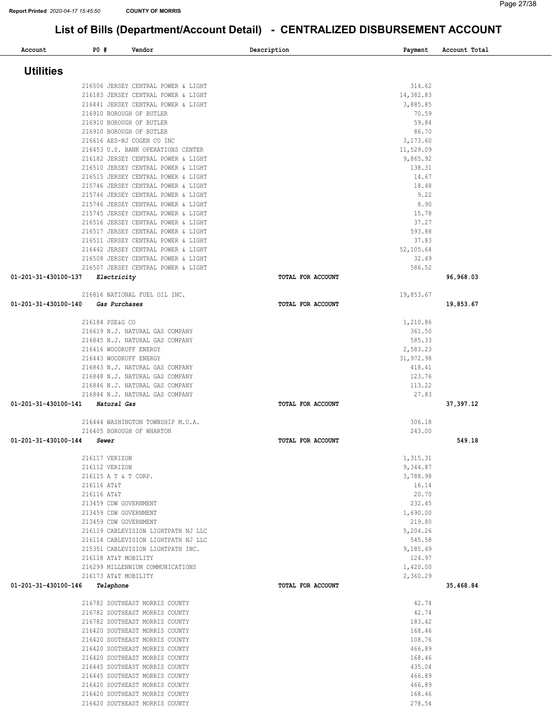| Account              | P0#         | Vendor                                                                     | Description       | Payment               | Account Total |
|----------------------|-------------|----------------------------------------------------------------------------|-------------------|-----------------------|---------------|
| <b>Utilities</b>     |             |                                                                            |                   |                       |               |
|                      |             | 216506 JERSEY CENTRAL POWER & LIGHT                                        |                   | 314.62                |               |
|                      |             | 216183 JERSEY CENTRAL POWER & LIGHT                                        |                   | 14,382.83             |               |
|                      |             | 216441 JERSEY CENTRAL POWER & LIGHT                                        |                   | 3,885.85              |               |
|                      |             | 216910 BOROUGH OF BUTLER                                                   |                   | 70.59                 |               |
|                      |             | 216910 BOROUGH OF BUTLER                                                   |                   | 59.84                 |               |
|                      |             | 216910 BOROUGH OF BUTLER                                                   |                   | 86.70                 |               |
|                      |             | 216616 AES-NJ COGEN CO INC                                                 |                   | 3,173.60              |               |
|                      |             | 216453 U.S. BANK OPERATIONS CENTER                                         |                   | 11,529.09<br>9,865.92 |               |
|                      |             | 216182 JERSEY CENTRAL POWER & LIGHT<br>216510 JERSEY CENTRAL POWER & LIGHT |                   | 138.31                |               |
|                      |             | 216515 JERSEY CENTRAL POWER & LIGHT                                        |                   | 14.67                 |               |
|                      |             | 215746 JERSEY CENTRAL POWER & LIGHT                                        |                   | 18.48                 |               |
|                      |             | 215746 JERSEY CENTRAL POWER & LIGHT                                        |                   | 9.22                  |               |
|                      |             | 215746 JERSEY CENTRAL POWER & LIGHT                                        |                   | 8.90                  |               |
|                      |             | 215745 JERSEY CENTRAL POWER & LIGHT                                        |                   | 15.78                 |               |
|                      |             | 216516 JERSEY CENTRAL POWER & LIGHT                                        |                   | 37.27                 |               |
|                      |             | 216517 JERSEY CENTRAL POWER & LIGHT                                        |                   | 593.88                |               |
|                      |             | 216511 JERSEY CENTRAL POWER & LIGHT<br>216442 JERSEY CENTRAL POWER & LIGHT |                   | 37.83<br>52,105.64    |               |
|                      |             | 216508 JERSEY CENTRAL POWER & LIGHT                                        |                   | 32.49                 |               |
|                      |             | 216507 JERSEY CENTRAL POWER & LIGHT                                        |                   | 586.52                |               |
| 01-201-31-430100-137 |             | Electricity                                                                | TOTAL FOR ACCOUNT |                       | 96, 968.03    |
|                      |             |                                                                            |                   |                       |               |
|                      |             | 216816 NATIONAL FUEL OIL INC.                                              |                   | 19,853.67             |               |
| 01-201-31-430100-140 |             | Gas Purchases                                                              | TOTAL FOR ACCOUNT |                       | 19,853.67     |
|                      |             |                                                                            |                   |                       |               |
|                      |             | 216184 PSE&G CO<br>216619 N.J. NATURAL GAS COMPANY                         |                   | 1,210.86<br>361.50    |               |
|                      |             | 216845 N.J. NATURAL GAS COMPANY                                            |                   | 585.33                |               |
|                      |             | 216416 WOODRUFF ENERGY                                                     |                   | 2,583.23              |               |
|                      |             | 216443 WOODRUFF ENERGY                                                     |                   | 31,972.98             |               |
|                      |             | 216843 N.J. NATURAL GAS COMPANY                                            |                   | 418.41                |               |
|                      |             | 216848 N.J. NATURAL GAS COMPANY                                            |                   | 123.76                |               |
|                      |             | 216846 N.J. NATURAL GAS COMPANY                                            |                   | 113.22                |               |
|                      |             | 216844 N.J. NATURAL GAS COMPANY                                            |                   | 27.83                 |               |
| 01-201-31-430100-141 |             | Natural Gas                                                                | TOTAL FOR ACCOUNT |                       | 37, 397.12    |
|                      |             | 216444 WASHINGTON TOWNSHIP M.U.A.                                          |                   | 306.18                |               |
|                      |             | 216405 BOROUGH OF WHARTON                                                  |                   | 243.00                |               |
| 01-201-31-430100-144 | Sewer       |                                                                            | TOTAL FOR ACCOUNT |                       | 549.18        |
|                      |             | 216117 VERIZON                                                             |                   | 1,315.31              |               |
|                      |             | 216112 VERIZON                                                             |                   | 9,344.87              |               |
|                      |             | 216115 A T & T CORP.                                                       |                   | 3,788.98              |               |
|                      | 216116 AT&T |                                                                            |                   | 16.14                 |               |
|                      | 216116 AT&T |                                                                            |                   | 20.70                 |               |
|                      |             | 213459 CDW GOVERNMENT                                                      |                   | 232.45                |               |
|                      |             | 213459 CDW GOVERNMENT                                                      |                   | 1,690.00              |               |
|                      |             | 213459 CDW GOVERNMENT                                                      |                   | 219.80                |               |
|                      |             | 216119 CABLEVISION LIGHTPATH NJ LLC<br>216114 CABLEVISION LIGHTPATH NJ LLC |                   | 5,204.26<br>545.58    |               |
|                      |             | 215351 CABLEVISION LIGHTPATH INC.                                          |                   | 9,185.49              |               |
|                      |             | 216118 AT&T MOBILITY                                                       |                   | 124.97                |               |
|                      |             | 216299 MILLENNIUM COMMUNICATIONS                                           |                   | 1,420.00              |               |
|                      |             | 216173 AT&T MOBILITY                                                       |                   | 2,360.29              |               |
| 01-201-31-430100-146 |             | Telephone                                                                  | TOTAL FOR ACCOUNT |                       | 35,468.84     |
|                      |             | 216782 SOUTHEAST MORRIS COUNTY                                             |                   | 42.74                 |               |
|                      |             | 216782 SOUTHEAST MORRIS COUNTY                                             |                   | 42.74                 |               |
|                      |             | 216782 SOUTHEAST MORRIS COUNTY                                             |                   | 183.42                |               |
|                      |             | 216420 SOUTHEAST MORRIS COUNTY                                             |                   | 168.46                |               |
|                      |             | 216420 SOUTHEAST MORRIS COUNTY                                             |                   | 108.76                |               |
|                      |             | 216420 SOUTHEAST MORRIS COUNTY                                             |                   | 466.89                |               |
|                      |             | 216420 SOUTHEAST MORRIS COUNTY                                             |                   | 168.46                |               |
|                      |             | 216445 SOUTHEAST MORRIS COUNTY                                             |                   | 435.04                |               |
|                      |             | 216445 SOUTHEAST MORRIS COUNTY                                             |                   | 466.89                |               |
|                      |             | 216420 SOUTHEAST MORRIS COUNTY<br>216420 SOUTHEAST MORRIS COUNTY           |                   | 466.89<br>168.46      |               |
|                      |             |                                                                            |                   |                       |               |

SOUTHEAST MORRIS COUNTY 278.54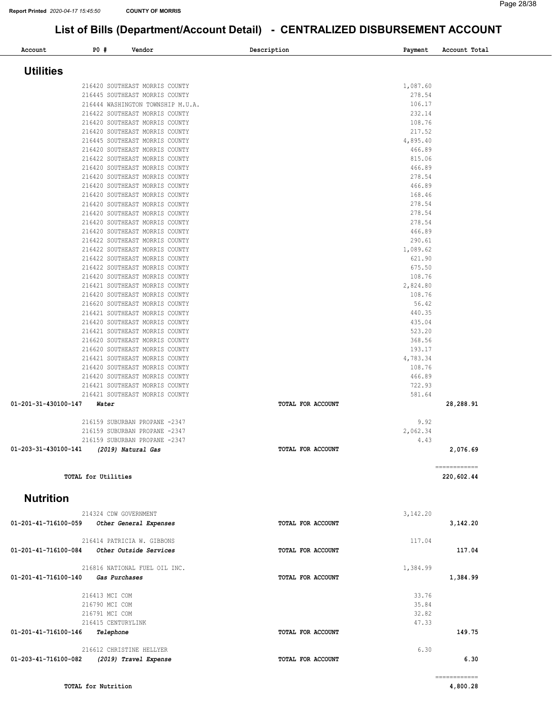| Account                               | <b>PO #</b> |                                                                  | Vendor | Description |                   | Payment            | Account Total            |      |
|---------------------------------------|-------------|------------------------------------------------------------------|--------|-------------|-------------------|--------------------|--------------------------|------|
| <b>Utilities</b>                      |             |                                                                  |        |             |                   |                    |                          |      |
|                                       |             | 216420 SOUTHEAST MORRIS COUNTY                                   |        |             |                   | 1,087.60           |                          |      |
|                                       |             | 216445 SOUTHEAST MORRIS COUNTY                                   |        |             |                   | 278.54             |                          |      |
|                                       |             | 216444 WASHINGTON TOWNSHIP M.U.A.                                |        |             |                   | 106.17             |                          |      |
|                                       |             | 216422 SOUTHEAST MORRIS COUNTY                                   |        |             |                   | 232.14             |                          |      |
|                                       |             | 216420 SOUTHEAST MORRIS COUNTY                                   |        |             |                   | 108.76<br>217.52   |                          |      |
|                                       |             | 216420 SOUTHEAST MORRIS COUNTY<br>216445 SOUTHEAST MORRIS COUNTY |        |             |                   | 4,895.40           |                          |      |
|                                       |             | 216420 SOUTHEAST MORRIS COUNTY                                   |        |             |                   | 466.89             |                          |      |
|                                       |             | 216422 SOUTHEAST MORRIS COUNTY                                   |        |             |                   | 815.06             |                          |      |
|                                       |             | 216420 SOUTHEAST MORRIS COUNTY                                   |        |             |                   | 466.89             |                          |      |
|                                       |             | 216420 SOUTHEAST MORRIS COUNTY                                   |        |             |                   | 278.54             |                          |      |
|                                       |             | 216420 SOUTHEAST MORRIS COUNTY                                   |        |             |                   | 466.89             |                          |      |
|                                       |             | 216420 SOUTHEAST MORRIS COUNTY                                   |        |             |                   | 168.46             |                          |      |
|                                       |             | 216420 SOUTHEAST MORRIS COUNTY<br>216420 SOUTHEAST MORRIS COUNTY |        |             |                   | 278.54<br>278.54   |                          |      |
|                                       |             | 216420 SOUTHEAST MORRIS COUNTY                                   |        |             |                   | 278.54             |                          |      |
|                                       |             | 216420 SOUTHEAST MORRIS COUNTY                                   |        |             |                   | 466.89             |                          |      |
|                                       |             | 216422 SOUTHEAST MORRIS COUNTY                                   |        |             |                   | 290.61             |                          |      |
|                                       |             | 216422 SOUTHEAST MORRIS COUNTY                                   |        |             |                   | 1,089.62           |                          |      |
|                                       |             | 216422 SOUTHEAST MORRIS COUNTY                                   |        |             |                   | 621.90             |                          |      |
|                                       |             | 216422 SOUTHEAST MORRIS COUNTY                                   |        |             |                   | 675.50             |                          |      |
|                                       |             | 216420 SOUTHEAST MORRIS COUNTY                                   |        |             |                   | 108.76             |                          |      |
|                                       |             | 216421 SOUTHEAST MORRIS COUNTY<br>216420 SOUTHEAST MORRIS COUNTY |        |             |                   | 2,824.80<br>108.76 |                          |      |
|                                       |             | 216620 SOUTHEAST MORRIS COUNTY                                   |        |             |                   | 56.42              |                          |      |
|                                       |             | 216421 SOUTHEAST MORRIS COUNTY                                   |        |             |                   | 440.35             |                          |      |
|                                       |             | 216420 SOUTHEAST MORRIS COUNTY                                   |        |             |                   | 435.04             |                          |      |
|                                       |             | 216421 SOUTHEAST MORRIS COUNTY                                   |        |             |                   | 523.20             |                          |      |
|                                       |             | 216620 SOUTHEAST MORRIS COUNTY                                   |        |             |                   | 368.56             |                          |      |
|                                       |             | 216620 SOUTHEAST MORRIS COUNTY                                   |        |             |                   | 193.17             |                          |      |
|                                       |             | 216421 SOUTHEAST MORRIS COUNTY                                   |        |             |                   | 4,783.34           |                          |      |
|                                       |             | 216420 SOUTHEAST MORRIS COUNTY<br>216420 SOUTHEAST MORRIS COUNTY |        |             |                   | 108.76<br>466.89   |                          |      |
|                                       |             | 216421 SOUTHEAST MORRIS COUNTY                                   |        |             |                   | 722.93             |                          |      |
|                                       |             | 216421 SOUTHEAST MORRIS COUNTY                                   |        |             |                   | 581.64             |                          |      |
| 01-201-31-430100-147                  |             | Water                                                            |        |             | TOTAL FOR ACCOUNT |                    | 28,288.91                |      |
|                                       |             |                                                                  |        |             |                   |                    |                          |      |
|                                       |             | 216159 SUBURBAN PROPANE -2347                                    |        |             |                   | 9.92               |                          |      |
|                                       |             | 216159 SUBURBAN PROPANE -2347                                    |        |             |                   | 2,062.34           |                          |      |
|                                       |             | 216159 SUBURBAN PROPANE -2347                                    |        |             |                   | 4.43               |                          |      |
| 01-203-31-430100-141                  |             | (2019) Natural Gas                                               |        |             | TOTAL FOR ACCOUNT |                    | 2,076.69<br>------------ |      |
|                                       |             | TOTAL for Utilities                                              |        |             |                   |                    | 220,602.44               |      |
| <b>Nutrition</b>                      |             |                                                                  |        |             |                   |                    |                          |      |
|                                       |             | 214324 CDW GOVERNMENT                                            |        |             |                   | 3,142.20           |                          |      |
|                                       |             |                                                                  |        |             | TOTAL FOR ACCOUNT |                    | 3,142.20                 |      |
|                                       |             | 216414 PATRICIA W. GIBBONS                                       |        |             |                   | 117.04             |                          |      |
|                                       |             |                                                                  |        |             | TOTAL FOR ACCOUNT |                    | 117.04                   |      |
|                                       |             | 216816 NATIONAL FUEL OIL INC.                                    |        |             |                   | 1,384.99           |                          |      |
| 01-201-41-716100-140    Gas Purchases |             |                                                                  |        |             | TOTAL FOR ACCOUNT |                    | 1,384.99                 |      |
|                                       |             | 216413 MCI COM                                                   |        |             |                   | 33.76              |                          |      |
|                                       |             | 216790 MCI COM                                                   |        |             |                   | 35.84              |                          |      |
|                                       |             | 216791 MCI COM<br>216415 CENTURYLINK                             |        |             |                   | 32.82<br>47.33     |                          |      |
| 01-201-41-716100-146                  |             | Telephone                                                        |        |             | TOTAL FOR ACCOUNT |                    | 149.75                   |      |
|                                       |             |                                                                  |        |             |                   |                    |                          |      |
|                                       |             | 216612 CHRISTINE HELLYER                                         |        |             |                   | 6.30               |                          |      |
| 01-203-41-716100-082                  |             | (2019) Travel Expense                                            |        |             | TOTAL FOR ACCOUNT |                    |                          | 6.30 |
|                                       |             |                                                                  |        |             |                   |                    |                          |      |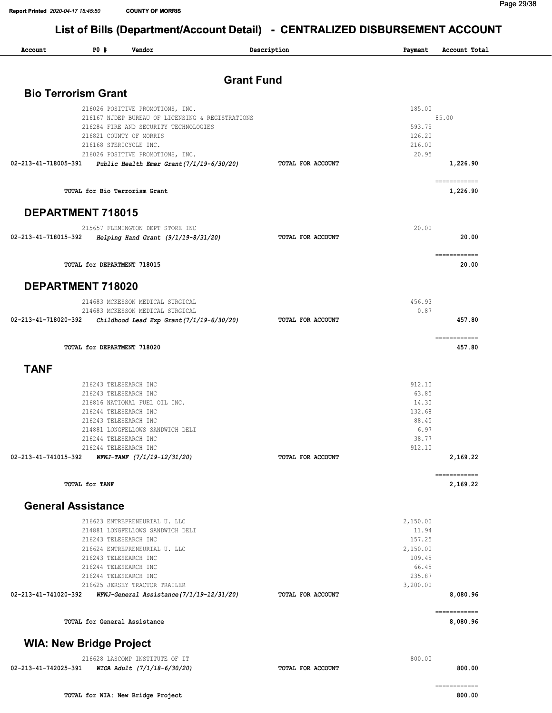$\overline{\phantom{a}}$ 

| Account                        | P0#                                            | Vendor                                                                    |                   | Description       | Payment            | Account Total            |
|--------------------------------|------------------------------------------------|---------------------------------------------------------------------------|-------------------|-------------------|--------------------|--------------------------|
|                                |                                                |                                                                           | <b>Grant Fund</b> |                   |                    |                          |
| <b>Bio Terrorism Grant</b>     |                                                |                                                                           |                   |                   |                    |                          |
|                                |                                                | 216026 POSITIVE PROMOTIONS, INC.                                          |                   |                   | 185.00             |                          |
|                                |                                                | 216167 NJDEP BUREAU OF LICENSING & REGISTRATIONS                          |                   |                   |                    | 85.00                    |
|                                |                                                | 216284 FIRE AND SECURITY TECHNOLOGIES                                     |                   |                   | 593.75             |                          |
|                                |                                                | 216821 COUNTY OF MORRIS<br>216168 STERICYCLE INC.                         |                   |                   | 126.20<br>216.00   |                          |
|                                |                                                | 216026 POSITIVE PROMOTIONS, INC.                                          |                   |                   | 20.95              |                          |
|                                |                                                | 02-213-41-718005-391 Public Health Emer Grant (7/1/19-6/30/20)            |                   | TOTAL FOR ACCOUNT |                    | 1,226.90                 |
|                                |                                                | TOTAL for Bio Terrorism Grant                                             |                   |                   |                    | ============<br>1,226.90 |
| DEPARTMENT 718015              |                                                |                                                                           |                   |                   |                    |                          |
|                                |                                                | 215657 FLEMINGTON DEPT STORE INC                                          |                   |                   | 20.00              |                          |
| 02-213-41-718015-392           |                                                | Helping Hand Grant (9/1/19-8/31/20)                                       |                   | TOTAL FOR ACCOUNT |                    | 20.00                    |
|                                | TOTAL for DEPARTMENT 718015                    |                                                                           |                   |                   |                    | 20.00                    |
| DEPARTMENT 718020              |                                                |                                                                           |                   |                   |                    |                          |
|                                |                                                | 214683 MCKESSON MEDICAL SURGICAL                                          |                   |                   | 456.93             |                          |
|                                |                                                | 214683 MCKESSON MEDICAL SURGICAL                                          |                   |                   | 0.87               |                          |
| 02-213-41-718020-392           |                                                | Childhood Lead Exp Grant $(7/1/19-6/30/20)$                               |                   | TOTAL FOR ACCOUNT |                    | 457.80                   |
|                                | TOTAL for DEPARTMENT 718020                    |                                                                           |                   |                   |                    | ============<br>457.80   |
| <b>TANF</b>                    |                                                |                                                                           |                   |                   |                    |                          |
|                                | 216243 TELESEARCH INC                          |                                                                           |                   |                   | 912.10             |                          |
|                                | 216243 TELESEARCH INC                          |                                                                           |                   |                   | 63.85              |                          |
|                                |                                                | 216816 NATIONAL FUEL OIL INC.                                             |                   |                   | 14.30              |                          |
|                                | 216244 TELESEARCH INC<br>216243 TELESEARCH INC |                                                                           |                   |                   | 132.68<br>88.45    |                          |
|                                |                                                | 214881 LONGFELLOWS SANDWICH DELI                                          |                   |                   | 6.97               |                          |
|                                | 216244 TELESEARCH INC                          |                                                                           |                   |                   | 38.77              |                          |
|                                | 216244 TELESEARCH INC                          |                                                                           |                   |                   | 912.10             |                          |
| 02-213-41-741015-392           |                                                | WFNJ-TANF (7/1/19-12/31/20)                                               |                   | TOTAL FOR ACCOUNT |                    | 2,169.22                 |
|                                | TOTAL for TANF                                 |                                                                           |                   |                   |                    | 2,169.22                 |
| <b>General Assistance</b>      |                                                |                                                                           |                   |                   |                    |                          |
|                                |                                                | 216623 ENTREPRENEURIAL U. LLC                                             |                   |                   | 2,150.00           |                          |
|                                |                                                | 214881 LONGFELLOWS SANDWICH DELI                                          |                   |                   | 11.94              |                          |
|                                | 216243 TELESEARCH INC                          | 216624 ENTREPRENEURIAL U. LLC                                             |                   |                   | 157.25<br>2,150.00 |                          |
|                                | 216243 TELESEARCH INC                          |                                                                           |                   |                   | 109.45             |                          |
|                                | 216244 TELESEARCH INC                          |                                                                           |                   |                   | 66.45              |                          |
|                                | 216244 TELESEARCH INC                          |                                                                           |                   |                   | 235.87             |                          |
| 02-213-41-741020-392           |                                                | 216625 JERSEY TRACTOR TRAILER<br>WFNJ-General Assistance(7/1/19-12/31/20) |                   | TOTAL FOR ACCOUNT | 3,200.00           | 8,080.96                 |
|                                |                                                |                                                                           |                   |                   |                    | ============             |
|                                | TOTAL for General Assistance                   |                                                                           |                   |                   |                    | 8,080.96                 |
| <b>WIA: New Bridge Project</b> |                                                |                                                                           |                   |                   |                    |                          |
| 02-213-41-742025-391           |                                                | 216628 LASCOMP INSTITUTE OF IT<br>WIOA Adult (7/1/18-6/30/20)             |                   | TOTAL FOR ACCOUNT | 800.00             | 800.00                   |
|                                |                                                | TOTAL for WIA: New Bridge Project                                         |                   |                   |                    | ============<br>800.00   |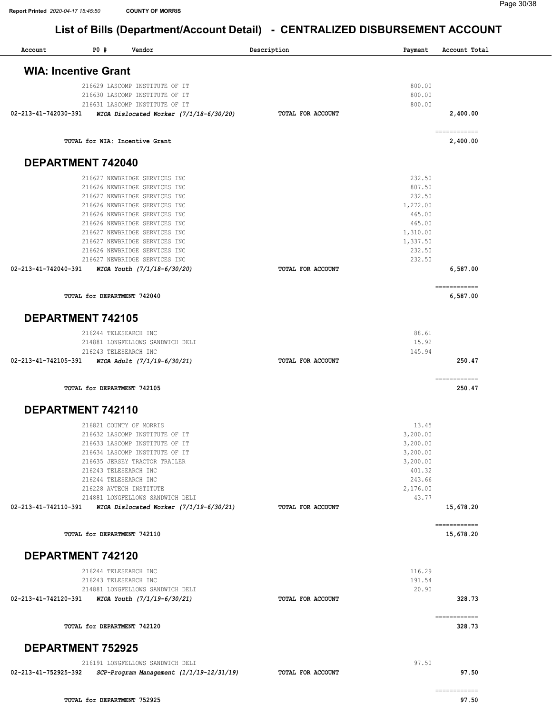| Account                     | PO#                         | Vendor                                                         | Description       | Payment            | Account Total             |
|-----------------------------|-----------------------------|----------------------------------------------------------------|-------------------|--------------------|---------------------------|
| <b>WIA: Incentive Grant</b> |                             |                                                                |                   |                    |                           |
|                             |                             | 216629 LASCOMP INSTITUTE OF IT                                 |                   | 800.00             |                           |
|                             |                             | 216630 LASCOMP INSTITUTE OF IT                                 |                   | 800.00             |                           |
|                             |                             | 216631 LASCOMP INSTITUTE OF IT                                 |                   | 800.00             |                           |
| 02-213-41-742030-391        |                             | WIOA Dislocated Worker $(7/1/18-6/30/20)$                      | TOTAL FOR ACCOUNT |                    | 2,400.00                  |
|                             |                             | TOTAL for WIA: Incentive Grant                                 |                   |                    | ------------<br>2,400.00  |
|                             | DEPARTMENT 742040           |                                                                |                   |                    |                           |
|                             |                             | 216627 NEWBRIDGE SERVICES INC                                  |                   | 232.50             |                           |
|                             |                             | 216626 NEWBRIDGE SERVICES INC                                  |                   | 807.50             |                           |
|                             |                             | 216627 NEWBRIDGE SERVICES INC                                  |                   | 232.50             |                           |
|                             |                             | 216626 NEWBRIDGE SERVICES INC                                  |                   | 1,272.00           |                           |
|                             |                             | 216626 NEWBRIDGE SERVICES INC                                  |                   | 465.00<br>465.00   |                           |
|                             |                             | 216626 NEWBRIDGE SERVICES INC<br>216627 NEWBRIDGE SERVICES INC |                   | 1,310.00           |                           |
|                             |                             | 216627 NEWBRIDGE SERVICES INC                                  |                   | 1,337.50           |                           |
|                             |                             | 216626 NEWBRIDGE SERVICES INC                                  |                   | 232.50             |                           |
|                             |                             | 216627 NEWBRIDGE SERVICES INC                                  |                   | 232.50             |                           |
| 02-213-41-742040-391        |                             | WIOA Youth (7/1/18-6/30/20)                                    | TOTAL FOR ACCOUNT |                    | 6,587.00                  |
|                             | TOTAL for DEPARTMENT 742040 |                                                                |                   |                    | ============<br>6,587.00  |
|                             | <b>DEPARTMENT 742105</b>    |                                                                |                   |                    |                           |
|                             |                             | 216244 TELESEARCH INC                                          |                   | 88.61              |                           |
|                             |                             | 214881 LONGFELLOWS SANDWICH DELI                               |                   | 15.92              |                           |
|                             |                             | 216243 TELESEARCH INC                                          |                   | 145.94             |                           |
| 02-213-41-742105-391        |                             | WIOA Adult (7/1/19-6/30/21)                                    | TOTAL FOR ACCOUNT |                    | 250.47                    |
|                             | TOTAL for DEPARTMENT 742105 |                                                                |                   |                    | -------------<br>250.47   |
|                             | DEPARTMENT 742110           |                                                                |                   |                    |                           |
|                             |                             | 216821 COUNTY OF MORRIS                                        |                   | 13.45              |                           |
|                             |                             | 216632 LASCOMP INSTITUTE OF IT                                 |                   | 3,200.00           |                           |
|                             |                             | 216633 LASCOMP INSTITUTE OF IT                                 |                   | 3,200.00           |                           |
|                             |                             | 216634 LASCOMP INSTITUTE OF IT                                 |                   | 3,200.00           |                           |
|                             |                             | 216635 JERSEY TRACTOR TRAILER<br>216243 TELESEARCH INC         |                   | 3,200.00<br>401.32 |                           |
|                             |                             | 216244 TELESEARCH INC                                          |                   | 243.66             |                           |
|                             |                             | 216228 AVTECH INSTITUTE                                        |                   | 2,176.00           |                           |
|                             |                             | 214881 LONGFELLOWS SANDWICH DELI                               |                   | 43.77              |                           |
| 02-213-41-742110-391        |                             | WIOA Dislocated Worker $(7/1/19-6/30/21)$                      | TOTAL FOR ACCOUNT |                    | 15,678.20                 |
|                             | TOTAL for DEPARTMENT 742110 |                                                                |                   |                    | ------------<br>15,678.20 |
|                             | <b>DEPARTMENT 742120</b>    |                                                                |                   |                    |                           |
|                             |                             | 216244 TELESEARCH INC                                          |                   | 116.29             |                           |
|                             |                             | 216243 TELESEARCH INC                                          |                   | 191.54             |                           |
|                             |                             | 214881 LONGFELLOWS SANDWICH DELI                               |                   | 20.90              |                           |
| 02-213-41-742120-391        |                             | WIOA Youth (7/1/19-6/30/21)                                    | TOTAL FOR ACCOUNT |                    | 328.73                    |
|                             | TOTAL for DEPARTMENT 742120 |                                                                |                   |                    | ============<br>328.73    |
|                             | <b>DEPARTMENT 752925</b>    |                                                                |                   |                    |                           |
|                             |                             | 216191 LONGFELLOWS SANDWICH DELI                               |                   | 97.50              |                           |
| 02-213-41-752925-392        |                             | SCP-Program Management (1/1/19-12/31/19)                       | TOTAL FOR ACCOUNT |                    | 97.50                     |
|                             | TOTAL for DEPARTMENT 752925 |                                                                |                   |                    | ============<br>97.50     |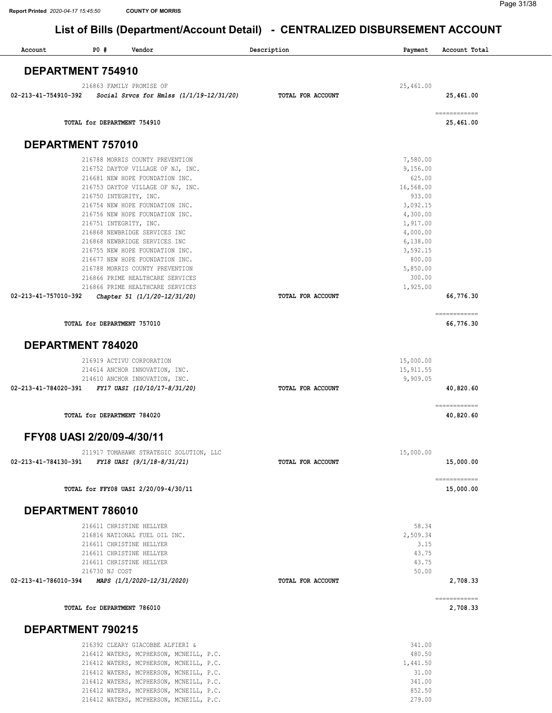| Account              | P0#                         | Vendor                                                                             | Description              | Payment              | Account Total             |
|----------------------|-----------------------------|------------------------------------------------------------------------------------|--------------------------|----------------------|---------------------------|
|                      | <b>DEPARTMENT 754910</b>    |                                                                                    |                          |                      |                           |
|                      |                             | 216863 FAMILY PROMISE OF                                                           |                          | 25,461.00            |                           |
| 02-213-41-754910-392 |                             | Social Srvcs for Hmlss $(1/1/19-12/31/20)$                                         | TOTAL FOR ACCOUNT        |                      | 25,461.00                 |
|                      | TOTAL for DEPARTMENT 754910 |                                                                                    |                          |                      | ============<br>25,461.00 |
|                      | DEPARTMENT 757010           |                                                                                    |                          |                      |                           |
|                      |                             |                                                                                    |                          |                      |                           |
|                      |                             | 216788 MORRIS COUNTY PREVENTION<br>216752 DAYTOP VILLAGE OF NJ, INC.               |                          | 7,580.00<br>9,156.00 |                           |
|                      |                             | 216681 NEW HOPE FOUNDATION INC.                                                    |                          | 625.00               |                           |
|                      |                             | 216753 DAYTOP VILLAGE OF NJ, INC.                                                  |                          | 16,568.00            |                           |
|                      |                             | 216750 INTEGRITY, INC.                                                             |                          | 933.00               |                           |
|                      |                             | 216754 NEW HOPE FOUNDATION INC.<br>216756 NEW HOPE FOUNDATION INC.                 |                          | 3,092.15<br>4,300.00 |                           |
|                      | 216751 INTEGRITY, INC.      |                                                                                    |                          | 1,917.00             |                           |
|                      |                             | 216868 NEWBRIDGE SERVICES INC                                                      |                          | 4,000.00             |                           |
|                      |                             | 216868 NEWBRIDGE SERVICES INC                                                      |                          | 6,138.00             |                           |
|                      |                             | 216755 NEW HOPE FOUNDATION INC.<br>216677 NEW HOPE FOUNDATION INC.                 |                          | 3,592.15<br>800.00   |                           |
|                      |                             | 216788 MORRIS COUNTY PREVENTION                                                    |                          | 5,850.00             |                           |
|                      |                             | 216866 PRIME HEALTHCARE SERVICES                                                   |                          | 300.00               |                           |
|                      |                             | 216866 PRIME HEALTHCARE SERVICES                                                   |                          | 1,925.00             |                           |
| 02-213-41-757010-392 |                             | Chapter 51 (1/1/20-12/31/20)                                                       | <b>TOTAL FOR ACCOUNT</b> |                      | 66,776.30                 |
|                      | TOTAL for DEPARTMENT 757010 |                                                                                    |                          |                      | ------------<br>66,776.30 |
|                      | DEPARTMENT 784020           |                                                                                    |                          |                      |                           |
|                      |                             | 216919 ACTIVU CORPORATION                                                          |                          | 15,000.00            |                           |
|                      |                             | 214614 ANCHOR INNOVATION, INC.                                                     |                          | 15, 911.55           |                           |
|                      |                             | 214610 ANCHOR INNOVATION, INC.                                                     |                          | 9,909.05             |                           |
| 02-213-41-784020-391 |                             | FY17 UASI (10/10/17-8/31/20)                                                       | TOTAL FOR ACCOUNT        |                      | 40,820.60                 |
|                      | TOTAL for DEPARTMENT 784020 |                                                                                    |                          |                      | ============<br>40,820.60 |
|                      | FFY08 UASI 2/20/09-4/30/11  |                                                                                    |                          |                      |                           |
|                      |                             | 211917 TOMAHAWK STRATEGIC SOLUTION, LLC                                            |                          | 15,000.00            |                           |
|                      |                             | 02-213-41-784130-391 FY18 UASI (9/1/18-8/31/21)                                    | TOTAL FOR ACCOUNT        |                      | 15,000.00                 |
|                      |                             | TOTAL for FFY08 UASI 2/20/09-4/30/11                                               |                          |                      | ============<br>15,000.00 |
|                      | DEPARTMENT 786010           |                                                                                    |                          |                      |                           |
|                      |                             | 216611 CHRISTINE HELLYER                                                           |                          | 58.34                |                           |
|                      |                             | 216816 NATIONAL FUEL OIL INC.                                                      |                          | 2,509.34             |                           |
|                      |                             | 216611 CHRISTINE HELLYER                                                           |                          | 3.15                 |                           |
|                      |                             | 216611 CHRISTINE HELLYER                                                           |                          | 43.75<br>43.75       |                           |
|                      | 216730 NJ COST              | 216611 CHRISTINE HELLYER                                                           |                          | 50.00                |                           |
|                      |                             | 02-213-41-786010-394 MAPS (1/1/2020-12/31/2020)                                    | TOTAL FOR ACCOUNT        |                      | 2,708.33                  |
|                      | TOTAL for DEPARTMENT 786010 |                                                                                    |                          |                      | ============<br>2,708.33  |
|                      | DEPARTMENT 790215           |                                                                                    |                          |                      |                           |
|                      |                             | 216392 CLEARY GIACOBBE ALFIERI &                                                   |                          | 341.00               |                           |
|                      |                             | 216412 WATERS, MCPHERSON, MCNEILL, P.C.                                            |                          | 480.50               |                           |
|                      |                             | 216412 WATERS, MCPHERSON, MCNEILL, P.C.                                            |                          | 1,441.50             |                           |
|                      |                             | 216412 WATERS, MCPHERSON, MCNEILL, P.C.                                            |                          | 31.00                |                           |
|                      |                             | 216412 WATERS, MCPHERSON, MCNEILL, P.C.<br>216412 WATERS, MCPHERSON, MCNEILL, P.C. |                          | 341.00<br>852.50     |                           |

279.00

216412 WATERS, MCPHERSON, MCNEILL, P.C. 216412 WATERS, MCPHERSON, MCNEILL, P.C.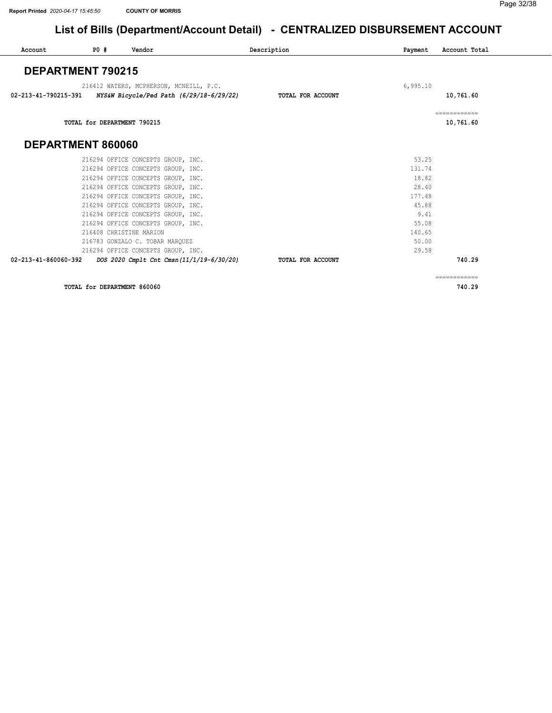| <b>DEPARTMENT 790215</b><br>216412 WATERS, MCPHERSON, MCNEILL, P.C.<br>02-213-41-790215-391 NYS&W Bicycle/Ped Path (6/29/18-6/29/22)<br>TOTAL for DEPARTMENT 790215<br>DEPARTMENT 860060 | TOTAL FOR ACCOUNT | 6,995.10 | 10,761.60<br>============<br>10,761.60 |
|------------------------------------------------------------------------------------------------------------------------------------------------------------------------------------------|-------------------|----------|----------------------------------------|
|                                                                                                                                                                                          |                   |          |                                        |
|                                                                                                                                                                                          |                   |          |                                        |
|                                                                                                                                                                                          |                   |          |                                        |
|                                                                                                                                                                                          |                   |          |                                        |
|                                                                                                                                                                                          |                   |          |                                        |
| 216294 OFFICE CONCEPTS GROUP, INC.                                                                                                                                                       |                   | 53.25    |                                        |
| 216294 OFFICE CONCEPTS GROUP, INC.                                                                                                                                                       |                   | 131.74   |                                        |
| 216294 OFFICE CONCEPTS GROUP, INC.                                                                                                                                                       |                   | 18.82    |                                        |
| 216294 OFFICE CONCEPTS GROUP, INC.                                                                                                                                                       |                   | 28.40    |                                        |
| 216294 OFFICE CONCEPTS GROUP, INC.                                                                                                                                                       |                   | 177.48   |                                        |
| 216294 OFFICE CONCEPTS GROUP, INC.                                                                                                                                                       |                   | 45.88    |                                        |
| 216294 OFFICE CONCEPTS GROUP, INC.                                                                                                                                                       |                   | 9.41     |                                        |
| 216294 OFFICE CONCEPTS GROUP, INC.                                                                                                                                                       |                   | 55.08    |                                        |
| 216408 CHRISTINE MARION                                                                                                                                                                  |                   | 140.65   |                                        |
| 216783 GONZALO C. TOBAR MARQUEZ                                                                                                                                                          |                   | 50.00    |                                        |
| 216294 OFFICE CONCEPTS GROUP, INC.                                                                                                                                                       |                   | 29.58    |                                        |
| DOS 2020 Cmplt Cnt Cmsn(11/1/19-6/30/20)                                                                                                                                                 | TOTAL FOR ACCOUNT |          | 740.29                                 |
|                                                                                                                                                                                          |                   |          |                                        |

TOTAL for DEPARTMENT 860060 740.29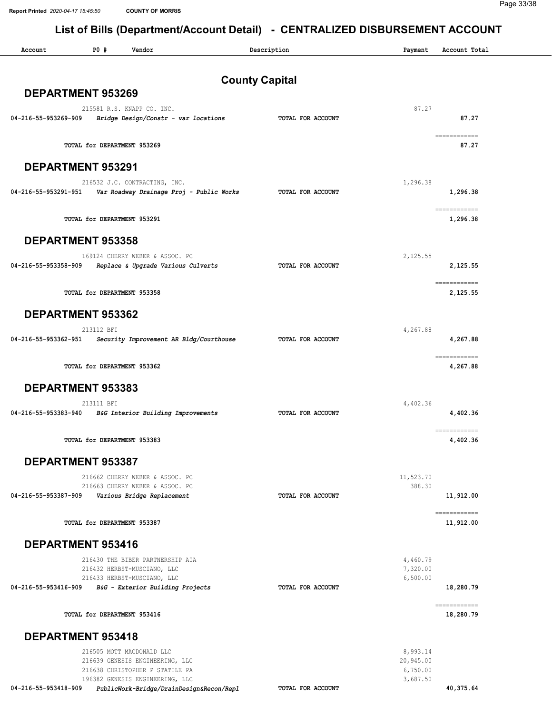| Account                  | PO#                         | Vendor                                                                                                                                                                         | Description           | Payment                                       | Account Total             |
|--------------------------|-----------------------------|--------------------------------------------------------------------------------------------------------------------------------------------------------------------------------|-----------------------|-----------------------------------------------|---------------------------|
|                          |                             |                                                                                                                                                                                | <b>County Capital</b> |                                               |                           |
| <b>DEPARTMENT 953269</b> |                             |                                                                                                                                                                                |                       |                                               |                           |
| 04-216-55-953269-909     |                             | 215581 R.S. KNAPP CO. INC.<br>Bridge Design/Constr - var locations                                                                                                             | TOTAL FOR ACCOUNT     | 87.27                                         | 87.27                     |
|                          | TOTAL for DEPARTMENT 953269 |                                                                                                                                                                                |                       |                                               | ============<br>87.27     |
| <b>DEPARTMENT 953291</b> |                             |                                                                                                                                                                                |                       |                                               |                           |
| 04-216-55-953291-951     |                             | 216532 J.C. CONTRACTING, INC.<br>Var Roadway Drainage Proj - Public Works                                                                                                      | TOTAL FOR ACCOUNT     | 1,296.38                                      | 1,296.38                  |
|                          | TOTAL for DEPARTMENT 953291 |                                                                                                                                                                                |                       |                                               | ============<br>1,296.38  |
| <b>DEPARTMENT 953358</b> |                             |                                                                                                                                                                                |                       |                                               |                           |
| 04-216-55-953358-909     |                             | 169124 CHERRY WEBER & ASSOC. PC<br>Replace & Upgrade Various Culverts                                                                                                          | TOTAL FOR ACCOUNT     | 2,125.55                                      | 2,125.55                  |
|                          | TOTAL for DEPARTMENT 953358 |                                                                                                                                                                                |                       |                                               | ------------<br>2,125.55  |
| DEPARTMENT 953362        |                             |                                                                                                                                                                                |                       |                                               |                           |
| 04-216-55-953362-951     | 213112 BFI                  | Security Improvement AR Bldg/Courthouse                                                                                                                                        | TOTAL FOR ACCOUNT     | 4,267.88                                      | 4,267.88                  |
|                          | TOTAL for DEPARTMENT 953362 |                                                                                                                                                                                |                       |                                               | ============<br>4,267.88  |
| DEPARTMENT 953383        |                             |                                                                                                                                                                                |                       |                                               |                           |
| 04-216-55-953383-940     | 213111 BFI                  | B&G Interior Building Improvements                                                                                                                                             | TOTAL FOR ACCOUNT     | 4,402.36                                      | 4,402.36                  |
|                          | TOTAL for DEPARTMENT 953383 |                                                                                                                                                                                |                       |                                               | ------------<br>4,402.36  |
| DEPARTMENT 953387        |                             |                                                                                                                                                                                |                       |                                               |                           |
| 04-216-55-953387-909     |                             | 216662 CHERRY WEBER & ASSOC. PC<br>216663 CHERRY WEBER & ASSOC. PC<br>Various Bridge Replacement                                                                               | TOTAL FOR ACCOUNT     | 11,523.70<br>388.30                           | 11,912.00                 |
|                          | TOTAL for DEPARTMENT 953387 |                                                                                                                                                                                |                       |                                               | ============<br>11,912.00 |
| DEPARTMENT 953416        |                             |                                                                                                                                                                                |                       |                                               |                           |
| 04-216-55-953416-909     |                             | 216430 THE BIBER PARTNERSHIP AIA<br>216432 HERBST-MUSCIANO, LLC<br>216433 HERBST-MUSCIANO, LLC<br>B&G - Exterior Building Projects                                             | TOTAL FOR ACCOUNT     | 4,460.79<br>7,320.00<br>6,500.00              | 18,280.79                 |
|                          | TOTAL for DEPARTMENT 953416 |                                                                                                                                                                                |                       |                                               | ------------<br>18,280.79 |
| DEPARTMENT 953418        |                             |                                                                                                                                                                                |                       |                                               |                           |
| 04-216-55-953418-909     |                             | 216505 MOTT MACDONALD LLC<br>216639 GENESIS ENGINEERING, LLC<br>216638 CHRISTOPHER P STATILE PA<br>196382 GENESIS ENGINEERING, LLC<br>PublicWork-Bridge/DrainDesign&Recon/Repl | TOTAL FOR ACCOUNT     | 8,993.14<br>20,945.00<br>6,750.00<br>3,687.50 | 40,375.64                 |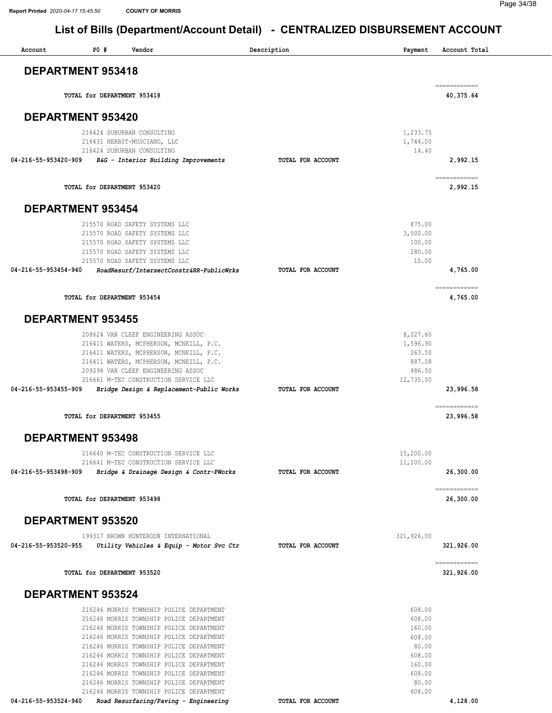| Account                  | P0#<br>Vendor                                                                                                                                                                                                                                                                                                                                                                                                                                        | Description       | Payment                                                                                        | Account Total              |
|--------------------------|------------------------------------------------------------------------------------------------------------------------------------------------------------------------------------------------------------------------------------------------------------------------------------------------------------------------------------------------------------------------------------------------------------------------------------------------------|-------------------|------------------------------------------------------------------------------------------------|----------------------------|
| <b>DEPARTMENT 953418</b> |                                                                                                                                                                                                                                                                                                                                                                                                                                                      |                   |                                                                                                |                            |
|                          | TOTAL for DEPARTMENT 953418                                                                                                                                                                                                                                                                                                                                                                                                                          |                   |                                                                                                | ============<br>40,375.64  |
| <b>DEPARTMENT 953420</b> |                                                                                                                                                                                                                                                                                                                                                                                                                                                      |                   |                                                                                                |                            |
|                          | 216424 SUBURBAN CONSULTING<br>216431 HERBST-MUSCIANO, LLC<br>216424 SUBURBAN CONSULTING                                                                                                                                                                                                                                                                                                                                                              |                   | 1,233.75<br>1,744.00<br>14.40                                                                  |                            |
| 04-216-55-953420-909     | B&G - Interior Building Improvements                                                                                                                                                                                                                                                                                                                                                                                                                 | TOTAL FOR ACCOUNT |                                                                                                | 2,992.15                   |
|                          | TOTAL for DEPARTMENT 953420                                                                                                                                                                                                                                                                                                                                                                                                                          |                   |                                                                                                | ============<br>2,992.15   |
| DEPARTMENT 953454        |                                                                                                                                                                                                                                                                                                                                                                                                                                                      |                   |                                                                                                |                            |
|                          | 215570 ROAD SAFETY SYSTEMS LLC<br>215570 ROAD SAFETY SYSTEMS LLC<br>215570 ROAD SAFETY SYSTEMS LLC<br>215570 ROAD SAFETY SYSTEMS LLC<br>215570 ROAD SAFETY SYSTEMS LLC                                                                                                                                                                                                                                                                               |                   | 875.00<br>3,500.00<br>100.00<br>280.00<br>10.00                                                |                            |
| 04-216-55-953454-940     | RoadResurf/IntersectConstr&RR-PublicWrks                                                                                                                                                                                                                                                                                                                                                                                                             | TOTAL FOR ACCOUNT |                                                                                                | 4,765.00                   |
|                          | TOTAL for DEPARTMENT 953454                                                                                                                                                                                                                                                                                                                                                                                                                          |                   |                                                                                                | ============<br>4,765.00   |
| <b>DEPARTMENT 953455</b> |                                                                                                                                                                                                                                                                                                                                                                                                                                                      |                   |                                                                                                |                            |
| 04-216-55-953455-909     | 208624 VAN CLEEF ENGINEERING ASSOC<br>216411 WATERS, MCPHERSON, MCNEILL, P.C.<br>216411 WATERS, MCPHERSON, MCNEILL, P.C.<br>216411 WATERS, MCPHERSON, MCNEILL, P.C.<br>209298 VAN CLEEF ENGINEERING ASSOC<br>216661 M-TEC CONSTRUCTION SERVICE LLC<br>Bridge Design & Replacement-Public Works                                                                                                                                                       | TOTAL FOR ACCOUNT | 8,027.60<br>1,596.90<br>263.50<br>887.08<br>486.50<br>12,735.00                                | 23,996.58                  |
|                          | TOTAL for DEPARTMENT 953455                                                                                                                                                                                                                                                                                                                                                                                                                          |                   |                                                                                                | ============<br>23,996.58  |
| <b>DEPARTMENT 953498</b> |                                                                                                                                                                                                                                                                                                                                                                                                                                                      |                   |                                                                                                |                            |
| 04-216-55-953498-909     | 216640 M-TEC CONSTRUCTION SERVICE LLC<br>216641 M-TEC CONSTRUCTION SERVICE LLC<br>Bridge & Drainage Design & Contr-PWorks                                                                                                                                                                                                                                                                                                                            | TOTAL FOR ACCOUNT | 15,200.00<br>11,100.00                                                                         | 26,300.00                  |
|                          | TOTAL for DEPARTMENT 953498                                                                                                                                                                                                                                                                                                                                                                                                                          |                   |                                                                                                | ============<br>26,300.00  |
| <b>DEPARTMENT 953520</b> |                                                                                                                                                                                                                                                                                                                                                                                                                                                      |                   |                                                                                                |                            |
| 04-216-55-953520-955     | 199317 BROWN HUNTERDON INTERNATIONAL<br>Utility Vehicles & Equip - Motor Svc Ctr                                                                                                                                                                                                                                                                                                                                                                     | TOTAL FOR ACCOUNT | 321,926.00                                                                                     | 321,926.00                 |
|                          | TOTAL for DEPARTMENT 953520                                                                                                                                                                                                                                                                                                                                                                                                                          |                   |                                                                                                | ------------<br>321,926.00 |
| <b>DEPARTMENT 953524</b> |                                                                                                                                                                                                                                                                                                                                                                                                                                                      |                   |                                                                                                |                            |
|                          | 216246 MORRIS TOWNSHIP POLICE DEPARTMENT<br>216246 MORRIS TOWNSHIP POLICE DEPARTMENT<br>216246 MORRIS TOWNSHIP POLICE DEPARTMENT<br>216246 MORRIS TOWNSHIP POLICE DEPARTMENT<br>216246 MORRIS TOWNSHIP POLICE DEPARTMENT<br>216246 MORRIS TOWNSHIP POLICE DEPARTMENT<br>216246 MORRIS TOWNSHIP POLICE DEPARTMENT<br>216246 MORRIS TOWNSHIP POLICE DEPARTMENT<br>216246 MORRIS TOWNSHIP POLICE DEPARTMENT<br>216246 MORRIS TOWNSHIP POLICE DEPARTMENT |                   | 608.00<br>608.00<br>160.00<br>608.00<br>80.00<br>608.00<br>160.00<br>608.00<br>80.00<br>608.00 |                            |
| 04-216-55-953524-940     | Road Resurfacing/Paving - Engineering                                                                                                                                                                                                                                                                                                                                                                                                                | TOTAL FOR ACCOUNT |                                                                                                | 4,128.00                   |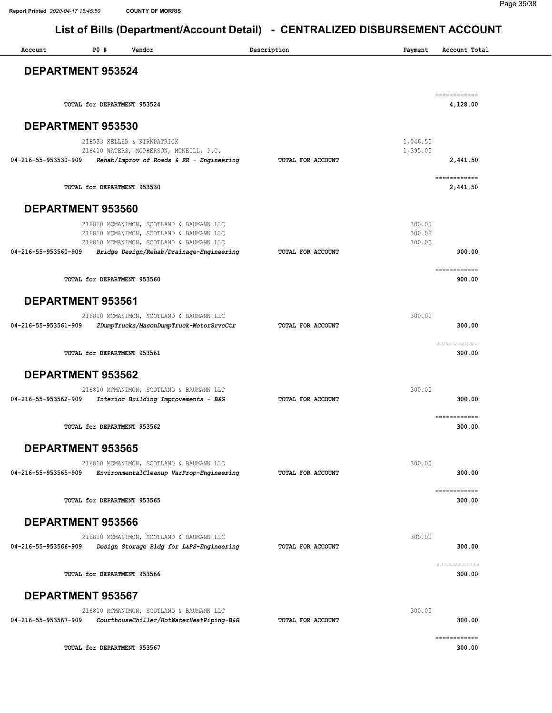| Account                  | $P0$ #                      | Vendor                                                                                                                           | Description       | Payment                    | Account Total            |
|--------------------------|-----------------------------|----------------------------------------------------------------------------------------------------------------------------------|-------------------|----------------------------|--------------------------|
| <b>DEPARTMENT 953524</b> |                             |                                                                                                                                  |                   |                            |                          |
|                          | TOTAL for DEPARTMENT 953524 |                                                                                                                                  |                   |                            | ============<br>4,128,00 |
| DEPARTMENT 953530        |                             |                                                                                                                                  |                   |                            |                          |
|                          |                             | 216533 KELLER & KIRKPATRICK                                                                                                      |                   | 1,046.50                   |                          |
| 04-216-55-953530-909     |                             | 216410 WATERS, MCPHERSON, MCNEILL, P.C.<br>Rehab/Improv of Roads & RR - Engineering                                              | TOTAL FOR ACCOUNT | 1,395.00                   | 2,441.50                 |
|                          | TOTAL for DEPARTMENT 953530 |                                                                                                                                  |                   |                            | ============<br>2,441.50 |
| DEPARTMENT 953560        |                             |                                                                                                                                  |                   |                            |                          |
|                          |                             | 216810 MCMANIMON, SCOTLAND & BAUMANN LLC<br>216810 MCMANIMON, SCOTLAND & BAUMANN LLC<br>216810 MCMANIMON, SCOTLAND & BAUMANN LLC |                   | 300.00<br>300.00<br>300.00 |                          |
| 04-216-55-953560-909     |                             | Bridge Design/Rehab/Drainage-Engineering                                                                                         | TOTAL FOR ACCOUNT |                            | 900.00                   |
|                          | TOTAL for DEPARTMENT 953560 |                                                                                                                                  |                   |                            | ============<br>900.00   |
| <b>DEPARTMENT 953561</b> |                             |                                                                                                                                  |                   |                            |                          |
| 04-216-55-953561-909     |                             | 216810 MCMANIMON, SCOTLAND & BAUMANN LLC<br>2DumpTrucks/MasonDumpTruck-MotorSrvcCtr                                              | TOTAL FOR ACCOUNT | 300.00                     | 300.00                   |
|                          | TOTAL for DEPARTMENT 953561 |                                                                                                                                  |                   |                            | ============<br>300.00   |
| DEPARTMENT 953562        |                             |                                                                                                                                  |                   |                            |                          |
| 04-216-55-953562-909     |                             | 216810 MCMANIMON, SCOTLAND & BAUMANN LLC<br>Interior Building Improvements - B&G                                                 | TOTAL FOR ACCOUNT | 300.00                     | 300.00                   |
|                          | TOTAL for DEPARTMENT 953562 |                                                                                                                                  |                   |                            | ============<br>300.00   |
| <b>DEPARTMENT 953565</b> |                             |                                                                                                                                  |                   |                            |                          |
| 04-216-55-953565-909     |                             | 216810 MCMANIMON, SCOTLAND & BAUMANN LLC<br>EnvironmentalCleanup VarProp-Engineering                                             | TOTAL FOR ACCOUNT | 300.00                     | 300.00                   |
|                          | TOTAL for DEPARTMENT 953565 |                                                                                                                                  |                   |                            | ============<br>300.00   |
| <b>DEPARTMENT 953566</b> |                             |                                                                                                                                  |                   |                            |                          |
| 04-216-55-953566-909     |                             | 216810 MCMANIMON, SCOTLAND & BAUMANN LLC<br>Design Storage Bldg for L&PS-Engineering                                             | TOTAL FOR ACCOUNT | 300.00                     | 300.00                   |
|                          | TOTAL for DEPARTMENT 953566 |                                                                                                                                  |                   |                            | ============<br>300.00   |
| DEPARTMENT 953567        |                             |                                                                                                                                  |                   |                            |                          |
| 04-216-55-953567-909     |                             | 216810 MCMANIMON, SCOTLAND & BAUMANN LLC<br>CourthouseChiller/HotWaterHeatPiping-B&G                                             | TOTAL FOR ACCOUNT | 300.00                     | 300.00                   |
|                          | TOTAL for DEPARTMENT 953567 |                                                                                                                                  |                   |                            | ============<br>300.00   |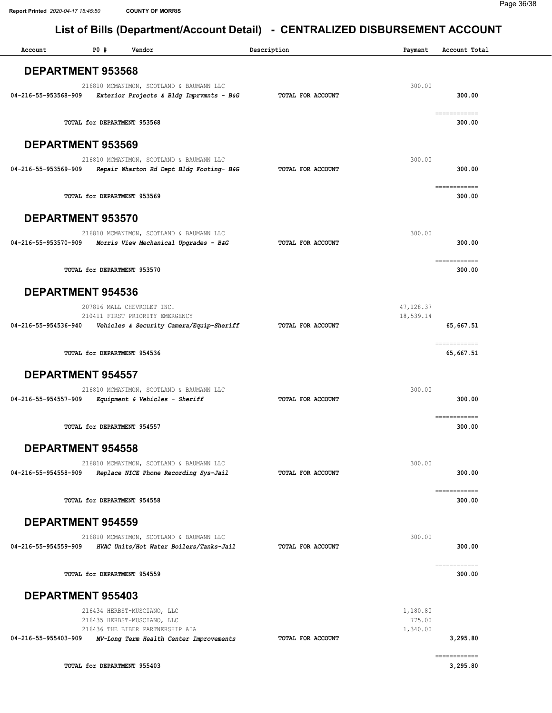| Account                  | P0 #                        | Vendor                                                                      | Description       | Payment            | Account Total             |
|--------------------------|-----------------------------|-----------------------------------------------------------------------------|-------------------|--------------------|---------------------------|
| <b>DEPARTMENT 953568</b> |                             |                                                                             |                   |                    |                           |
|                          |                             | 216810 MCMANIMON, SCOTLAND & BAUMANN LLC                                    |                   | 300.00             |                           |
| 04-216-55-953568-909     |                             | Exterior Projects & Bldg Imprvmnts - B&G                                    | TOTAL FOR ACCOUNT |                    | 300.00                    |
|                          | TOTAL for DEPARTMENT 953568 |                                                                             |                   |                    | ============<br>300.00    |
| <b>DEPARTMENT 953569</b> |                             |                                                                             |                   |                    |                           |
|                          |                             | 216810 MCMANIMON, SCOTLAND & BAUMANN LLC                                    |                   | 300.00             |                           |
| 04-216-55-953569-909     |                             | Repair Wharton Rd Dept Bldg Footing- B&G                                    | TOTAL FOR ACCOUNT |                    | 300.00                    |
|                          | TOTAL for DEPARTMENT 953569 |                                                                             |                   |                    | ============<br>300.00    |
| DEPARTMENT 953570        |                             |                                                                             |                   |                    |                           |
|                          |                             | 216810 MCMANIMON, SCOTLAND & BAUMANN LLC                                    |                   | 300.00             |                           |
| 04-216-55-953570-909     |                             | Morris View Mechanical Upgrades - B&G                                       | TOTAL FOR ACCOUNT |                    | 300.00                    |
|                          | TOTAL for DEPARTMENT 953570 |                                                                             |                   |                    | ============<br>300.00    |
| <b>DEPARTMENT 954536</b> |                             |                                                                             |                   |                    |                           |
|                          |                             | 207816 MALL CHEVROLET INC.                                                  |                   | 47,128.37          |                           |
| 04-216-55-954536-940     |                             | 210411 FIRST PRIORITY EMERGENCY<br>Vehicles & Security Camera/Equip-Sheriff | TOTAL FOR ACCOUNT | 18,539.14          | 65,667.51                 |
|                          | TOTAL for DEPARTMENT 954536 |                                                                             |                   |                    | ------------<br>65,667.51 |
| <b>DEPARTMENT 954557</b> |                             |                                                                             |                   |                    |                           |
|                          |                             | 216810 MCMANIMON, SCOTLAND & BAUMANN LLC                                    |                   | 300.00             |                           |
| 04-216-55-954557-909     |                             | Equipment & Vehicles - Sheriff                                              | TOTAL FOR ACCOUNT |                    | 300.00                    |
|                          | TOTAL for DEPARTMENT 954557 |                                                                             |                   |                    | ============<br>300.00    |
| <b>DEPARTMENT 954558</b> |                             |                                                                             |                   |                    |                           |
|                          |                             | 216810 MCMANIMON, SCOTLAND & BAUMANN LLC                                    |                   | 300.00             |                           |
| 04-216-55-954558-909     |                             | Replace NICE Phone Recording Sys-Jail                                       | TOTAL FOR ACCOUNT |                    | 300.00                    |
|                          | TOTAL for DEPARTMENT 954558 |                                                                             |                   |                    | ------------<br>300.00    |
| <b>DEPARTMENT 954559</b> |                             |                                                                             |                   |                    |                           |
|                          |                             | 216810 MCMANIMON, SCOTLAND & BAUMANN LLC                                    |                   | 300.00             |                           |
| 04-216-55-954559-909     |                             | HVAC Units/Hot Water Boilers/Tanks-Jail                                     | TOTAL FOR ACCOUNT |                    | 300.00                    |
|                          | TOTAL for DEPARTMENT 954559 |                                                                             |                   |                    | ============<br>300.00    |
| DEPARTMENT 955403        |                             |                                                                             |                   |                    |                           |
|                          |                             | 216434 HERBST-MUSCIANO, LLC                                                 |                   | 1,180.80           |                           |
|                          |                             | 216435 HERBST-MUSCIANO, LLC<br>216436 THE BIBER PARTNERSHIP AIA             |                   | 775.00<br>1,340.00 |                           |
| 04-216-55-955403-909     |                             | MV-Long Term Health Center Improvements                                     | TOTAL FOR ACCOUNT |                    | 3,295.80                  |
|                          | TOTAL for DEPARTMENT 955403 |                                                                             |                   |                    | ============<br>3,295.80  |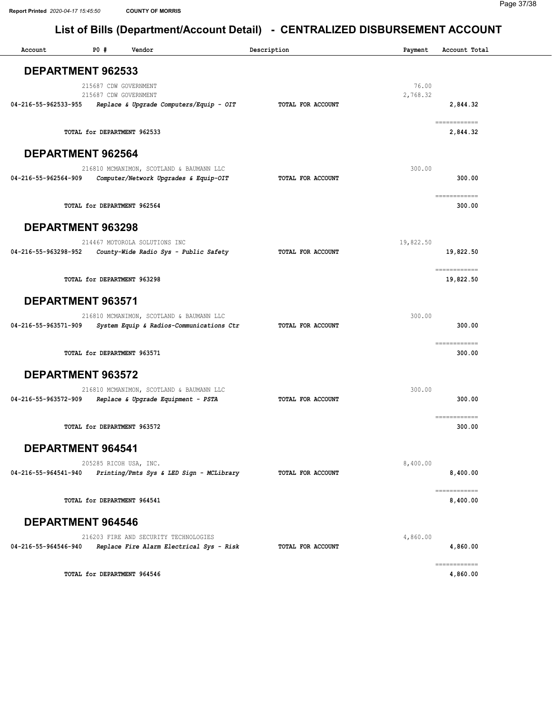| Account                  | P0 #                        | Vendor                                                                               | Description       | Payment   | Account Total                                                                                                                                                                                                                                                                                                                                                                                                                                                                                    |
|--------------------------|-----------------------------|--------------------------------------------------------------------------------------|-------------------|-----------|--------------------------------------------------------------------------------------------------------------------------------------------------------------------------------------------------------------------------------------------------------------------------------------------------------------------------------------------------------------------------------------------------------------------------------------------------------------------------------------------------|
| DEPARTMENT 962533        |                             |                                                                                      |                   |           |                                                                                                                                                                                                                                                                                                                                                                                                                                                                                                  |
|                          | 215687 CDW GOVERNMENT       |                                                                                      |                   | 76.00     |                                                                                                                                                                                                                                                                                                                                                                                                                                                                                                  |
| 04-216-55-962533-955     | 215687 CDW GOVERNMENT       | Replace & Upgrade Computers/Equip - OIT                                              | TOTAL FOR ACCOUNT | 2,768.32  | 2,844.32                                                                                                                                                                                                                                                                                                                                                                                                                                                                                         |
|                          | TOTAL for DEPARTMENT 962533 |                                                                                      |                   |           | ------------<br>2,844.32                                                                                                                                                                                                                                                                                                                                                                                                                                                                         |
| <b>DEPARTMENT 962564</b> |                             |                                                                                      |                   |           |                                                                                                                                                                                                                                                                                                                                                                                                                                                                                                  |
|                          |                             | 216810 MCMANIMON, SCOTLAND & BAUMANN LLC                                             |                   | 300.00    |                                                                                                                                                                                                                                                                                                                                                                                                                                                                                                  |
| 04-216-55-962564-909     |                             | Computer/Network Upgrades & Equip-OIT                                                | TOTAL FOR ACCOUNT |           | 300.00                                                                                                                                                                                                                                                                                                                                                                                                                                                                                           |
|                          | TOTAL for DEPARTMENT 962564 |                                                                                      |                   |           | $\begin{array}{cccccccccc} \multicolumn{2}{c}{} & \multicolumn{2}{c}{} & \multicolumn{2}{c}{} & \multicolumn{2}{c}{} & \multicolumn{2}{c}{} & \multicolumn{2}{c}{} & \multicolumn{2}{c}{} & \multicolumn{2}{c}{} & \multicolumn{2}{c}{} & \multicolumn{2}{c}{} & \multicolumn{2}{c}{} & \multicolumn{2}{c}{} & \multicolumn{2}{c}{} & \multicolumn{2}{c}{} & \multicolumn{2}{c}{} & \multicolumn{2}{c}{} & \multicolumn{2}{c}{} & \multicolumn{2}{c}{} & \multicolumn{2}{c}{} & \mult$<br>300.00 |
| DEPARTMENT 963298        |                             |                                                                                      |                   |           |                                                                                                                                                                                                                                                                                                                                                                                                                                                                                                  |
|                          |                             | 214467 MOTOROLA SOLUTIONS INC                                                        |                   | 19,822.50 |                                                                                                                                                                                                                                                                                                                                                                                                                                                                                                  |
| 04-216-55-963298-952     |                             | County-Wide Radio Sys - Public Safety                                                | TOTAL FOR ACCOUNT |           | 19,822.50                                                                                                                                                                                                                                                                                                                                                                                                                                                                                        |
|                          | TOTAL for DEPARTMENT 963298 |                                                                                      |                   |           | ------------<br>19,822.50                                                                                                                                                                                                                                                                                                                                                                                                                                                                        |
| DEPARTMENT 963571        |                             |                                                                                      |                   |           |                                                                                                                                                                                                                                                                                                                                                                                                                                                                                                  |
| 04-216-55-963571-909     |                             | 216810 MCMANIMON, SCOTLAND & BAUMANN LLC<br>System Equip & Radios-Communications Ctr | TOTAL FOR ACCOUNT | 300.00    | 300.00                                                                                                                                                                                                                                                                                                                                                                                                                                                                                           |
|                          |                             |                                                                                      |                   |           | ------------                                                                                                                                                                                                                                                                                                                                                                                                                                                                                     |
|                          | TOTAL for DEPARTMENT 963571 |                                                                                      |                   |           | 300.00                                                                                                                                                                                                                                                                                                                                                                                                                                                                                           |
| DEPARTMENT 963572        |                             |                                                                                      |                   |           |                                                                                                                                                                                                                                                                                                                                                                                                                                                                                                  |
|                          |                             | 216810 MCMANIMON, SCOTLAND & BAUMANN LLC                                             |                   | 300.00    |                                                                                                                                                                                                                                                                                                                                                                                                                                                                                                  |
| 04-216-55-963572-909     |                             | Replace & Upgrade Equipment - PSTA                                                   | TOTAL FOR ACCOUNT |           | 300.00                                                                                                                                                                                                                                                                                                                                                                                                                                                                                           |
|                          | TOTAL for DEPARTMENT 963572 |                                                                                      |                   |           | 300.00                                                                                                                                                                                                                                                                                                                                                                                                                                                                                           |
| <b>DEPARTMENT 964541</b> |                             |                                                                                      |                   |           |                                                                                                                                                                                                                                                                                                                                                                                                                                                                                                  |
| 04-216-55-964541-940     | 205285 RICOH USA, INC.      | Printing/Pmts Sys & LED Sign - MCLibrary                                             | TOTAL FOR ACCOUNT | 8,400.00  | 8,400.00                                                                                                                                                                                                                                                                                                                                                                                                                                                                                         |
|                          |                             |                                                                                      |                   |           | ------------                                                                                                                                                                                                                                                                                                                                                                                                                                                                                     |
|                          | TOTAL for DEPARTMENT 964541 |                                                                                      |                   |           | 8,400.00                                                                                                                                                                                                                                                                                                                                                                                                                                                                                         |
| <b>DEPARTMENT 964546</b> |                             |                                                                                      |                   |           |                                                                                                                                                                                                                                                                                                                                                                                                                                                                                                  |
|                          |                             | 216203 FIRE AND SECURITY TECHNOLOGIES                                                |                   | 4,860.00  |                                                                                                                                                                                                                                                                                                                                                                                                                                                                                                  |
| 04-216-55-964546-940     |                             | Replace Fire Alarm Electrical Sys - Risk                                             | TOTAL FOR ACCOUNT |           | 4,860.00                                                                                                                                                                                                                                                                                                                                                                                                                                                                                         |
|                          | TOTAL for DEPARTMENT 964546 |                                                                                      |                   |           | ============<br>4,860.00                                                                                                                                                                                                                                                                                                                                                                                                                                                                         |
|                          |                             |                                                                                      |                   |           |                                                                                                                                                                                                                                                                                                                                                                                                                                                                                                  |